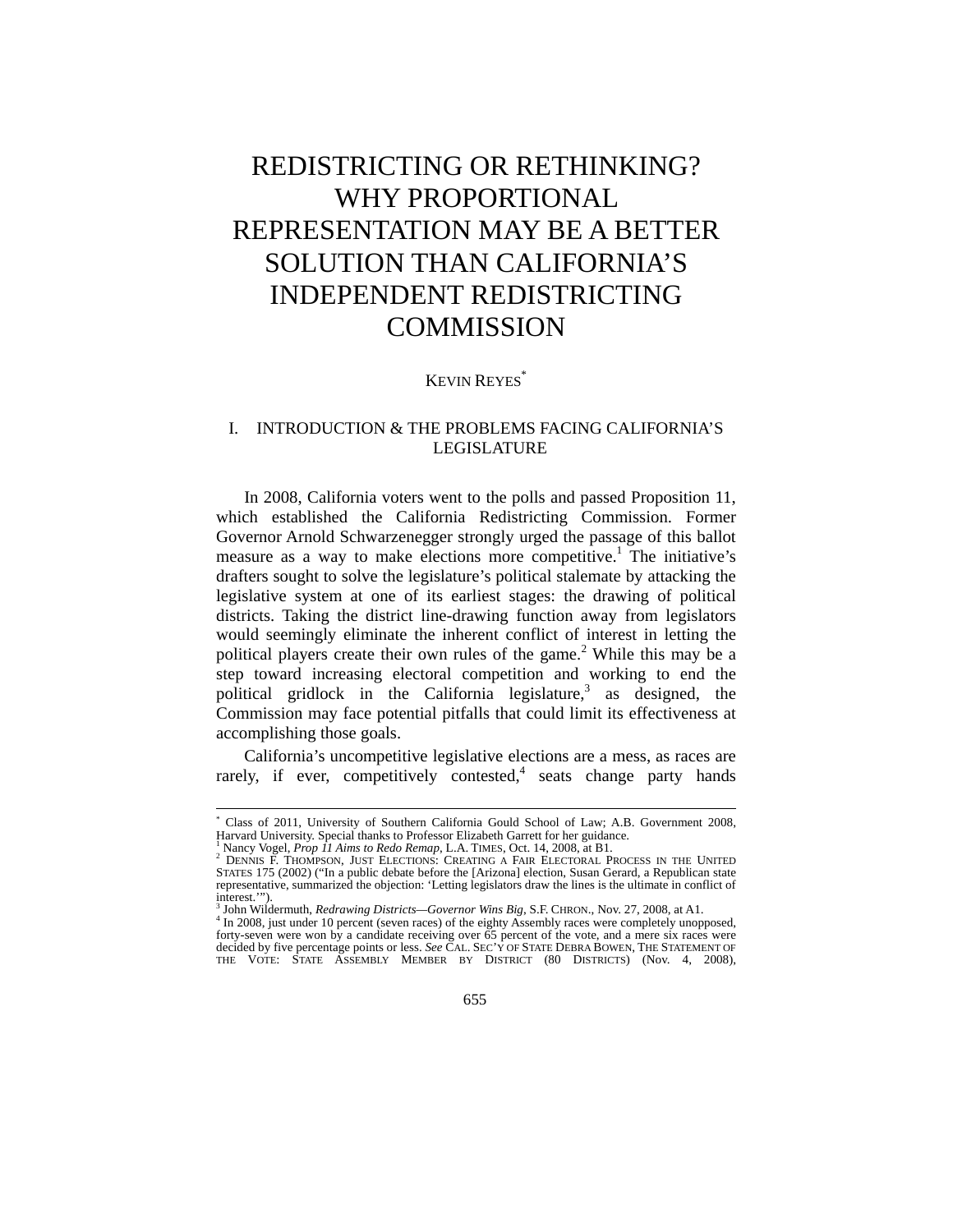# REDISTRICTING OR RETHINKING? WHY PROPORTIONAL REPRESENTATION MAY BE A BETTER SOLUTION THAN CALIFORNIA'S INDEPENDENT REDISTRICTING **COMMISSION**

KEVIN REYES\*

# I. INTRODUCTION & THE PROBLEMS FACING CALIFORNIA'S LEGISLATURE

In 2008, California voters went to the polls and passed Proposition 11, which established the California Redistricting Commission. Former Governor Arnold Schwarzenegger strongly urged the passage of this ballot measure as a way to make elections more competitive.<sup>1</sup> The initiative's drafters sought to solve the legislature's political stalemate by attacking the legislative system at one of its earliest stages: the drawing of political districts. Taking the district line-drawing function away from legislators would seemingly eliminate the inherent conflict of interest in letting the political players create their own rules of the game.<sup>2</sup> While this may be a step toward increasing electoral competition and working to end the political gridlock in the California legislature,<sup>3</sup> as designed, the Commission may face potential pitfalls that could limit its effectiveness at accomplishing those goals.

California's uncompetitive legislative elections are a mess, as races are rarely, if ever, competitively contested,<sup>4</sup> seats change party hands

<sup>\*</sup> Class of 2011, University of Southern California Gould School of Law; A.B. Government 2008, Harvard University. Special thanks to Professor Elizabeth Garrett for her guidance. 1

<sup>&</sup>lt;sup>1</sup> Nancy Vogel, *Prop 11 Aims to Redo Remap*, L.A. TIMES, Oct. 14, 2008, at B1.<br><sup>2</sup> DENNIS F. THOMPSON, JUST ELECTIONS: CREATING A FAIR ELECTORAL PROCESS IN THE UNITED STATES 175 (2002) ("In a public debate before the [Arizona] election, Susan Gerard, a Republican state representative, summarized the objection: 'Letting legislators draw the lines is the ultimate in conflict of interest.'").<br><sup>3</sup> John Wildermuth, *Redrawing Districts—Governor Wins Big*, S.F. CHRON., Nov. 27, 2008, at A1.<br><sup>4</sup> Jo 2008, just under 10 percent (seven reese) of the eighty Assembly reese were completely unone

In 2008, just under 10 percent (seven races) of the eighty Assembly races were completely unopposed, forty-seven were won by a candidate receiving over 65 percent of the vote, and a mere six races were decided by five percentage points or less. *See* CAL. SEC'Y OF STATE DEBRA BOWEN, THE STATEMENT OF<br>THE VOTE: STATE ASSEMBLY MEMBER BY DISTRICT (80 DISTRICTS) (Nov. 4, 2008),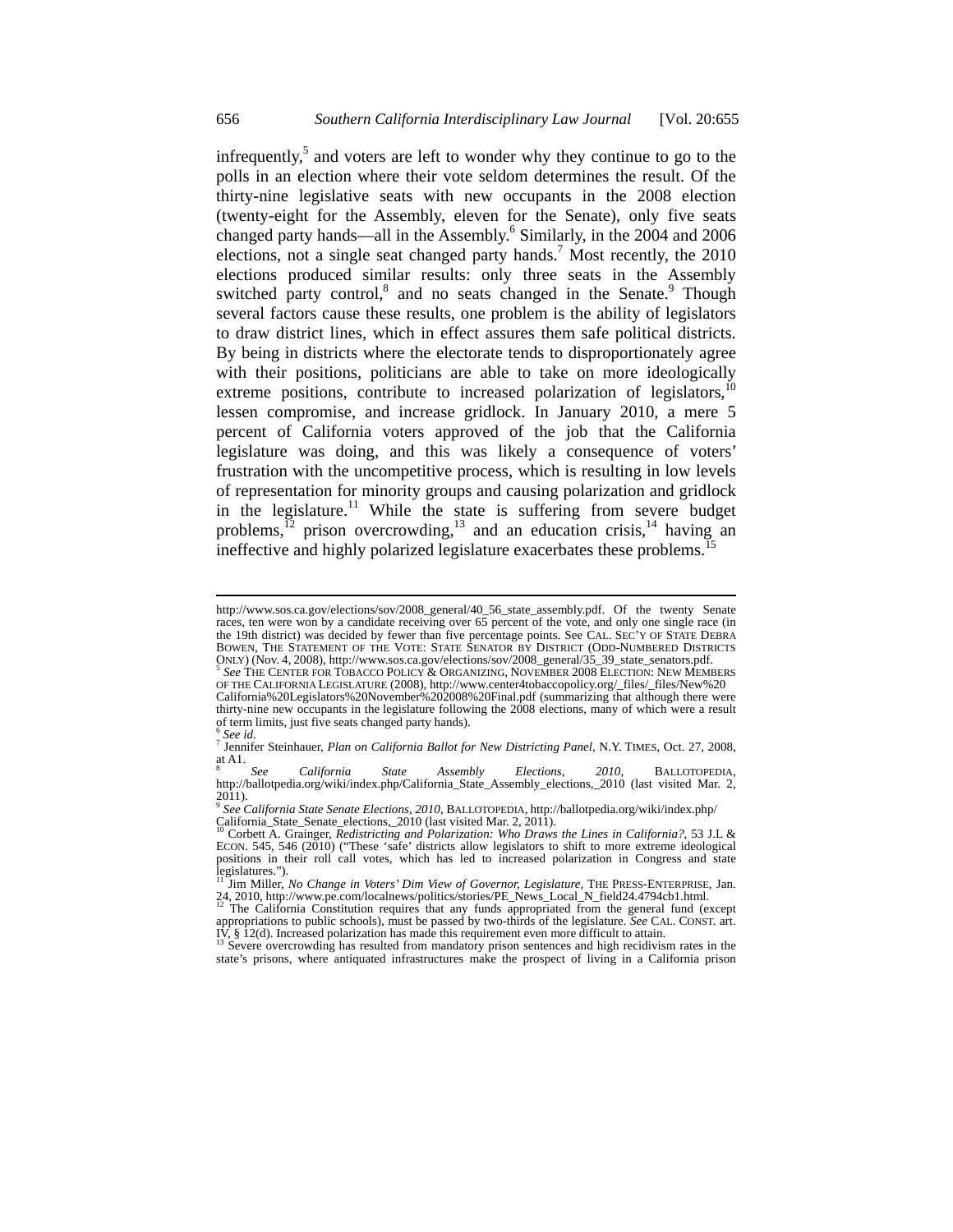infrequently,<sup>5</sup> and voters are left to wonder why they continue to go to the polls in an election where their vote seldom determines the result. Of the thirty-nine legislative seats with new occupants in the 2008 election (twenty-eight for the Assembly, eleven for the Senate), only five seats changed party hands—all in the Assembly.<sup>6</sup> Similarly, in the 2004 and 2006 elections, not a single seat changed party hands.<sup>7</sup> Most recently, the 2010 elections produced similar results: only three seats in the Assembly switched party control,<sup>8</sup> and no seats changed in the Senate.<sup>9</sup> Though several factors cause these results, one problem is the ability of legislators to draw district lines, which in effect assures them safe political districts. By being in districts where the electorate tends to disproportionately agree with their positions, politicians are able to take on more ideologically extreme positions, contribute to increased polarization of legislators,  $10$ lessen compromise, and increase gridlock. In January 2010, a mere 5 percent of California voters approved of the job that the California legislature was doing, and this was likely a consequence of voters' frustration with the uncompetitive process, which is resulting in low levels of representation for minority groups and causing polarization and gridlock in the legislature.<sup>11</sup> While the state is suffering from severe budget problems,<sup> $12$ </sup> prison overcrowding, $13$  and an education crisis, $14$  having an ineffective and highly polarized legislature exacerbates these problems.<sup>15</sup>

http://www.sos.ca.gov/elections/sov/2008\_general/40\_56\_state\_assembly.pdf. Of the twenty Senate races, ten were won by a candidate receiving over 65 percent of the vote, and only one single race (in the 19th district) was decided by fewer than five percentage points. See CAL. SEC'Y OF STATE DEBRA BOWEN, THE STATEMENT OF THE VOTE: STATE SENATOR BY DISTRICT (ODD-NUMBERED DISTRICTS ONLY) (Nov. 4, 2008), http://www.sos.ca.gov/elections/sov/2008\_general/35\_39\_state\_senators.pdf. 5 *See* THE CENTER FOR TOBACCO POLICY & ORGANIZING, NOVEMBER 2008 ELECTION: NEW MEMBERS

OF THE CALIFORNIA LEGISLATURE (2008), http://www.center4tobaccopolicy.org/\_files/\_files/New%20 California%20Legislators%20November%202008%20Final.pdf (summarizing that although there were thirty-nine new occupants in the legislature following the 2008 elections, many of which were a result of term limits, just five seats changed party hands).

<sup>6</sup>  *See id.*

<sup>7</sup> Jennifer Steinhauer, *Plan on California Ballot for New Districting Panel,* N.Y. TIMES, Oct. 27, 2008, at A1.<br> $\frac{8}{5}$ 

<sup>8</sup> *See California State Assembly Elections*, *2010*, BALLOTOPEDIA, http://ballotpedia.org/wiki/index.php/California\_State\_Assembly\_elections,\_2010 (last visited Mar. 2, 2011). <sup>9</sup> *See California State Senate Elections, 2010*, BALLOTOPEDIA, http://ballotpedia.org/wiki/index.php/

California\_State\_Senate\_elections,\_2010 (last visited Mar. 2, 2011).<br><sup>10</sup> Corbett A. Grainger, *Redistricting and Polarization: Who Draws the Lines in California*?, 53 J.L &

ECON. 545, 546 (2010) ("These 'safe' districts allow legislators to shift to more extreme ideological positions in their roll call votes, which has led to increased polarization in Congress and state legislatures."). 11 Jim Miller, *No Change in Voters' Dim View of Governor, Legislature*, THE PRESS-ENTERPRISE, Jan.

<sup>24, 2010,</sup> http://www.pe.com/localnews/politics/stories/PE\_News\_Local\_N\_field24.4794cb1.html. 2<br><sup>12</sup> The California Constitution requires that any funds appropriated from the general fund (except

appropriations to public schools), must be passed by two-thirds of the legislature. *See* CAL. CONST. art.

IV,  $\S$  12(d). Increased polarization has made this requirement even more difficult to attain. 13 Severe overcrowding has resulted from mandatory prison sentences and high recidivism rates in the state's prisons, where antiquated infrastructures make the prospect of living in a California prison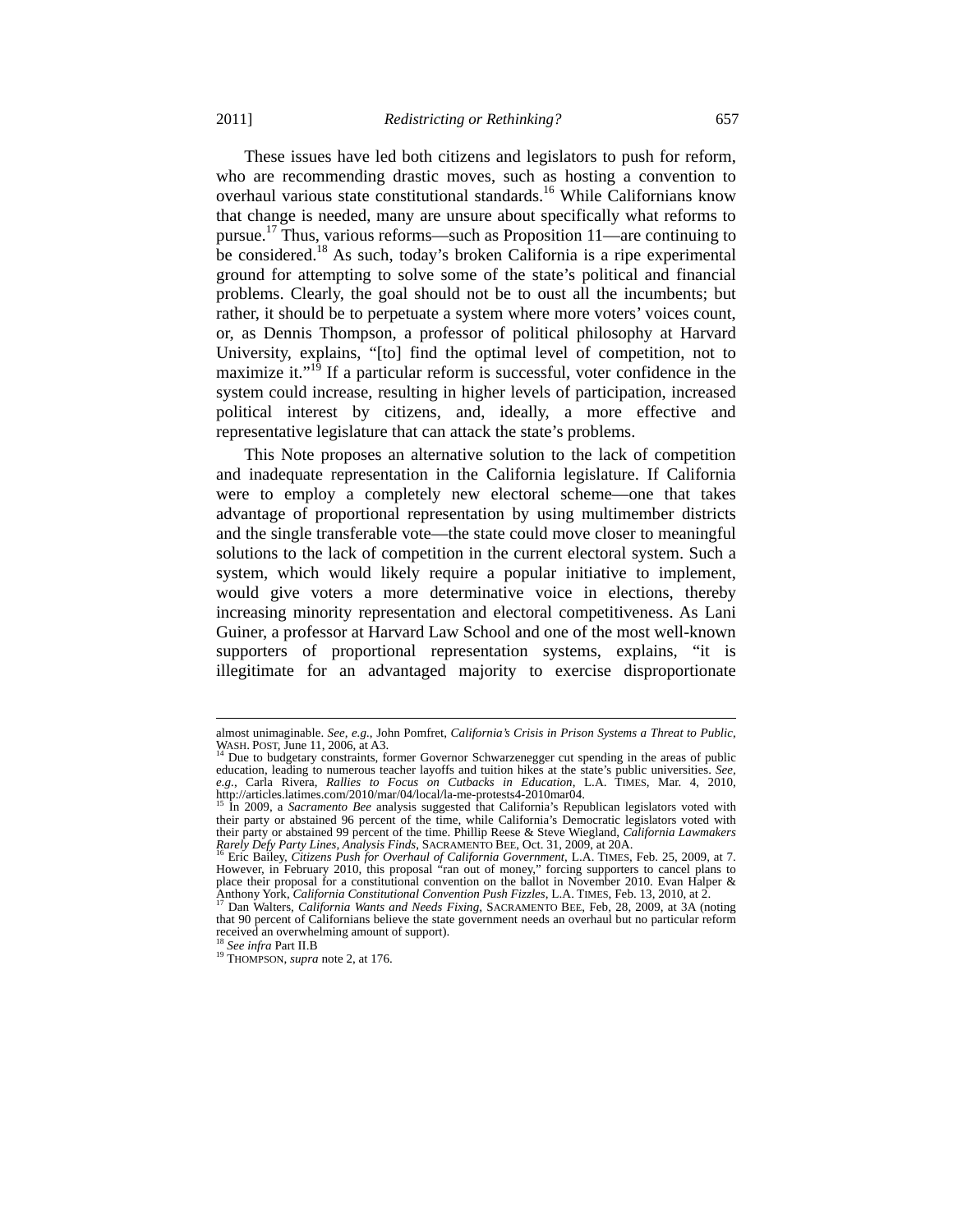These issues have led both citizens and legislators to push for reform, who are recommending drastic moves, such as hosting a convention to overhaul various state constitutional standards.<sup>16</sup> While Californians know that change is needed, many are unsure about specifically what reforms to pursue.17 Thus, various reforms—such as Proposition 11—are continuing to be considered.<sup>18</sup> As such, today's broken California is a ripe experimental ground for attempting to solve some of the state's political and financial problems. Clearly, the goal should not be to oust all the incumbents; but rather, it should be to perpetuate a system where more voters' voices count, or, as Dennis Thompson, a professor of political philosophy at Harvard University, explains, "[to] find the optimal level of competition, not to maximize it." $19$  If a particular reform is successful, voter confidence in the system could increase, resulting in higher levels of participation, increased political interest by citizens, and, ideally, a more effective and representative legislature that can attack the state's problems.

This Note proposes an alternative solution to the lack of competition and inadequate representation in the California legislature. If California were to employ a completely new electoral scheme—one that takes advantage of proportional representation by using multimember districts and the single transferable vote—the state could move closer to meaningful solutions to the lack of competition in the current electoral system. Such a system, which would likely require a popular initiative to implement, would give voters a more determinative voice in elections, thereby increasing minority representation and electoral competitiveness. As Lani Guiner, a professor at Harvard Law School and one of the most well-known supporters of proportional representation systems, explains, "it is illegitimate for an advantaged majority to exercise disproportionate

almost unimaginable. See, e.g., John Pomfret, California's Crisis in Prison Systems a Threat to Public, WASH. POST, June 11, 2006, at A3.<br><sup>14</sup> Due to budgetary constraints, former Governor Schwarzenegger cut spending in th

education, leading to numerous teacher layoffs and tuition hikes at the state's public universities. *See*, *e.g.*, Carla Rivera, *Rallies to Focus on Cutbacks in Education*, L.A. TIMES, Mar. 4, 2010, http://articles.latim

<sup>&</sup>lt;sup>15</sup> In 2009, a *Sacramento Bee* analysis suggested that California's Republican legislators voted with their party or abstained 96 percent of the time, while California's Democratic legislators voted with their party or abstained 99 percent of the time. Phillip Reese & Steve Wiegland, *California Lawmakers* 

<sup>&</sup>lt;sup>6</sup> Eric Bailey, *Citizens Push for Overhaul of California Government*, L.A. TIMES, Feb. 25, 2009, at 7. However, in February 2010, this proposal "ran out of money," forcing supporters to cancel plans to place their proposal for a constitutional convention on the ballot in November 2010. Evan Halper & Anthony York, *California Constitutional Convention Push Fizzles*, L.A. TIMES, Feb. 13, 2010, at 2. 17 Dan Walters, *California Wants and Needs Fixing*, SACRAMENTO BEE, Feb, 28, 2009, at 3A (noting

that 90 percent of Californians believe the state government needs an overhaul but no particular reform received an overwhelming amount of support).<br><sup>18</sup> See infra Part II.B

<sup>&</sup>lt;sup>19</sup> THOMPSON, *supra* note 2, at 176.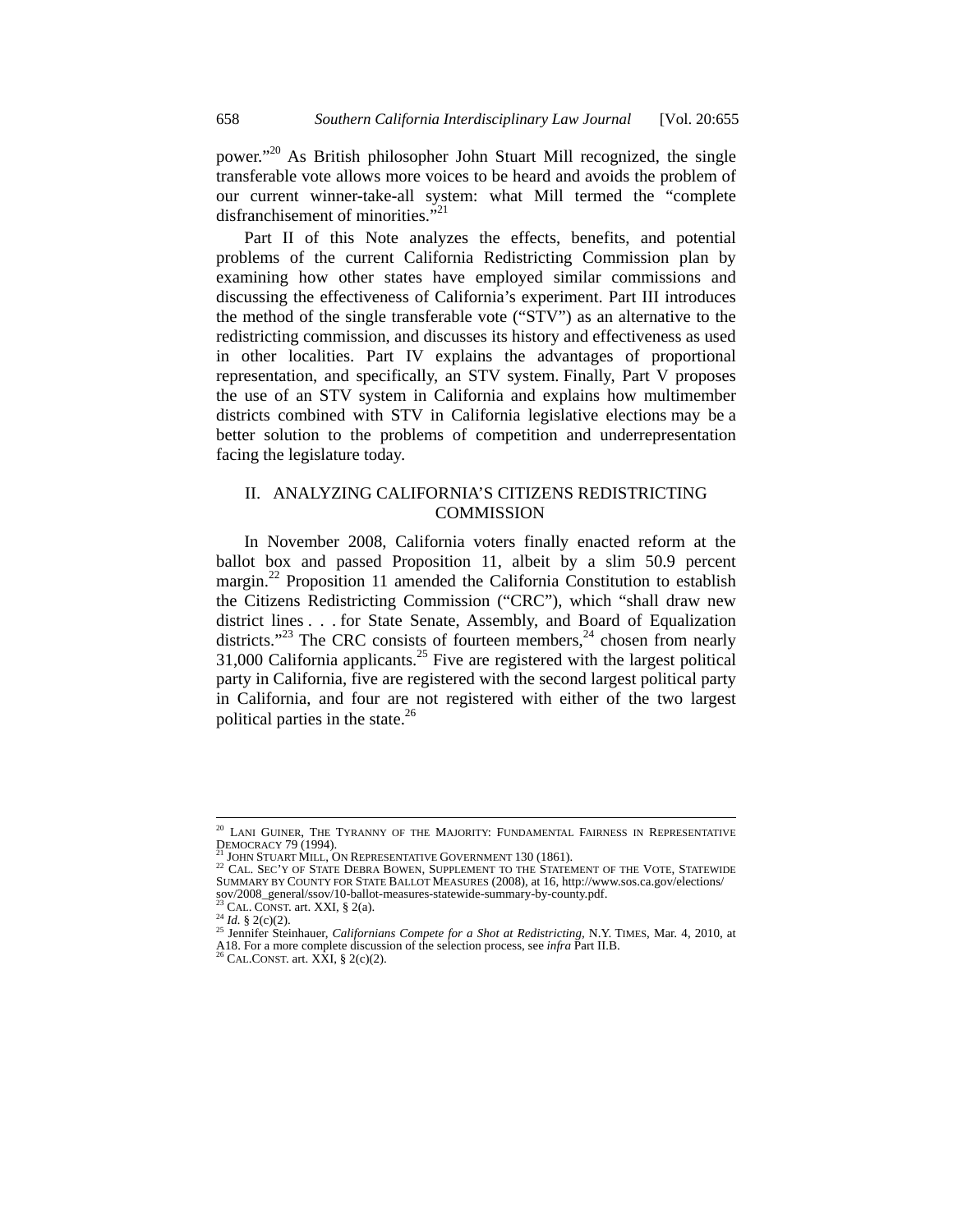power."20 As British philosopher John Stuart Mill recognized, the single transferable vote allows more voices to be heard and avoids the problem of our current winner-take-all system: what Mill termed the "complete disfranchisement of minorities."<sup>21</sup>

Part II of this Note analyzes the effects, benefits, and potential problems of the current California Redistricting Commission plan by examining how other states have employed similar commissions and discussing the effectiveness of California's experiment. Part III introduces the method of the single transferable vote ("STV") as an alternative to the redistricting commission, and discusses its history and effectiveness as used in other localities. Part IV explains the advantages of proportional representation, and specifically, an STV system. Finally, Part V proposes the use of an STV system in California and explains how multimember districts combined with STV in California legislative elections may be a better solution to the problems of competition and underrepresentation facing the legislature today.

# II. ANALYZING CALIFORNIA'S CITIZENS REDISTRICTING **COMMISSION**

In November 2008, California voters finally enacted reform at the ballot box and passed Proposition 11, albeit by a slim 50.9 percent margin.<sup>22</sup> Proposition 11 amended the California Constitution to establish the Citizens Redistricting Commission ("CRC"), which "shall draw new district lines . . . for State Senate, Assembly, and Board of Equalization districts."<sup>23</sup> The CRC consists of fourteen members, $24$  chosen from nearly  $31,000$  California applicants.<sup>25</sup> Five are registered with the largest political party in California, five are registered with the second largest political party in California, and four are not registered with either of the two largest political parties in the state. $^{26}$ 

LANI GUINER, THE TYRANNY OF THE MAJORITY: FUNDAMENTAL FAIRNESS IN REPRESENTATIVE DEMOCRACY 79 (1994).<br><sup>21</sup> JOHN STUART MILL, ON REPRESENTATIVE GOVERNMENT 130 (1861).<br><sup>22</sup> CAL. SEC'Y OF STATE DEBRA BOWEN, SUPPLEMENT TO THE STATEMENT OF THE VOTE, STATEWIDE

SUMMARY BY COUNTY FOR STATE BALLOT MEASURES (2008), at 16, http://www.sos.ca.gov/elections/<br>sov/2008\_general/ssov/10-ballot-measures-statewide-summary-by-county.pdf. sov/2008\_general/ssov/10-ballot-measures-statewide-summary-by-county.pdf.<br><sup>23</sup> CAL. CONST. art. XXI, § 2(a).<br><sup>24</sup> Id. § 2(c)(2).<br><sup>25</sup> Jennifer Steinhauer, *Californians Compete for a Shot at Redistricting*, N.Y. TIMES, Mar

A18. For a more complete discussion of the selection process, see *infra* Part II.B. 26 CAL.CONST. art. XXI, § 2(c)(2).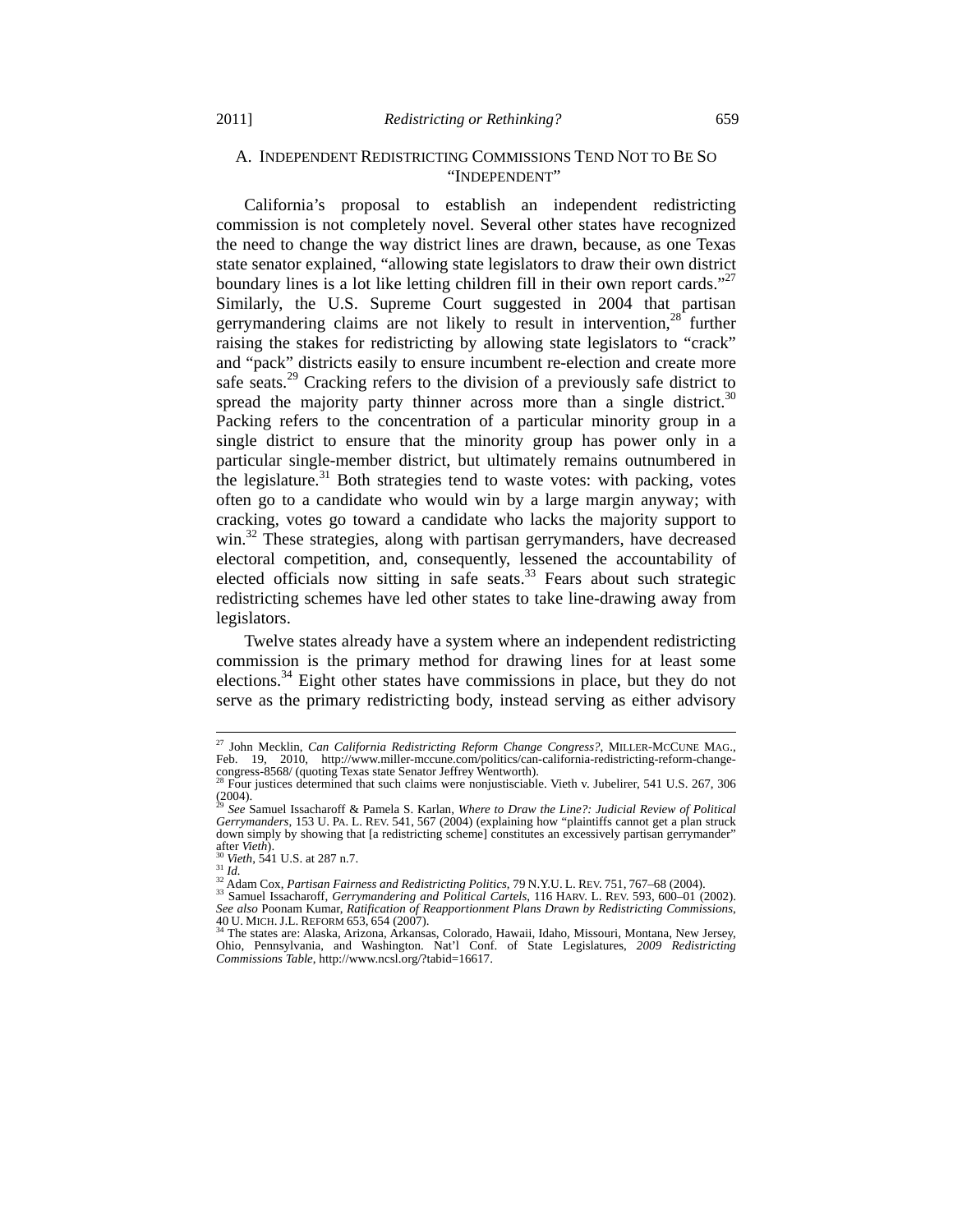# A. INDEPENDENT REDISTRICTING COMMISSIONS TEND NOT TO BE SO "INDEPENDENT"

California's proposal to establish an independent redistricting commission is not completely novel. Several other states have recognized the need to change the way district lines are drawn, because, as one Texas state senator explained, "allowing state legislators to draw their own district boundary lines is a lot like letting children fill in their own report cards."<sup>27</sup> Similarly, the U.S. Supreme Court suggested in 2004 that partisan gerrymandering claims are not likely to result in intervention, $28$  further raising the stakes for redistricting by allowing state legislators to "crack" and "pack" districts easily to ensure incumbent re-election and create more safe seats.<sup>29</sup> Cracking refers to the division of a previously safe district to spread the majority party thinner across more than a single district.<sup>30</sup> Packing refers to the concentration of a particular minority group in a single district to ensure that the minority group has power only in a particular single-member district, but ultimately remains outnumbered in the legislature.<sup>31</sup> Both strategies tend to waste votes: with packing, votes often go to a candidate who would win by a large margin anyway; with cracking, votes go toward a candidate who lacks the majority support to win.<sup>32</sup> These strategies, along with partisan gerrymanders, have decreased electoral competition, and, consequently, lessened the accountability of elected officials now sitting in safe seats. $33$  Fears about such strategic redistricting schemes have led other states to take line-drawing away from legislators.

Twelve states already have a system where an independent redistricting commission is the primary method for drawing lines for at least some elections.<sup>34</sup> Eight other states have commissions in place, but they do not serve as the primary redistricting body, instead serving as either advisory

<sup>27</sup> John Mecklin, *Can California Redistricting Reform Change Congress?*, MILLER-MCCUNE MAG., Feb. 19, 2010, http://www.miller-mccune.com/politics/can-california-redistricting-reform-change-<br>congress-8568/ (quoting Texas state Senator Jeffrey Wentworth).<br><sup>28</sup> Four institute determined that we had

Four justices determined that such claims were nonjustisciable. Vieth v. Jubelirer, 541 U.S. 267, 306  $(2004)$ .

<sup>29</sup> *See* Samuel Issacharoff & Pamela S. Karlan, *Where to Draw the Line?: Judicial Review of Political Gerrymanders*, 153 U. PA. L. REV. 541, 567 (2004) (explaining how "plaintiffs cannot get a plan struck down simply by showing that [a redistricting scheme] constitutes an excessively partisan gerrymander" after Vieth).

after Vieth).<br><sup>31</sup> Vieth, 541 U.S. at 287 n.7.<br><sup>31</sup> Id.<br><sup>32</sup> Adam Cox, *Partisan Fairness and Redistricting Politics*, 79 N.Y.U.L. REV. 751, 767–68 (2004).<br><sup>32</sup> Samuel Issacharoff, *Gerrymandering and Political Cartels*, 1

<sup>40</sup> U. MICH. J.L. REFORM 653, 654 (2007).<br><sup>34</sup> The states are: Alaska, Arizona, Arkansas, Colorado, Hawaii, Idaho, Missouri, Montana, New Jersey,<br>Ohio, Pennsylvania, and Washington. Nat'l Conf. of State Legislatures, 2009 *Commissions Table*, http://www.ncsl.org/?tabid=16617.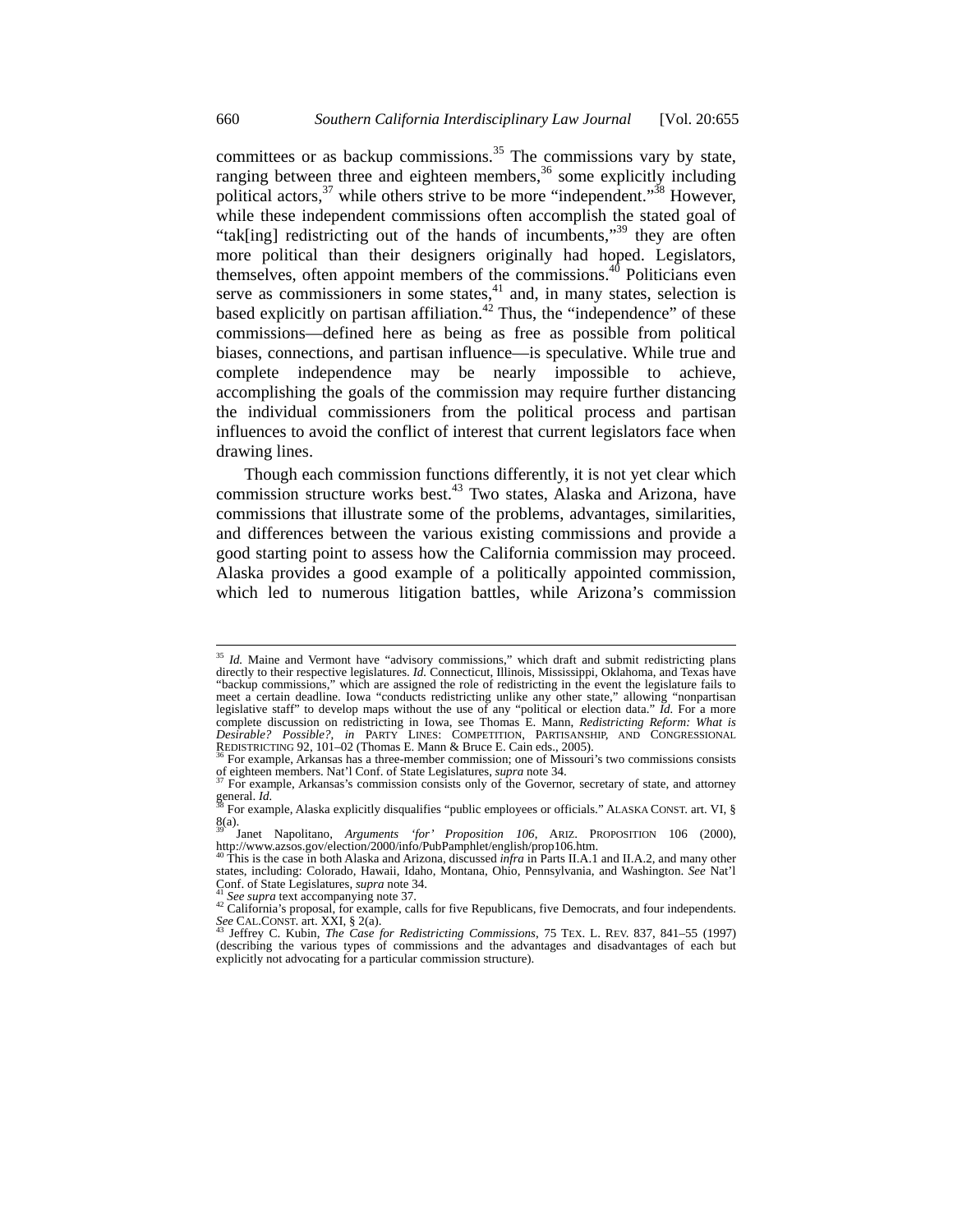committees or as backup commissions.<sup>35</sup> The commissions vary by state, ranging between three and eighteen members,<sup>36</sup> some explicitly including political actors,  $37$  while others strive to be more "independent."  $38$  However, while these independent commissions often accomplish the stated goal of "tak[ing] redistricting out of the hands of incumbents,"39 they are often more political than their designers originally had hoped. Legislators, themselves, often appoint members of the commissions. $40$  Politicians even serve as commissioners in some states, $41$  and, in many states, selection is based explicitly on partisan affiliation.<sup>42</sup> Thus, the "independence" of these commissions—defined here as being as free as possible from political biases, connections, and partisan influence—is speculative. While true and complete independence may be nearly impossible to achieve, accomplishing the goals of the commission may require further distancing the individual commissioners from the political process and partisan influences to avoid the conflict of interest that current legislators face when drawing lines.

Though each commission functions differently, it is not yet clear which commission structure works best.<sup>43</sup> Two states, Alaska and Arizona, have commissions that illustrate some of the problems, advantages, similarities, and differences between the various existing commissions and provide a good starting point to assess how the California commission may proceed. Alaska provides a good example of a politically appointed commission, which led to numerous litigation battles, while Arizona's commission

<sup>&</sup>lt;sup>35</sup> *Id.* Maine and Vermont have "advisory commissions," which draft and submit redistricting plans directly to their respective legislatures. *Id.* Connecticut, Illinois, Mississippi, Oklahoma, and Texas have "backup commissions," which are assigned the role of redistricting in the event the legislature fails to meet a certain deadline. Iowa "conducts redistricting unlike any other state," allowing "nonpartisan legislative staff" to develop maps without the use of any "political or election data." *Id.* For a more complete discussion on redistricting in Iowa, see Thomas E. Mann, *Redistricting Reform: What is Desirable? Possible?*, *in* PARTY LINES: COMPETITION, PARTISANSHIP, AND CONGRESSIONAL REDISTRICTING 92, 101–02 (Thomas E. Mann & Bruce E. Cain eds., 2005).

<sup>&</sup>lt;sup>36</sup> For example, Arkansas has a three-member commission; one of Missouri's two commissions consists of eighteen members. Nat'l Conf. of State Legislatures, *supra* note 34.

of the Governor, secretary of state, and attorney general. *Id.*  $\mathbb{R}^3$  For example, Aleska suprable,  $\mathbb{R}^3$  For example, Aleska suprable,  $\mathbb{R}^3$ 

For example, Alaska explicitly disqualifies "public employees or officials." ALASKA CONST. art. VI, §  $8(a)$ .

<sup>&</sup>lt;sup>39</sup> Janet Napolitano, *Arguments 'for' Proposition 106*, ARIZ. PROPOSITION 106 (2000), http://www.azsos.gov/election/2000/info/PubPamphlet/english/prop106.htm.

This is the case in both Alaska and Arizona, discussed *infra* in Parts II.A.1 and II.A.2, and many other states, including: Colorado, Hawaii, Idaho, Montana, Ohio, Pennsylvania, and Washington. *See* Nat'l

<sup>&</sup>lt;sup>41</sup> *See supra* text accompanying note 37.<br><sup>42</sup> California's proposal, for example, calls for five Republicans, five Democrats, and four independents.<br>*See* CAL.CONST. art. XXI, § 2(a).

Jeffrey C. Kubin, *The Case for Redistricting Commissions*, 75 TEX. L. REV. 837, 841-55 (1997) (describing the various types of commissions and the advantages and disadvantages of each but explicitly not advocating for a particular commission structure).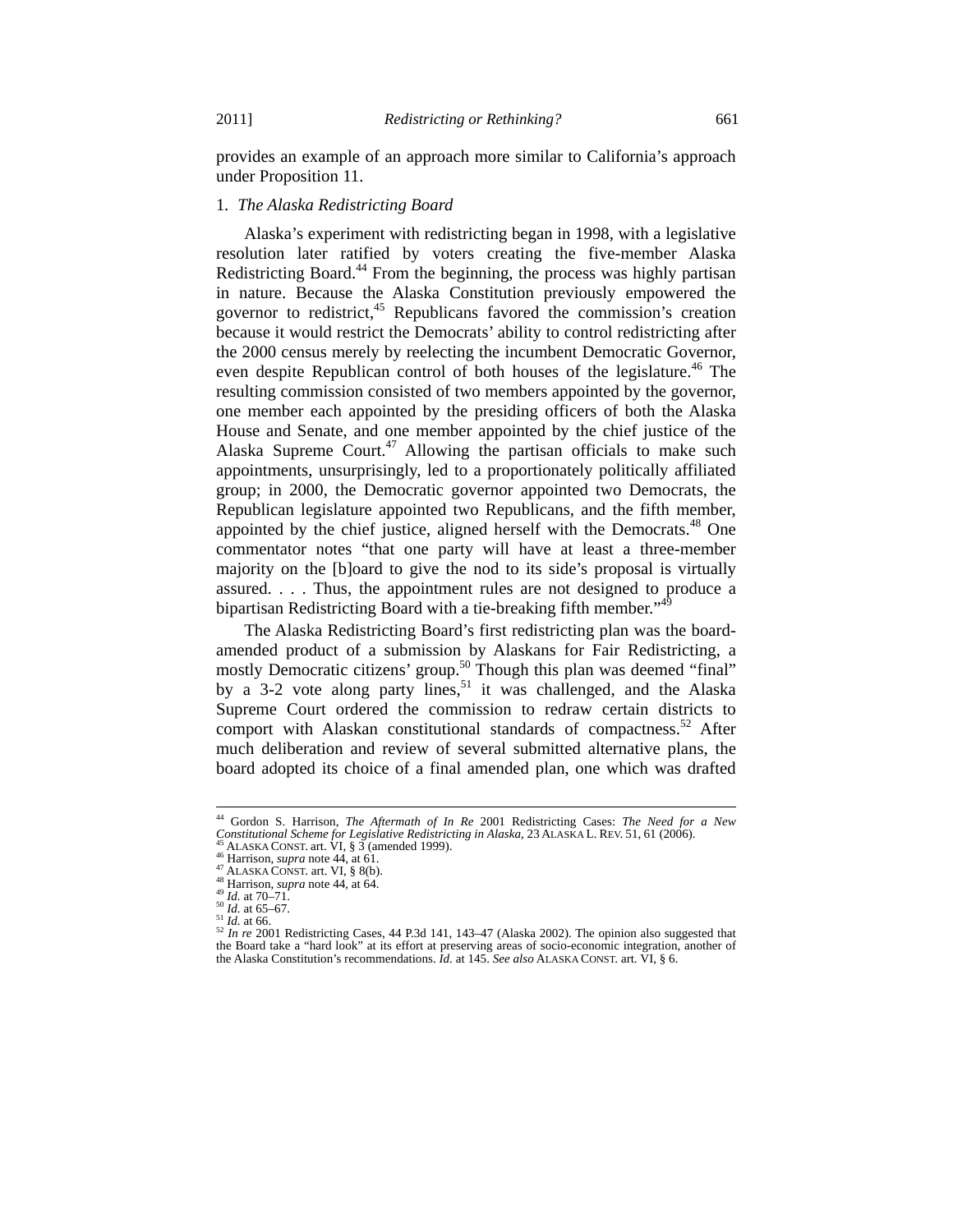provides an example of an approach more similar to California's approach under Proposition 11.

#### 1*. The Alaska Redistricting Board*

Alaska's experiment with redistricting began in 1998, with a legislative resolution later ratified by voters creating the five-member Alaska Redistricting Board.<sup>44</sup> From the beginning, the process was highly partisan in nature. Because the Alaska Constitution previously empowered the governor to redistrict, $45$  Republicans favored the commission's creation because it would restrict the Democrats' ability to control redistricting after the 2000 census merely by reelecting the incumbent Democratic Governor, even despite Republican control of both houses of the legislature.<sup>46</sup> The resulting commission consisted of two members appointed by the governor, one member each appointed by the presiding officers of both the Alaska House and Senate, and one member appointed by the chief justice of the Alaska Supreme Court.<sup>47</sup> Allowing the partisan officials to make such appointments, unsurprisingly, led to a proportionately politically affiliated group; in 2000, the Democratic governor appointed two Democrats, the Republican legislature appointed two Republicans, and the fifth member, appointed by the chief justice, aligned herself with the Democrats.<sup>48</sup> One commentator notes "that one party will have at least a three-member majority on the [b]oard to give the nod to its side's proposal is virtually assured. . . . Thus, the appointment rules are not designed to produce a bipartisan Redistricting Board with a tie-breaking fifth member."<sup>4</sup>

The Alaska Redistricting Board's first redistricting plan was the boardamended product of a submission by Alaskans for Fair Redistricting, a mostly Democratic citizens' group.<sup>50</sup> Though this plan was deemed "final" by a  $3-2$  vote along party lines,<sup>51</sup> it was challenged, and the Alaska Supreme Court ordered the commission to redraw certain districts to comport with Alaskan constitutional standards of compactness.<sup>52</sup> After much deliberation and review of several submitted alternative plans, the board adopted its choice of a final amended plan, one which was drafted

<sup>44</sup> Gordon S. Harrison, *The Aftermath of In Re* 2001 Redistricting Cases: *The Need for a New*  Constitutional Scheme for Legislative Redistricting in Alaska, 23 ALASKA L. REV. 51, 61 (2006).<br>
<sup>45</sup> ALASKA CONST. art. VI, § 3 (amended 1999).<br>
<sup>46</sup> Harrison, *supra* note 44, at 61.<br>
<sup>48</sup> Harrison, *supra* note 44, at

the Board take a "hard look" at its effort at preserving areas of socio-economic integration, another of the Alaska Constitution's recommendations. *Id.* at 145. *See also* ALASKA CONST. art. VI, § 6.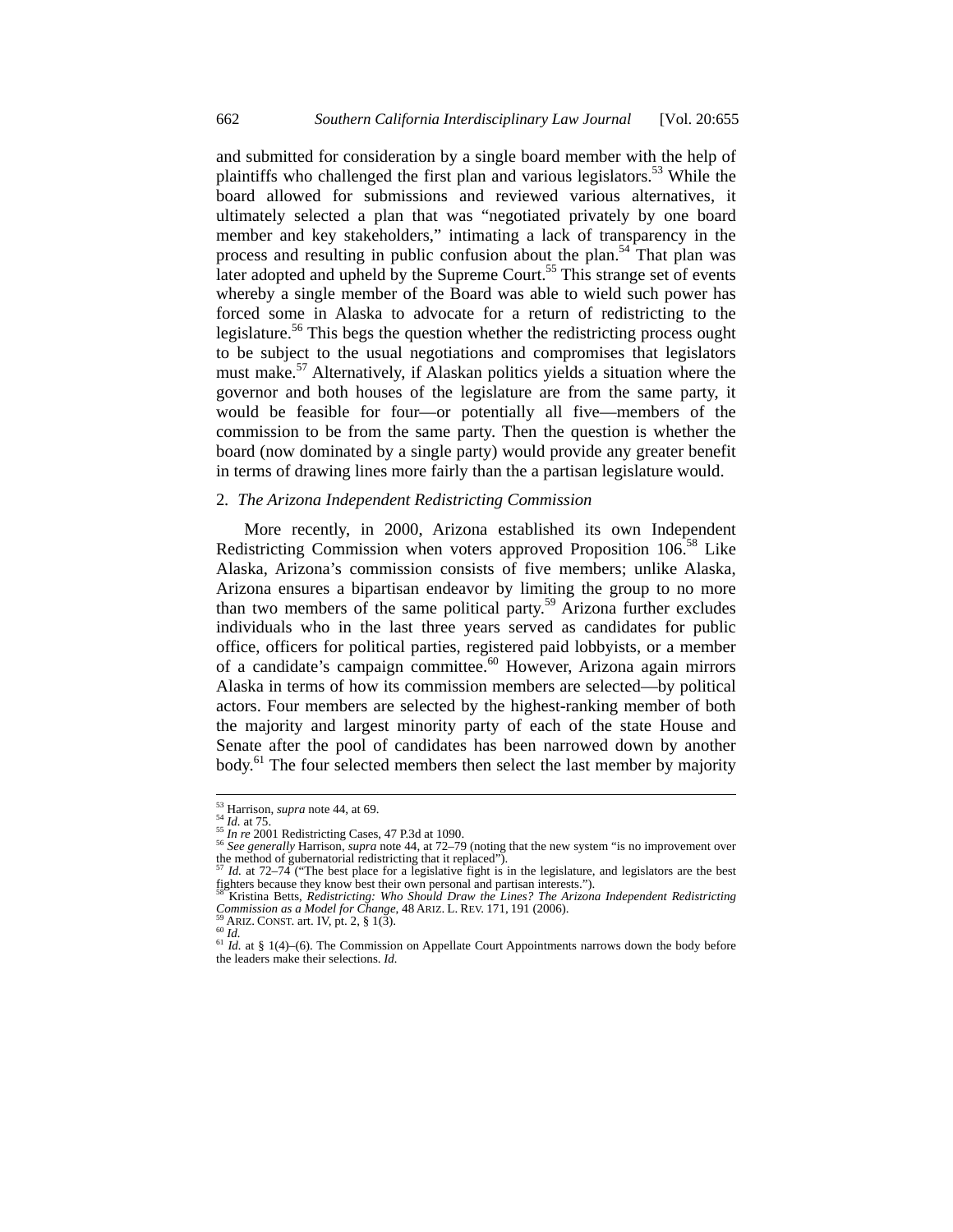and submitted for consideration by a single board member with the help of plaintiffs who challenged the first plan and various legislators.<sup>53</sup> While the board allowed for submissions and reviewed various alternatives, it ultimately selected a plan that was "negotiated privately by one board member and key stakeholders," intimating a lack of transparency in the process and resulting in public confusion about the plan.54 That plan was later adopted and upheld by the Supreme Court.<sup>55</sup> This strange set of events whereby a single member of the Board was able to wield such power has forced some in Alaska to advocate for a return of redistricting to the legislature.<sup>56</sup> This begs the question whether the redistricting process ought to be subject to the usual negotiations and compromises that legislators must make.<sup>57</sup> Alternatively, if Alaskan politics yields a situation where the governor and both houses of the legislature are from the same party, it would be feasible for four—or potentially all five—members of the commission to be from the same party. Then the question is whether the board (now dominated by a single party) would provide any greater benefit in terms of drawing lines more fairly than the a partisan legislature would.

#### 2*. The Arizona Independent Redistricting Commission*

More recently, in 2000, Arizona established its own Independent Redistricting Commission when voters approved Proposition  $106^{58}$  Like Alaska, Arizona's commission consists of five members; unlike Alaska, Arizona ensures a bipartisan endeavor by limiting the group to no more than two members of the same political party.59 Arizona further excludes individuals who in the last three years served as candidates for public office, officers for political parties, registered paid lobbyists, or a member of a candidate's campaign committee.<sup>60</sup> However, Arizona again mirrors Alaska in terms of how its commission members are selected—by political actors. Four members are selected by the highest-ranking member of both the majority and largest minority party of each of the state House and Senate after the pool of candidates has been narrowed down by another body.<sup>61</sup> The four selected members then select the last member by majority

<sup>&</sup>lt;sup>53</sup> Harrison, *supra* note 44, at 69.<br>  $\frac{54}{1}$  Id. at 75.

<sup>&</sup>lt;sup>55</sup> In re 2001 Redistricting Cases, 47 P.3d at 1090.<br><sup>56</sup> In re 2001 Redistricting Cases, 47 P.3d at 1090.<br><sup>56</sup> See generally Harrison, *supra* note 44, at 72–79 (noting that the new system "is no improvement over the method of gubernatorial redistricting that it replaced").

<sup>&</sup>lt;sup>57</sup> *Id.* at 72–74 ("The best place for a legislative fight is in the legislature, and legislators are the best fighters because they know best their own personal and partisan interests."). fighters because they know best their own personal and partisan interests."). 58 Kristina Betts, *Redistricting: Who Should Draw the Lines? The Arizona Independent Redistricting* 

*Commission as a Model for Change, 48 ARIZ. L. REV.* 171, 191 (2006).<br><sup>59</sup> ARIZ. CONST. art. IV, pt. 2, § 1(3).<br><sup>60</sup> Id. at § 1(4)–(6). The Commission on Appellate Court Appointments narrows down the body before

the leaders make their selections. *Id.*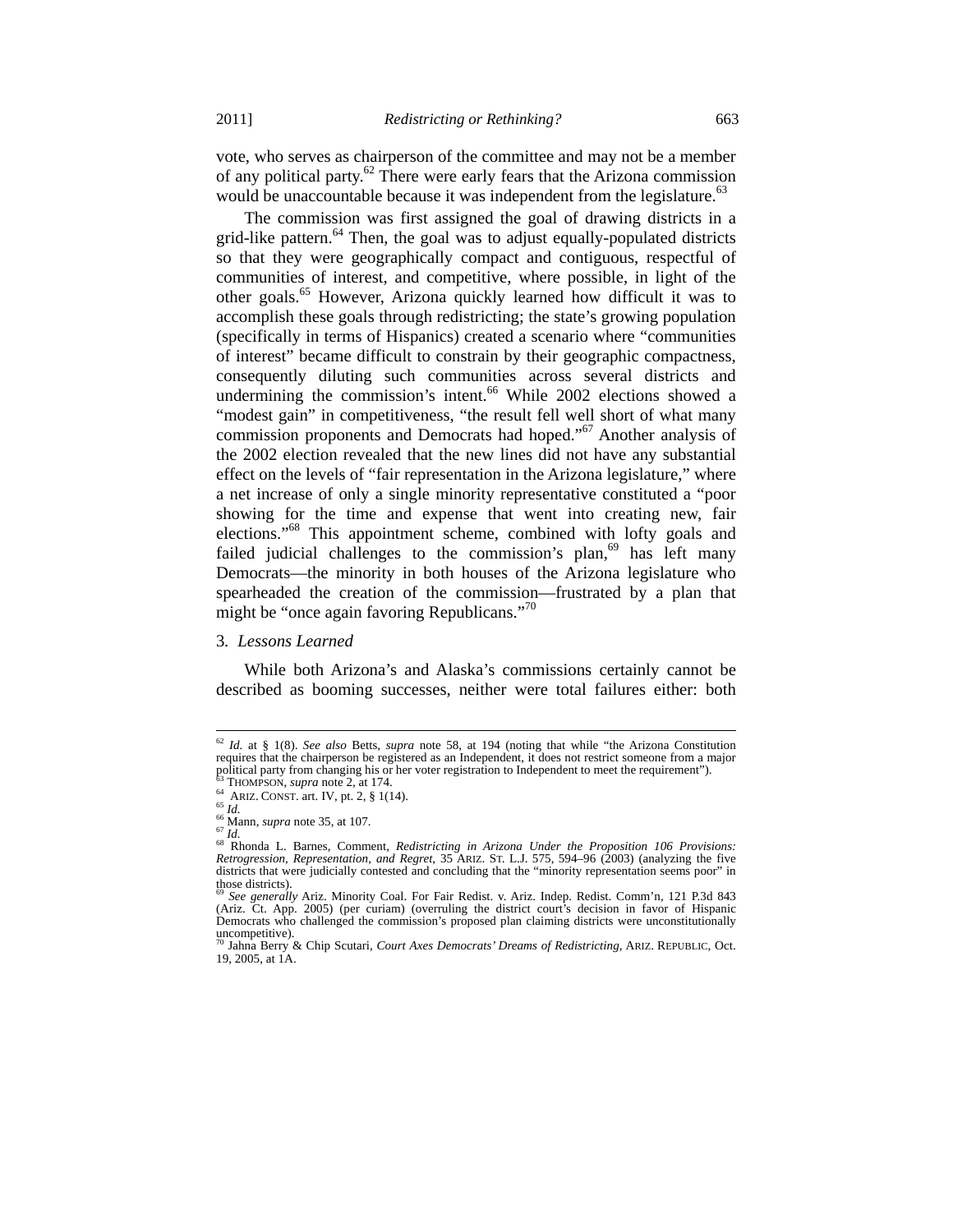vote, who serves as chairperson of the committee and may not be a member of any political party.<sup>62</sup> There were early fears that the Arizona commission would be unaccountable because it was independent from the legislature.<sup>63</sup>

The commission was first assigned the goal of drawing districts in a grid-like pattern. $64$  Then, the goal was to adjust equally-populated districts so that they were geographically compact and contiguous, respectful of communities of interest, and competitive, where possible, in light of the other goals.<sup>65</sup> However, Arizona quickly learned how difficult it was to accomplish these goals through redistricting; the state's growing population (specifically in terms of Hispanics) created a scenario where "communities of interest" became difficult to constrain by their geographic compactness, consequently diluting such communities across several districts and undermining the commission's intent.<sup>66</sup> While 2002 elections showed a "modest gain" in competitiveness, "the result fell well short of what many commission proponents and Democrats had hoped."67 Another analysis of the 2002 election revealed that the new lines did not have any substantial effect on the levels of "fair representation in the Arizona legislature," where a net increase of only a single minority representative constituted a "poor showing for the time and expense that went into creating new, fair elections."68 This appointment scheme, combined with lofty goals and failed judicial challenges to the commission's plan,  $69$  has left many Democrats—the minority in both houses of the Arizona legislature who spearheaded the creation of the commission—frustrated by a plan that might be "once again favoring Republicans."<sup>70</sup>

# 3*. Lessons Learned*

While both Arizona's and Alaska's commissions certainly cannot be described as booming successes, neither were total failures either: both

<sup>62</sup> *Id.* at § 1(8). *See also* Betts, *supra* note 58, at 194 (noting that while "the Arizona Constitution requires that the chairperson be registered as an Independent, it does not restrict someone from a major political party from changing his or her voter registration to Independent to meet the requirement").

political party from changing his or her voter registration to Independent to meet the requirement").<br><sup>65</sup> THOMPSON, *supra* note 2, at 174.<br><sup>66</sup> ARIZ. CONST. art. IV, pt. 2, § 1(14).<br><sup>66</sup> Mann, *supra* note 35, at 107.<br><sup>6</sup> districts that were judicially contested and concluding that the "minority representation seems poor" in those districts).

<sup>&</sup>lt;sup>69</sup> See generally Ariz. Minority Coal. For Fair Redist. v. Ariz. Indep. Redist. Comm'n, 121 P.3d 843 (Ariz. Ct. App. 2005) (per curiam) (overruling the district court's decision in favor of Hispanic Democrats who challenged the commission's proposed plan claiming districts were unconstitutionally uncompetitive).

<sup>70</sup> Jahna Berry & Chip Scutari, *Court Axes Democrats' Dreams of Redistricting*, ARIZ. REPUBLIC, Oct. 19, 2005, at 1A.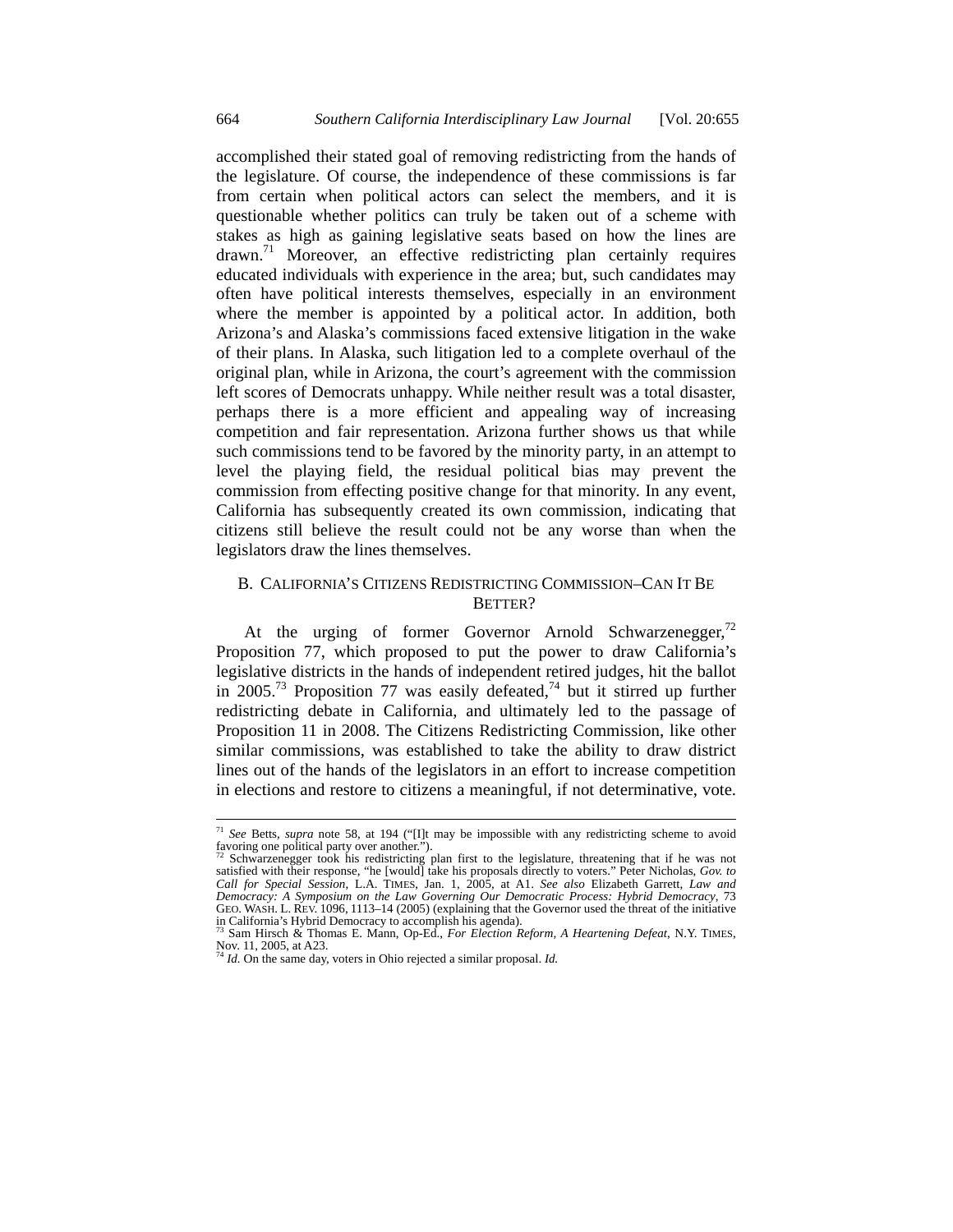accomplished their stated goal of removing redistricting from the hands of the legislature. Of course, the independence of these commissions is far from certain when political actors can select the members, and it is questionable whether politics can truly be taken out of a scheme with stakes as high as gaining legislative seats based on how the lines are drawn.71 Moreover, an effective redistricting plan certainly requires educated individuals with experience in the area; but, such candidates may often have political interests themselves, especially in an environment where the member is appointed by a political actor. In addition, both Arizona's and Alaska's commissions faced extensive litigation in the wake of their plans. In Alaska, such litigation led to a complete overhaul of the original plan, while in Arizona, the court's agreement with the commission left scores of Democrats unhappy. While neither result was a total disaster, perhaps there is a more efficient and appealing way of increasing competition and fair representation. Arizona further shows us that while such commissions tend to be favored by the minority party, in an attempt to level the playing field, the residual political bias may prevent the commission from effecting positive change for that minority. In any event, California has subsequently created its own commission, indicating that citizens still believe the result could not be any worse than when the legislators draw the lines themselves.

# B. CALIFORNIA'S CITIZENS REDISTRICTING COMMISSION–CAN IT BE BETTER?

At the urging of former Governor Arnold Schwarzenegger, $72$ Proposition 77, which proposed to put the power to draw California's legislative districts in the hands of independent retired judges, hit the ballot in  $2005.^{73}$  Proposition 77 was easily defeated,<sup>74</sup> but it stirred up further redistricting debate in California, and ultimately led to the passage of Proposition 11 in 2008. The Citizens Redistricting Commission, like other similar commissions, was established to take the ability to draw district lines out of the hands of the legislators in an effort to increase competition in elections and restore to citizens a meaningful, if not determinative, vote.

 $\overline{a}$ <sup>71</sup> *See* Betts, *supra* note 58, at 194 ("[I]t may be impossible with any redistricting scheme to avoid favoring one political party over another.").

<sup>&</sup>lt;sup>72</sup> Schwarzenegger took his redistricting plan first to the legislature, threatening that if he was not satisfied with their response, "he [would] take his proposals directly to voters." Peter Nicholas, *Gov. to Call for Special Session*, L.A. TIMES, Jan. 1, 2005, at A1. *See also* Elizabeth Garrett, *Law and Democracy: A Symposium on the Law Governing Our Democratic Process: Hybrid Democracy*, 73 GEO. WASH. L. REV. 1096, 1113–14 (2005) (explaining that the Governor used the threat of the initiative in California's Hybrid Democracy to accomplish his agenda).

<sup>73</sup> Sam Hirsch & Thomas E. Mann, Op-Ed., *For Election Reform, A Heartening Defeat*, N.Y. TIMES, Nov. 11, 2005, at A23. <sup>74</sup> *Id.* On the same day, voters in Ohio rejected a similar proposal. *Id.*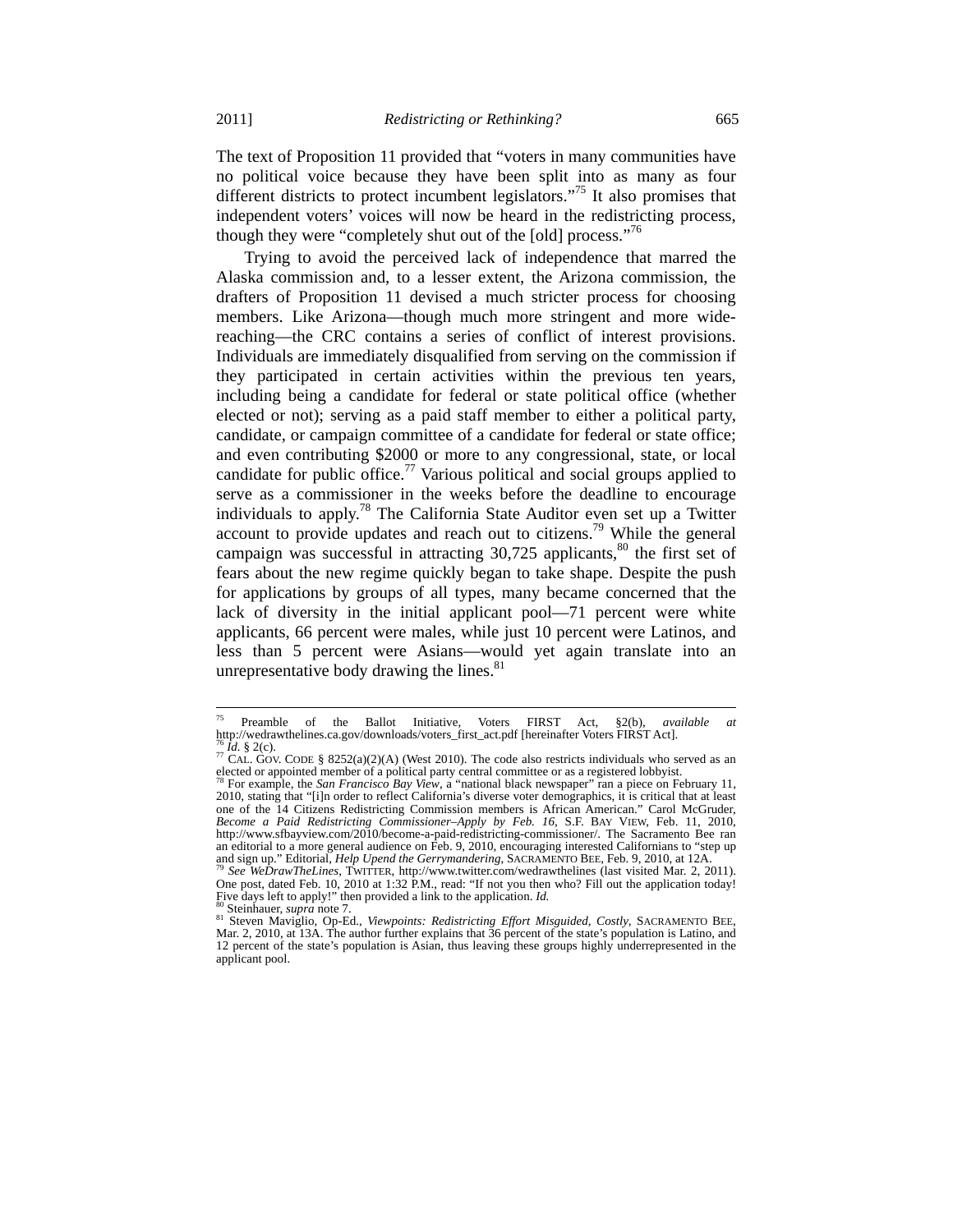The text of Proposition 11 provided that "voters in many communities have no political voice because they have been split into as many as four different districts to protect incumbent legislators."75 It also promises that independent voters' voices will now be heard in the redistricting process, though they were "completely shut out of the [old] process."<sup>76</sup>

Trying to avoid the perceived lack of independence that marred the Alaska commission and, to a lesser extent, the Arizona commission, the drafters of Proposition 11 devised a much stricter process for choosing members. Like Arizona—though much more stringent and more widereaching—the CRC contains a series of conflict of interest provisions. Individuals are immediately disqualified from serving on the commission if they participated in certain activities within the previous ten years, including being a candidate for federal or state political office (whether elected or not); serving as a paid staff member to either a political party, candidate, or campaign committee of a candidate for federal or state office; and even contributing \$2000 or more to any congressional, state, or local candidate for public office.<sup>77</sup> Various political and social groups applied to serve as a commissioner in the weeks before the deadline to encourage individuals to apply.<sup>78</sup> The California State Auditor even set up a Twitter account to provide updates and reach out to citizens.<sup>79</sup> While the general campaign was successful in attracting  $30,725$  applicants,<sup>80</sup> the first set of fears about the new regime quickly began to take shape. Despite the push for applications by groups of all types, many became concerned that the lack of diversity in the initial applicant pool—71 percent were white applicants, 66 percent were males, while just 10 percent were Latinos, and less than 5 percent were Asians—would yet again translate into an unrepresentative body drawing the lines. $81$ 

<sup>75</sup> Preamble of the Ballot Initiative, Voters FIRST Act, §2(b), *available at* 

<sup>&</sup>lt;sup>76</sup> *Id.* § 2(c). <br><sup>77</sup> CAL. GOV. CODE § 8252(a)(2)(A) (West 2010). The code also restricts individuals who served as an elected or appointed member of a political party central committee or as a registered lobbyist. 78 For example, the *San Francisco Bay View*, a "national black newspaper" ran a piece on February 11,

<sup>2010,</sup> stating that "[i]n order to reflect California's diverse voter demographics, it is critical that at least one of the 14 Citizens Redistricting Commission members is African American." Carol McGruder, *Become a Paid Redistricting Commissioner–Apply by Feb. 16,* S.F. BAY VIEW, Feb. 11, 2010, http://www.sfbayview.com/2010/become-a-paid-redistricting-commissioner/. The Sacramento Bee ran an editorial to a more general audience on Feb. 9, 2010, encouraging interested Californians to "step up<br>and sign up." Editorial, *Help Upend the Gerrymandering*, SACRAMENTO BEE, Feb. 9, 2010, at 12A. and sign up." Editorial, *Help Upend the Gerrymandering*, SACRAMENTO BEE, Feb. 9, 2010, at 12A. 79 *See WeDrawTheLines*, TWITTER, http://www.twitter.com/wedrawthelines (last visited Mar. 2, 2011).

One post, dated Feb. 10, 2010 at 1:32 P.M., read: "If not you then who? Fill out the application today!

Five days left to apply!" then provided a link to the application. *Id.*<br><sup>80</sup> Steinhauer, *supra* note 7.<br><sup>81</sup> Steven Maviglio, Op-Ed., *Viewpoints: Redistricting Effort Misguided, Costly*, SACRAMENTO BEE,<br>Mar. 2, 2010, at 12 percent of the state's population is Asian, thus leaving these groups highly underrepresented in the applicant pool.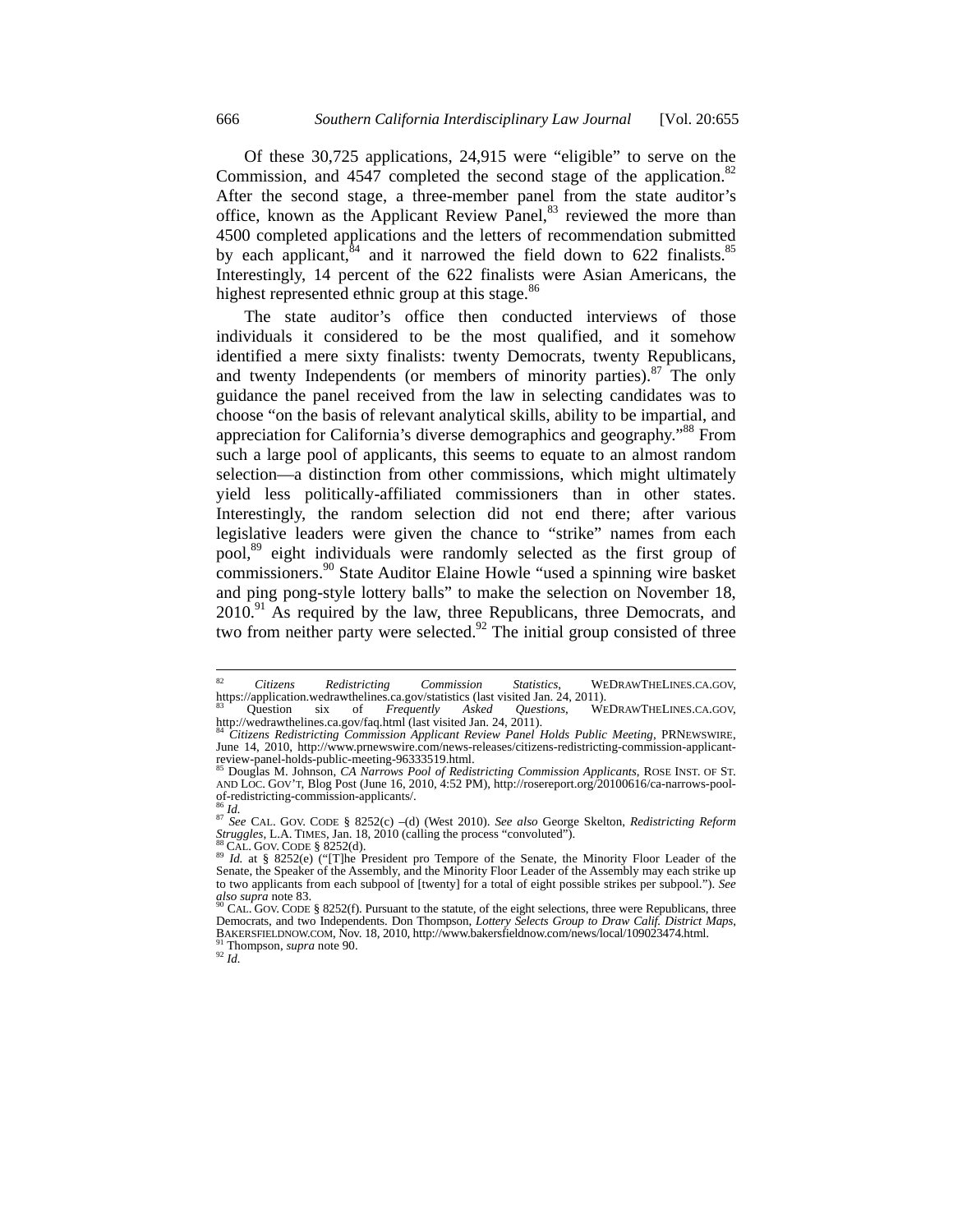Of these 30,725 applications, 24,915 were "eligible" to serve on the Commission, and  $4547$  completed the second stage of the application.<sup>82</sup> After the second stage, a three-member panel from the state auditor's office, known as the Applicant Review Panel,<sup>83</sup> reviewed the more than 4500 completed applications and the letters of recommendation submitted by each applicant, ${}^{84}$  and it narrowed the field down to 622 finalists.<sup>85</sup> Interestingly, 14 percent of the 622 finalists were Asian Americans, the highest represented ethnic group at this stage. $86$ 

The state auditor's office then conducted interviews of those individuals it considered to be the most qualified, and it somehow identified a mere sixty finalists: twenty Democrats, twenty Republicans, and twenty Independents (or members of minority parties). $87$  The only guidance the panel received from the law in selecting candidates was to choose "on the basis of relevant analytical skills, ability to be impartial, and appreciation for California's diverse demographics and geography."<sup>88</sup> From such a large pool of applicants, this seems to equate to an almost random selection—a distinction from other commissions, which might ultimately yield less politically-affiliated commissioners than in other states. Interestingly, the random selection did not end there; after various legislative leaders were given the chance to "strike" names from each pool,<sup>89</sup> eight individuals were randomly selected as the first group of commissioners.90 State Auditor Elaine Howle "used a spinning wire basket and ping pong-style lottery balls" to make the selection on November 18,  $2010<sup>91</sup>$  As required by the law, three Republicans, three Democrats, and two from neither party were selected.<sup>92</sup> The initial group consisted of three

<sup>82</sup> <sup>82</sup> *Citizens Redistricting Commission Statistics*, WEDRAWTHELINES.CA.GOV,

https://application.wedrawthelines.ca.gov/statistics (last visited Jan. 24, 2011).<br><sup>83</sup> Question six of *Frequently Asked Questions*, WEDRAWTHELINES.CA.GOV,<br>http://wedrawthelines.ca.gov/faq.html (last visited Jan. 24, 2011

http://wedrawthelines.ca.gov/faq.html (last visited Jan. 24, 2011). 84 *Citizens Redistricting Commission Applicant Review Panel Holds Public Meeting*, PRNEWSWIRE, June 14, 2010, http://www.prnewswire.com/news-releases/citizens-redistricting-commission-applicant-<br>review-panel-holds-public-meeting-96333519.html.

Douglas M. Johnson, *CA Narrows Pool of Redistricting Commission Applicants*, ROSE INST. OF ST. AND LOC. GOV'T, Blog Post (June 16, 2010, 4:52 PM), http://rosereport.org/20100616/ca-narrows-pool-<br>of-redistricting-commission-applicants/. of-redistricting-commission-applicants/.<br><sup>86</sup>*Id.*<br><sup>87</sup> *See* CAL. GOV. CODE § 8252(c) –(d) (West 2010). *See also* George Skelton, *Redistricting Reform* 

*Struggles*, L.A. TIMES, Jan. 18, 2010 (calling the process "convoluted").<br><sup>88</sup> CAL. GOV. CODE § 8252(d).<br><sup>89</sup> *Id.* at § 8252(e) ("[T]he President pro Tempore of the Senate, the Minority Floor Leader of the

SENCE SOLUS SENATOR PRESERVER OF THE PRESERVERTOR OF THE SENATOR SCHOOL SUITS SENATOR SCHOOL SUITS SENATOR STRIKE UP<br>Senate, the Speaker of the Assembly, and the Minority Floor Leader of the Assembly may each strike up to two applicants from each subpool of [twenty] for a total of eight possible strikes per subpool."). *See* 

*also supra* note 83. <sup>90</sup> CAL. GOV. CODE § 8252(f). Pursuant to the statute, of the eight selections, three were Republicans, three Democrats, and two Independents. Don Thompson, *Lottery Selects Group to Draw Calif. Dist* BAKERSFIELDNOW.COM, Nov. 18, 2010, http://www.bakersfieldnow.com/news/local/109023474.html.<br><sup>91</sup> Thompson, *supra* note 90.<br><sup>92</sup> Id.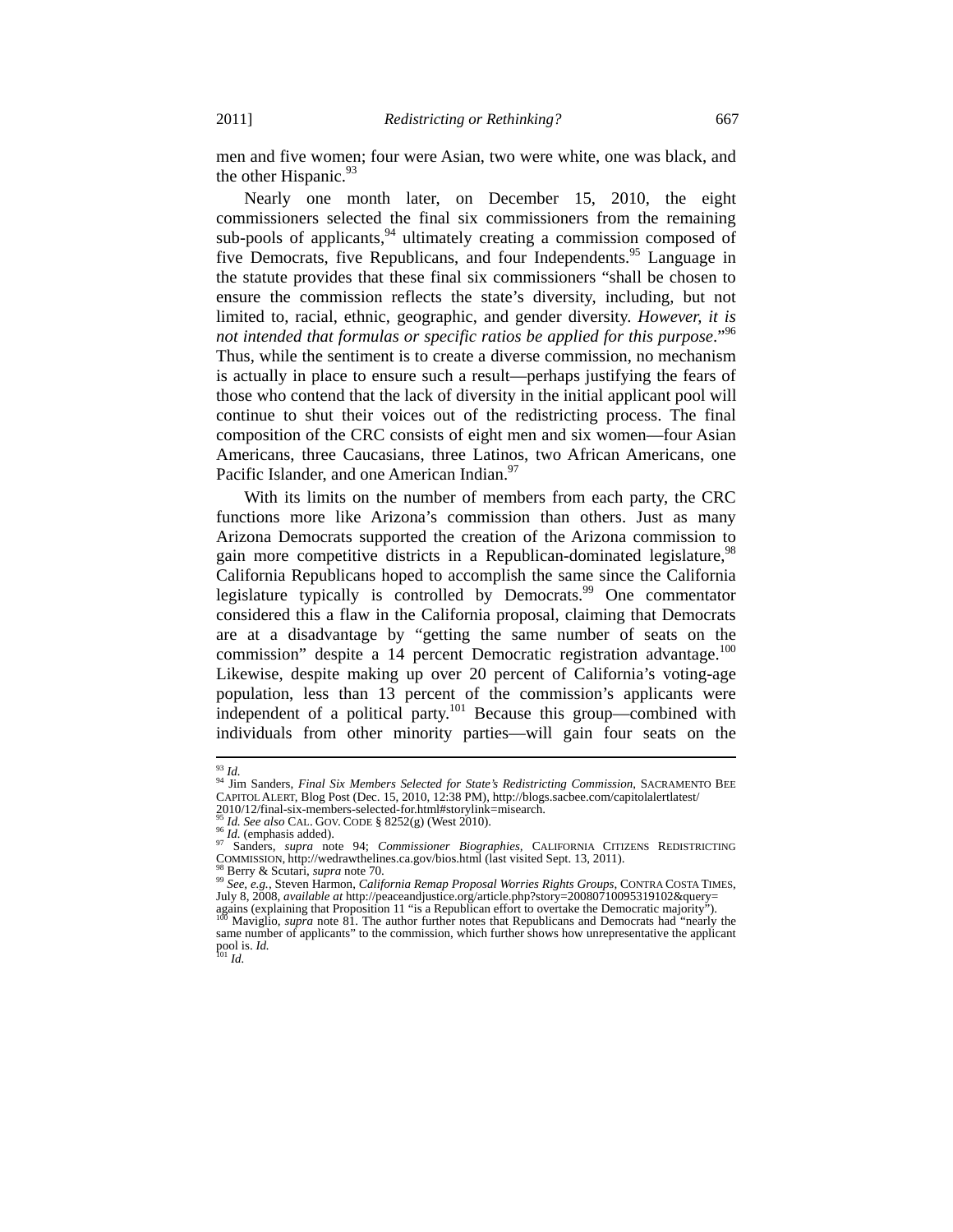men and five women; four were Asian, two were white, one was black, and the other Hispanic. $93$ 

Nearly one month later, on December 15, 2010, the eight commissioners selected the final six commissioners from the remaining sub-pools of applicants,<sup>94</sup> ultimately creating a commission composed of five Democrats, five Republicans, and four Independents.<sup>95</sup> Language in the statute provides that these final six commissioners "shall be chosen to ensure the commission reflects the state's diversity, including, but not limited to, racial, ethnic, geographic, and gender diversity. *However, it is not intended that formulas or specific ratios be applied for this purpose*."96 Thus, while the sentiment is to create a diverse commission, no mechanism is actually in place to ensure such a result—perhaps justifying the fears of those who contend that the lack of diversity in the initial applicant pool will continue to shut their voices out of the redistricting process. The final composition of the CRC consists of eight men and six women—four Asian Americans, three Caucasians, three Latinos, two African Americans, one Pacific Islander, and one American Indian.<sup>97</sup>

With its limits on the number of members from each party, the CRC functions more like Arizona's commission than others. Just as many Arizona Democrats supported the creation of the Arizona commission to gain more competitive districts in a Republican-dominated legislature,<sup>98</sup> California Republicans hoped to accomplish the same since the California legislature typically is controlled by Democrats.<sup>99</sup> One commentator considered this a flaw in the California proposal, claiming that Democrats are at a disadvantage by "getting the same number of seats on the commission" despite a 14 percent Democratic registration advantage.<sup>100</sup> Likewise, despite making up over 20 percent of California's voting-age population, less than 13 percent of the commission's applicants were independent of a political party.<sup>101</sup> Because this group—combined with individuals from other minority parties—will gain four seats on the

 $^{93}$  Id.

<sup>&</sup>lt;sup>93</sup> Id.<br><sup>94</sup> Jim Sanders, *Final Six Members Selected for State's Redistricting Commission*, SACRAMENTO BEE<br>CAPITOL ALERT, Blog Post (Dec. 15, 2010, 12:38 PM), http://blogs.sacbee.com/capitolalertlatest/

<sup>2010/12/</sup>final-six-members-selected-for.html#storylink=misearch.<br><sup>95</sup> Id. See also CAL. GOV. CODE § 8252(g) (West 2010).

*<sup>95</sup> Id. See also* CAL. GOV. CODE § 8252(g) (West 2010).<br><sup>96</sup> *Id.* (emphasis added).<br>COMMISSION, http://wedtawithelines.ca.gov/bios.html (last visited Sept. 13, 2011).<br>SANDERS REDISTRICTING COMMISSION.<br>POLYGIAL PRESS, NEW

<sup>&</sup>lt;sup>98</sup> Berry & Scutari, *supra* note 70.<br><sup>99</sup> See, e.g., Steven Harmon, *California Remap Proposal Worries Rights Groups*, CONTRA COSTA TIMES, agains (explaining that Proposition 11 "is a Republican effort to overtake that Democratic majority"). In 1908, 2008, *available at* http://peaceandjustice.org/article.php?story=20080710095319102&query=<br>agains (explaining

same number of applicants" to the commission, which further shows how unrepresentative the applicant pool is. *Id.* <sup>101</sup> *Id.*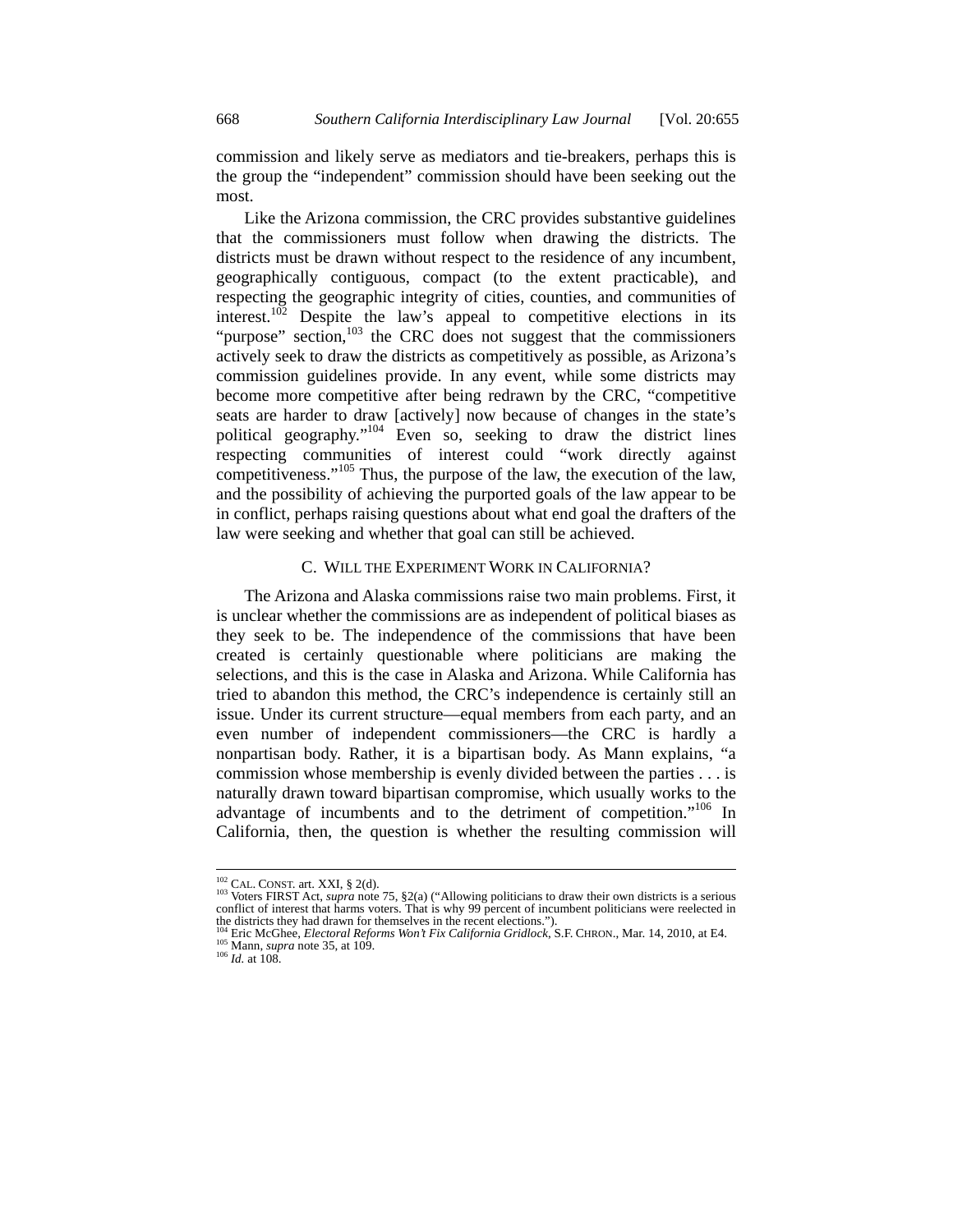commission and likely serve as mediators and tie-breakers, perhaps this is the group the "independent" commission should have been seeking out the most.

Like the Arizona commission, the CRC provides substantive guidelines that the commissioners must follow when drawing the districts. The districts must be drawn without respect to the residence of any incumbent, geographically contiguous, compact (to the extent practicable), and respecting the geographic integrity of cities, counties, and communities of interest.<sup>102</sup> Despite the law's appeal to competitive elections in its "purpose" section, $103$  the CRC does not suggest that the commissioners actively seek to draw the districts as competitively as possible, as Arizona's commission guidelines provide. In any event, while some districts may become more competitive after being redrawn by the CRC, "competitive seats are harder to draw [actively] now because of changes in the state's political geography."<sup>104</sup> Even so, seeking to draw the district lines respecting communities of interest could "work directly against competitiveness."<sup>105</sup> Thus, the purpose of the law, the execution of the law, and the possibility of achieving the purported goals of the law appear to be in conflict, perhaps raising questions about what end goal the drafters of the law were seeking and whether that goal can still be achieved.

#### C. WILL THE EXPERIMENT WORK IN CALIFORNIA?

The Arizona and Alaska commissions raise two main problems. First, it is unclear whether the commissions are as independent of political biases as they seek to be. The independence of the commissions that have been created is certainly questionable where politicians are making the selections, and this is the case in Alaska and Arizona. While California has tried to abandon this method, the CRC's independence is certainly still an issue. Under its current structure—equal members from each party, and an even number of independent commissioners—the CRC is hardly a nonpartisan body. Rather, it is a bipartisan body. As Mann explains, "a commission whose membership is evenly divided between the parties . . . is naturally drawn toward bipartisan compromise, which usually works to the advantage of incumbents and to the detriment of competition."<sup>106</sup> In California, then, the question is whether the resulting commission will

 $^{102}$  CAL. CONST. art. XXI, § 2(d).

<sup>&</sup>lt;sup>102</sup> CAL. CONST. art. XXI, § 2(d).<br><sup>103</sup> Voters FIRST Act, *supra* note 75, §2(a) ("Allowing politicians to draw their own districts is a serious<br>conflict of interest that harms voters. That is why 99 percent of incumben

the districts they had drawn for themselves in the recent elections.").<br>
<sup>104</sup> Eric McGhee, *Electoral Reforms Won't Fix California Gridlock*, S.F. CHRON., Mar. 14, 2010, at E4.<br>
<sup>105</sup> Mann, *supra* note 35, at 109.<br>
<sup>106</sup>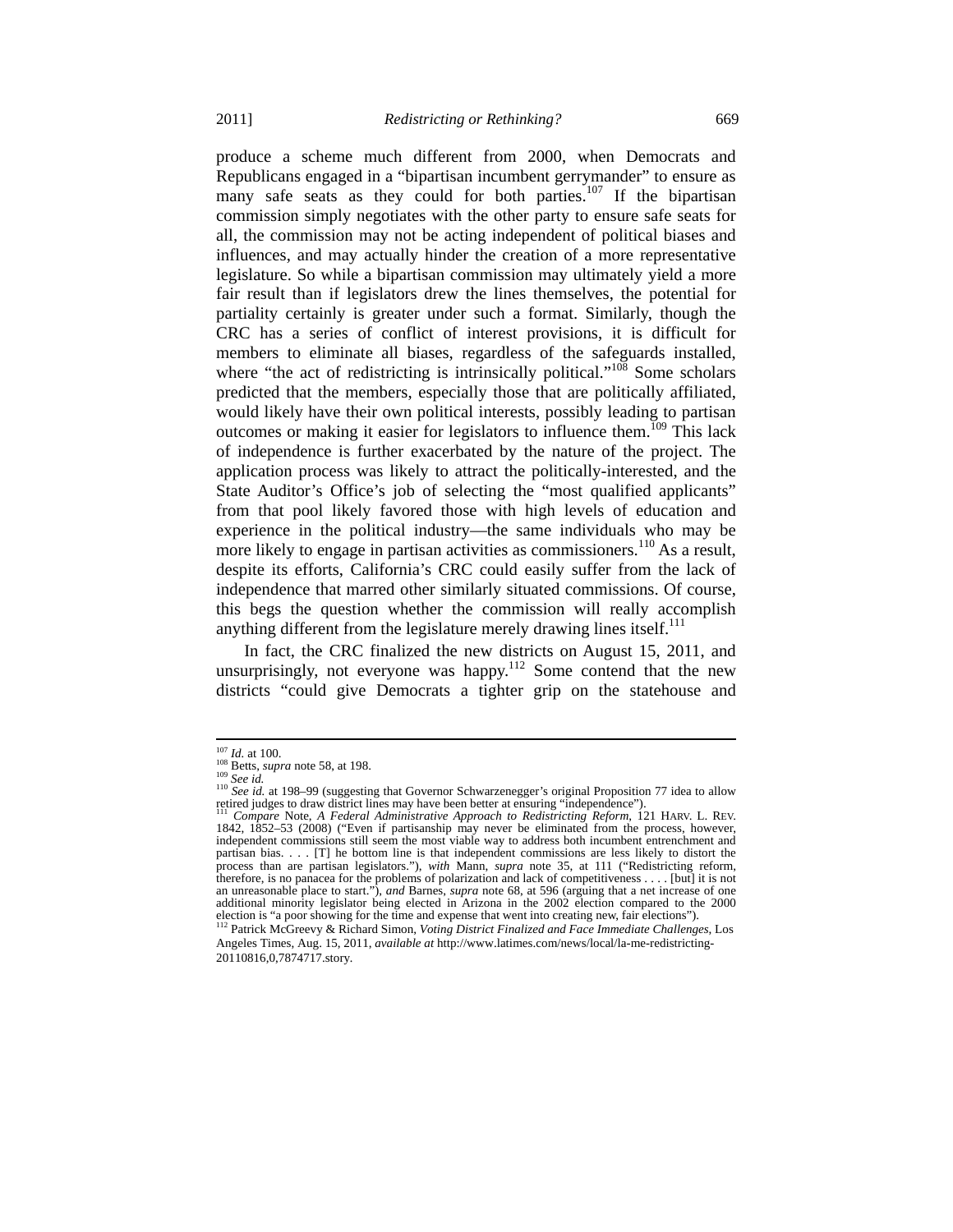produce a scheme much different from 2000, when Democrats and Republicans engaged in a "bipartisan incumbent gerrymander" to ensure as many safe seats as they could for both parties.<sup>107</sup> If the bipartisan commission simply negotiates with the other party to ensure safe seats for all, the commission may not be acting independent of political biases and influences, and may actually hinder the creation of a more representative legislature. So while a bipartisan commission may ultimately yield a more fair result than if legislators drew the lines themselves, the potential for partiality certainly is greater under such a format. Similarly, though the CRC has a series of conflict of interest provisions, it is difficult for members to eliminate all biases, regardless of the safeguards installed, where "the act of redistricting is intrinsically political."<sup>108</sup> Some scholars predicted that the members, especially those that are politically affiliated, would likely have their own political interests, possibly leading to partisan outcomes or making it easier for legislators to influence them.<sup>109</sup> This lack of independence is further exacerbated by the nature of the project. The application process was likely to attract the politically-interested, and the State Auditor's Office's job of selecting the "most qualified applicants" from that pool likely favored those with high levels of education and experience in the political industry—the same individuals who may be more likely to engage in partisan activities as commissioners.<sup>110</sup> As a result, despite its efforts, California's CRC could easily suffer from the lack of independence that marred other similarly situated commissions. Of course, this begs the question whether the commission will really accomplish anything different from the legislature merely drawing lines itself.<sup>111</sup>

In fact, the CRC finalized the new districts on August 15, 2011, and unsurprisingly, not everyone was happy.<sup>112</sup> Some contend that the new districts "could give Democrats a tighter grip on the statehouse and

 $^{107}$   $\emph{Id.}$  at 100.

<sup>&</sup>lt;sup>108</sup> Betts, *supra* note 58, at 198.<br><sup>109</sup> *See id.*<br><sup>110</sup> *See id.* at 198–99 (suggesting that Governor Schwarzenegger's original Proposition 77 idea to allow retired judges to draw district lines may have been better at ensuring "independence"). 111 *Compare* Note, *A Federal Administrative Approach to Redistricting Reform*, 121 HARV. L. REV.

<sup>1842,</sup> 1852–53 (2008) ("Even if partisanship may never be eliminated from the process, however, independent commissions still seem the most viable way to address both incumbent entrenchment and partisan bias. . . . [T] he bottom line is that independent commissions are less likely to distort the process than are partisan legislators."), *with* Mann, *supra* note 35, at 111 ("Redistricting reform, therefore, is no panacea for the problems of polarization and lack of competitiveness . . . . [but] it is not an unreasonable place to start."), *and* Barnes, *supra* note 68, at 596 (arguing that a net increase of one additional minority legislator being elected in Arizona in the 2002 election compared to the 2000 election is "a poor showing for the time and expense that went into creating new, fair elections"). 112 Patrick McGreevy & Richard Simon, *Voting District Finalized and Face Immediate Challenges*, Los

Angeles Times, Aug. 15, 2011, *available at* http://www.latimes.com/news/local/la-me-redistricting-20110816,0,7874717.story*.*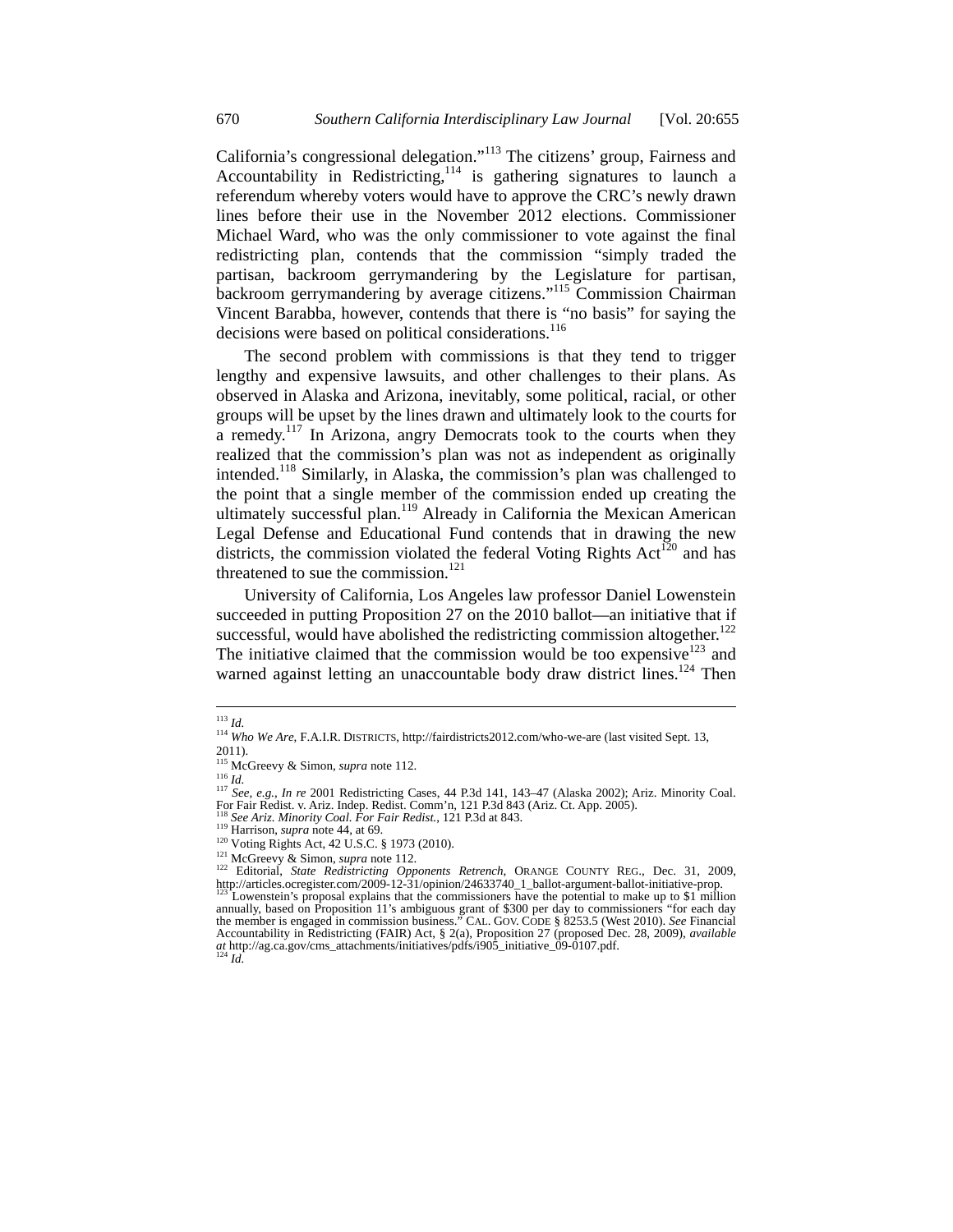California's congressional delegation."<sup>113</sup> The citizens' group, Fairness and Accountability in Redistricting,  $114$  is gathering signatures to launch a referendum whereby voters would have to approve the CRC's newly drawn lines before their use in the November 2012 elections. Commissioner Michael Ward, who was the only commissioner to vote against the final redistricting plan, contends that the commission "simply traded the partisan, backroom gerrymandering by the Legislature for partisan, backroom gerrymandering by average citizens."115 Commission Chairman Vincent Barabba, however, contends that there is "no basis" for saying the decisions were based on political considerations.<sup>116</sup>

The second problem with commissions is that they tend to trigger lengthy and expensive lawsuits, and other challenges to their plans. As observed in Alaska and Arizona, inevitably, some political, racial, or other groups will be upset by the lines drawn and ultimately look to the courts for a remedy.<sup>117</sup> In Arizona, angry Democrats took to the courts when they realized that the commission's plan was not as independent as originally intended.<sup>118</sup> Similarly, in Alaska, the commission's plan was challenged to the point that a single member of the commission ended up creating the ultimately successful plan.<sup>119</sup> Already in California the Mexican American Legal Defense and Educational Fund contends that in drawing the new districts, the commission violated the federal Voting Rights  $Act^{120}$  and has threatened to sue the commission. $121$ 

University of California, Los Angeles law professor Daniel Lowenstein succeeded in putting Proposition 27 on the 2010 ballot—an initiative that if successful, would have abolished the redistricting commission altogether. $122$ The initiative claimed that the commission would be too expensive<sup>123</sup> and warned against letting an unaccountable body draw district lines.<sup>124</sup> Then

<sup>113</sup> *Id.*

<sup>114</sup> *Who We Are*, F.A.I.R. DISTRICTS, http://fairdistricts2012.com/who-we-are (last visited Sept. 13, 2011).

<sup>&</sup>lt;sup>115</sup> McGreevy & Simon, *supra* note 112.<br><sup>116</sup> Id

<sup>&</sup>lt;sup>117</sup> *See, e.g., In re* 2001 Redistricting Cases, 44 P.3d 141, 143–47 (Alaska 2002); Ariz. Minority Coal.<br>For Fair Redist. v. Ariz. Indep. Redist. Comm'n, 121 P.3d 843 (Ariz. Ct. App. 2005).

<sup>&</sup>lt;sup>118</sup> See Ariz. Minority Coal. For Fair Redist., 121 P.3d at 843.<br><sup>129</sup> Harrison, supra note 44, at 69.<br><sup>120</sup> Voting Rights Act, 42 U.S.C. § 1973 (2010).<br><sup>121</sup> McGreevy & Simon, supra note 112.<br><sup>121</sup> Editorial, *State Red* http://articles.ocregister.com/2009-12-31/opinion/24633740\_1\_ballot-argument-ballot-initiative-prop.<br><sup>123</sup> Lowenstein's proposal explains that the commissioners have the potential to make up to \$1 million<br>annually, based o the member is engaged in commission business." CAL. GOV. CODE § 8253.5 (West 2010). *See* Financial Accountability in Redistricting (FAIR) Act, § 2(a), Proposition 27 (proposed Dec. 28, 2009), *available at* http://ag.ca.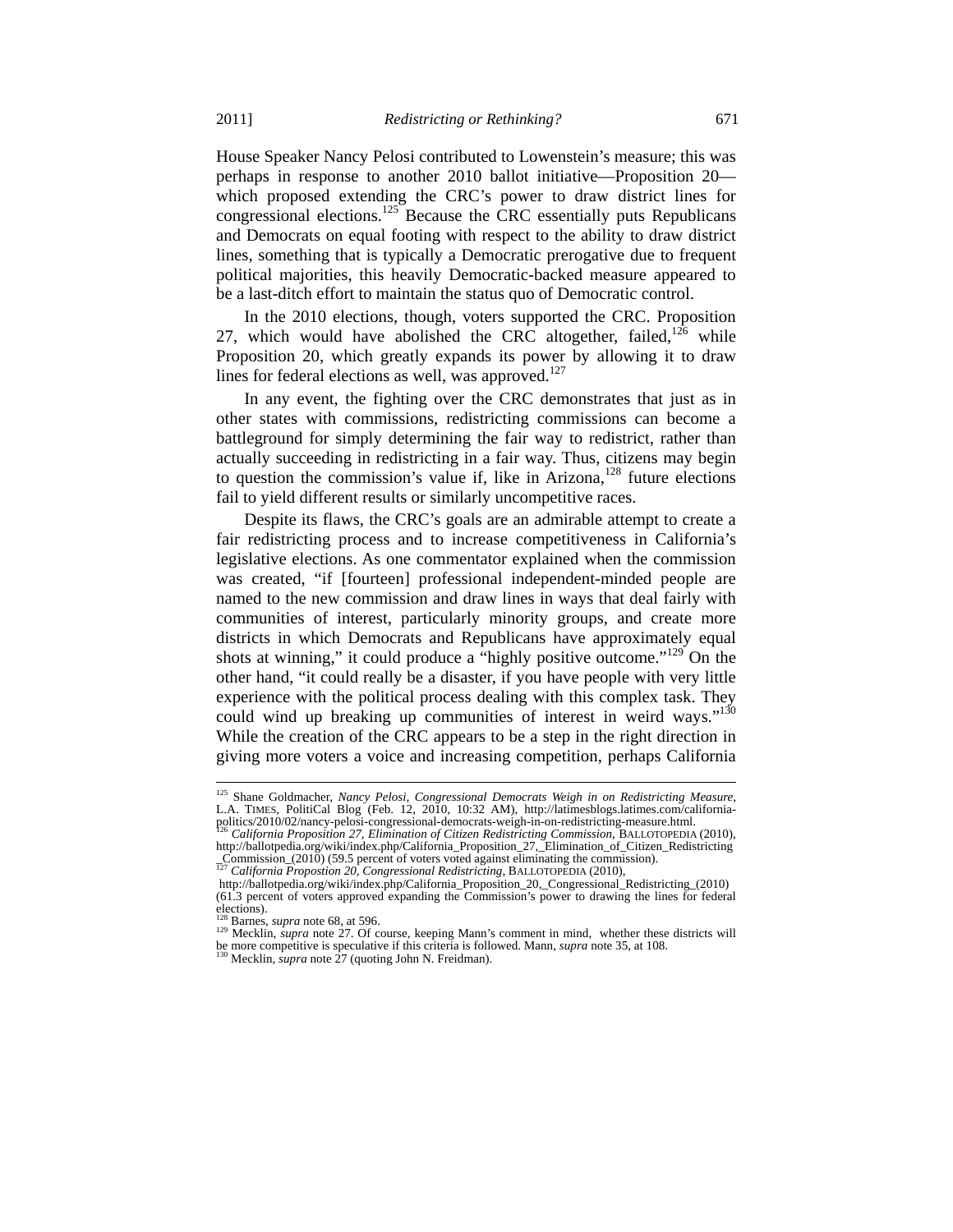House Speaker Nancy Pelosi contributed to Lowenstein's measure; this was perhaps in response to another 2010 ballot initiative—Proposition 20 which proposed extending the CRC's power to draw district lines for congressional elections.<sup>125</sup> Because the CRC essentially puts Republicans and Democrats on equal footing with respect to the ability to draw district lines, something that is typically a Democratic prerogative due to frequent political majorities, this heavily Democratic-backed measure appeared to be a last-ditch effort to maintain the status quo of Democratic control.

In the 2010 elections, though, voters supported the CRC. Proposition 27, which would have abolished the CRC altogether, failed,  $126$  while Proposition 20, which greatly expands its power by allowing it to draw lines for federal elections as well, was approved.<sup>127</sup>

In any event, the fighting over the CRC demonstrates that just as in other states with commissions, redistricting commissions can become a battleground for simply determining the fair way to redistrict, rather than actually succeeding in redistricting in a fair way. Thus, citizens may begin to question the commission's value if, like in Arizona,<sup>128</sup> future elections fail to yield different results or similarly uncompetitive races.

Despite its flaws, the CRC's goals are an admirable attempt to create a fair redistricting process and to increase competitiveness in California's legislative elections. As one commentator explained when the commission was created, "if [fourteen] professional independent-minded people are named to the new commission and draw lines in ways that deal fairly with communities of interest, particularly minority groups, and create more districts in which Democrats and Republicans have approximately equal shots at winning," it could produce a "highly positive outcome."<sup>129</sup> On the other hand, "it could really be a disaster, if you have people with very little experience with the political process dealing with this complex task. They could wind up breaking up communities of interest in weird ways."<sup>130</sup> While the creation of the CRC appears to be a step in the right direction in giving more voters a voice and increasing competition, perhaps California

<sup>125</sup> Shane Goldmacher, *Nancy Pelosi, Congressional Democrats Weigh in on Redistricting Measure*, L.A. TIMES, PolitiCal Blog (Feb. 12, 2010, 10:32 AM), http://latimesblogs.latimes.com/californiapolitics/2010/02/nancy-pelosi-congressional-democrats-weigh-in-on-redistricting-measure.html. 126 *California Proposition 27, Elimination of Citizen Redistricting Commission*, BALLOTOPEDIA (2010),

http://ballotpedia.org/wiki/index.php/California\_Proposition\_27, Elimination\_of\_Citizen\_Redistricting \_Commission\_(2010) (59.5 percent of voters voted against eliminating the commission). <sup>127</sup> *California Propostion 20, Congressional Redistricting*, BALLOTOPEDIA (2010),

http://ballotpedia.org/wiki/index.php/California\_Proposition\_20,\_Congressional\_Redistricting\_(2010) (61.3 percent of voters approved expanding the Commission's power to drawing the lines for federal elections).<br><sup>128</sup> Barnes, *supra* note 68, at 596.

<sup>129</sup> Mecklin, *supra* note 27. Of course, keeping Mann's comment in mind, whether these districts will be more competitive is speculative if this criteria is followed. Mann, *supra* note 35, at 108. 130 Mecklin, *supra* note 27 (quoting John N. Freidman).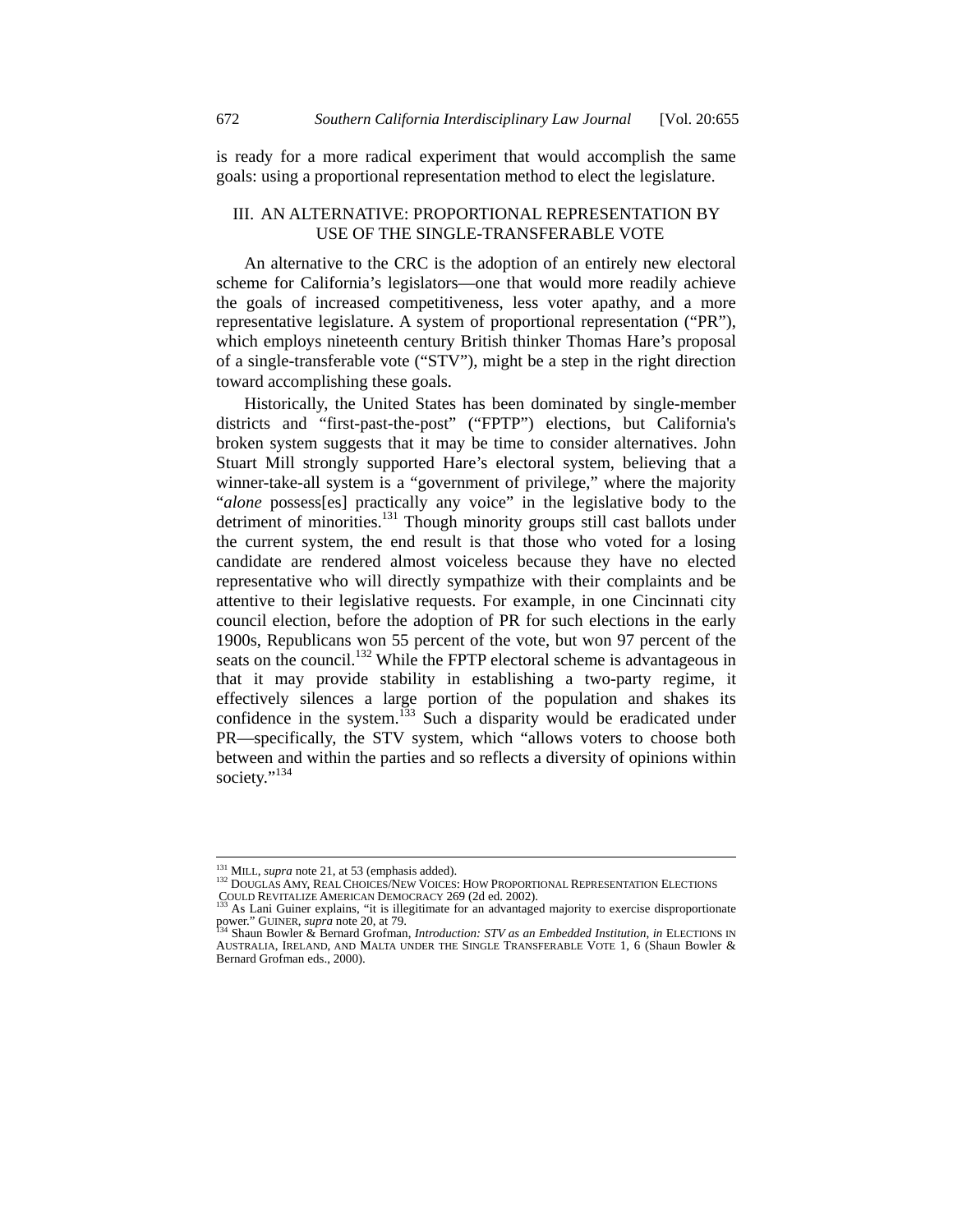is ready for a more radical experiment that would accomplish the same goals: using a proportional representation method to elect the legislature.

# III. AN ALTERNATIVE: PROPORTIONAL REPRESENTATION BY USE OF THE SINGLE-TRANSFERABLE VOTE

An alternative to the CRC is the adoption of an entirely new electoral scheme for California's legislators—one that would more readily achieve the goals of increased competitiveness, less voter apathy, and a more representative legislature. A system of proportional representation ("PR"), which employs nineteenth century British thinker Thomas Hare's proposal of a single-transferable vote ("STV"), might be a step in the right direction toward accomplishing these goals.

Historically, the United States has been dominated by single-member districts and "first-past-the-post" ("FPTP") elections, but California's broken system suggests that it may be time to consider alternatives. John Stuart Mill strongly supported Hare's electoral system, believing that a winner-take-all system is a "government of privilege," where the majority "*alone* possess[es] practically any voice" in the legislative body to the detriment of minorities.<sup>131</sup> Though minority groups still cast ballots under the current system, the end result is that those who voted for a losing candidate are rendered almost voiceless because they have no elected representative who will directly sympathize with their complaints and be attentive to their legislative requests. For example, in one Cincinnati city council election, before the adoption of PR for such elections in the early 1900s, Republicans won 55 percent of the vote, but won 97 percent of the seats on the council.<sup>132</sup> While the FPTP electoral scheme is advantageous in that it may provide stability in establishing a two-party regime, it effectively silences a large portion of the population and shakes its confidence in the system.<sup>133</sup> Such a disparity would be eradicated under PR—specifically, the STV system, which "allows voters to choose both between and within the parties and so reflects a diversity of opinions within society."<sup>134</sup>

<sup>&</sup>lt;sup>131</sup> MILL, *supra* note 21, at 53 (emphasis added).

<sup>132</sup> DOUGLAS AMY, REAL CHOICES/NEW VOICES: HOW PROPORTIONAL REPRESENTATION ELECTIONS<br>COULD REVITALIZE AMERICAN DEMOCRACY 269 (2d ed. 2002).<br><sup>133</sup> As I ani Guines exploras <sup>424</sup> is 11 ani CRACY 269 (2d ed. 2002).

<sup>&</sup>lt;sup>133</sup> As Lani Guiner explains, "it is illegitimate for an advantaged majority to exercise disproportionate power." GUINER, *supra* note 20, at 79.

Shaun Bowler & Bernard Grofman, *Introduction: STV as an Embedded Institution*, *in* ELECTIONS IN AUSTRALIA, IRELAND, AND MALTA UNDER THE SINGLE TRANSFERABLE VOTE 1, 6 (Shaun Bowler & Bernard Grofman eds., 2000).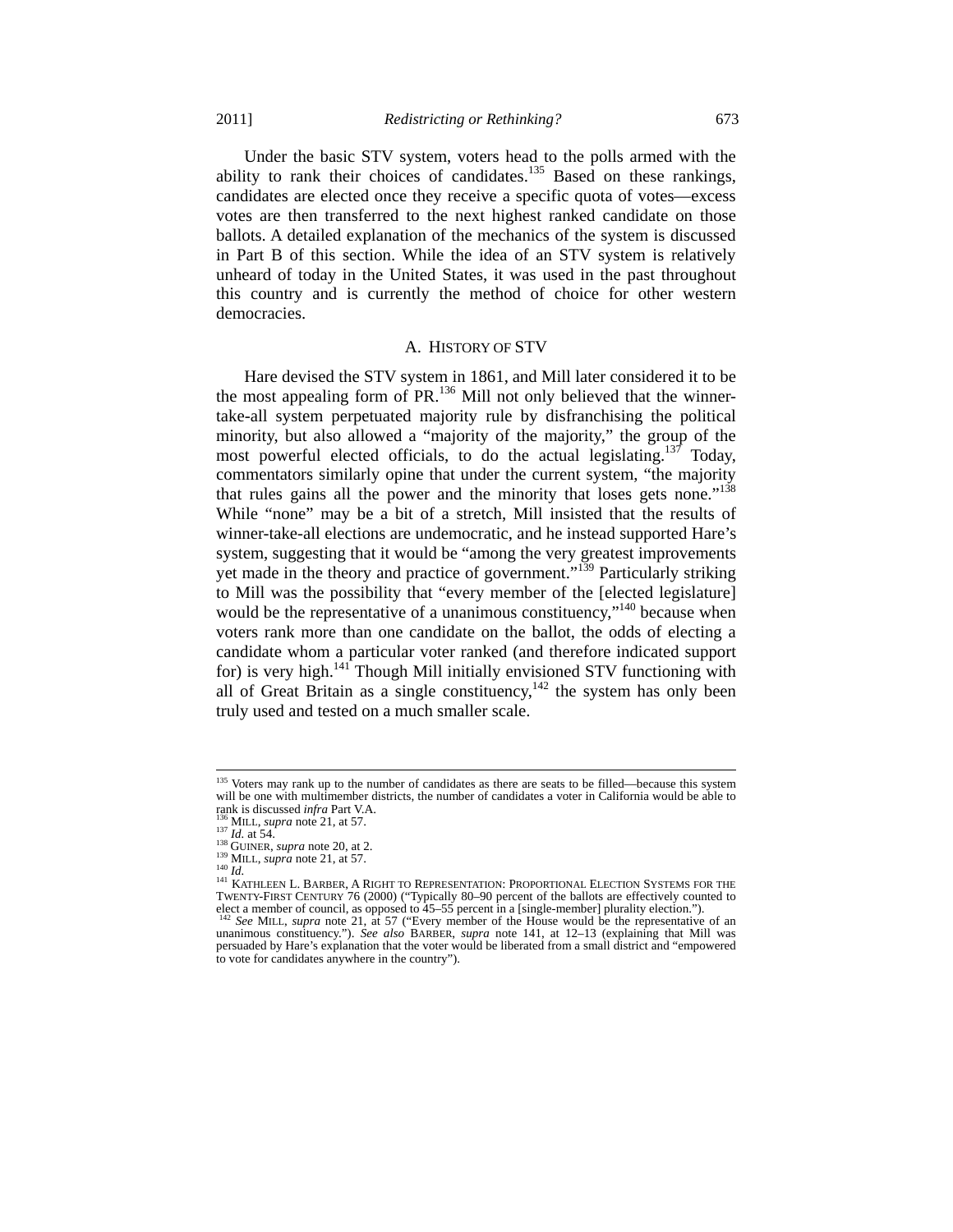Under the basic STV system, voters head to the polls armed with the ability to rank their choices of candidates.<sup>135</sup> Based on these rankings, candidates are elected once they receive a specific quota of votes—excess votes are then transferred to the next highest ranked candidate on those ballots. A detailed explanation of the mechanics of the system is discussed in Part B of this section. While the idea of an STV system is relatively unheard of today in the United States, it was used in the past throughout this country and is currently the method of choice for other western democracies.

#### A. HISTORY OF STV

Hare devised the STV system in 1861, and Mill later considered it to be the most appealing form of  $PR<sup>136</sup>$  Mill not only believed that the winnertake-all system perpetuated majority rule by disfranchising the political minority, but also allowed a "majority of the majority," the group of the most powerful elected officials, to do the actual legislating.<sup>137</sup> Today, commentators similarly opine that under the current system, "the majority that rules gains all the power and the minority that loses gets none."<sup>138</sup> While "none" may be a bit of a stretch, Mill insisted that the results of winner-take-all elections are undemocratic, and he instead supported Hare's system, suggesting that it would be "among the very greatest improvements yet made in the theory and practice of government."<sup>139</sup> Particularly striking to Mill was the possibility that "every member of the [elected legislature] would be the representative of a unanimous constituency,"<sup>140</sup> because when voters rank more than one candidate on the ballot, the odds of electing a candidate whom a particular voter ranked (and therefore indicated support for) is very high.<sup>141</sup> Though Mill initially envisioned STV functioning with all of Great Britain as a single constituency,  $142$  the system has only been truly used and tested on a much smaller scale.

<sup>&</sup>lt;sup>135</sup> Voters may rank up to the number of candidates as there are seats to be filled—because this system will be one with multimember districts, the number of candidates a voter in California would be able to rank is discussed *infra* Part V.A.

<sup>&</sup>lt;sup>136</sup> MILL, *supra* note 21, at 57.<br>
<sup>136</sup> Id. at 54.<br>
<sup>138</sup> GUINER, *supra* note 20, at 2.<br>
<sup>139</sup> MILL, *supra* note 21, at 57.<br>
<sup>140</sup> Id. 141 KATHLEEN L. BARBER, A RIGHT TO REPRESENTATION: PROPORTIONAL ELECTION SYSTEMS TWENTY-FIRST CENTURY 76 (2000) ("Typically 80–90 percent of the ballots are effectively counted to elect a member of council, as opposed to 45–55 percent in a [single-member] plurality election.").

See MILL, *supra* note 21, at 57 ("Every member of the House would be the representative of an unanimous constituency."). *See also* BARBER, *supra* note 141, at 12–13 (explaining that Mill was persuaded by Hare's explanation that the voter would be liberated from a small district and "empowered to vote for candidates anywhere in the country").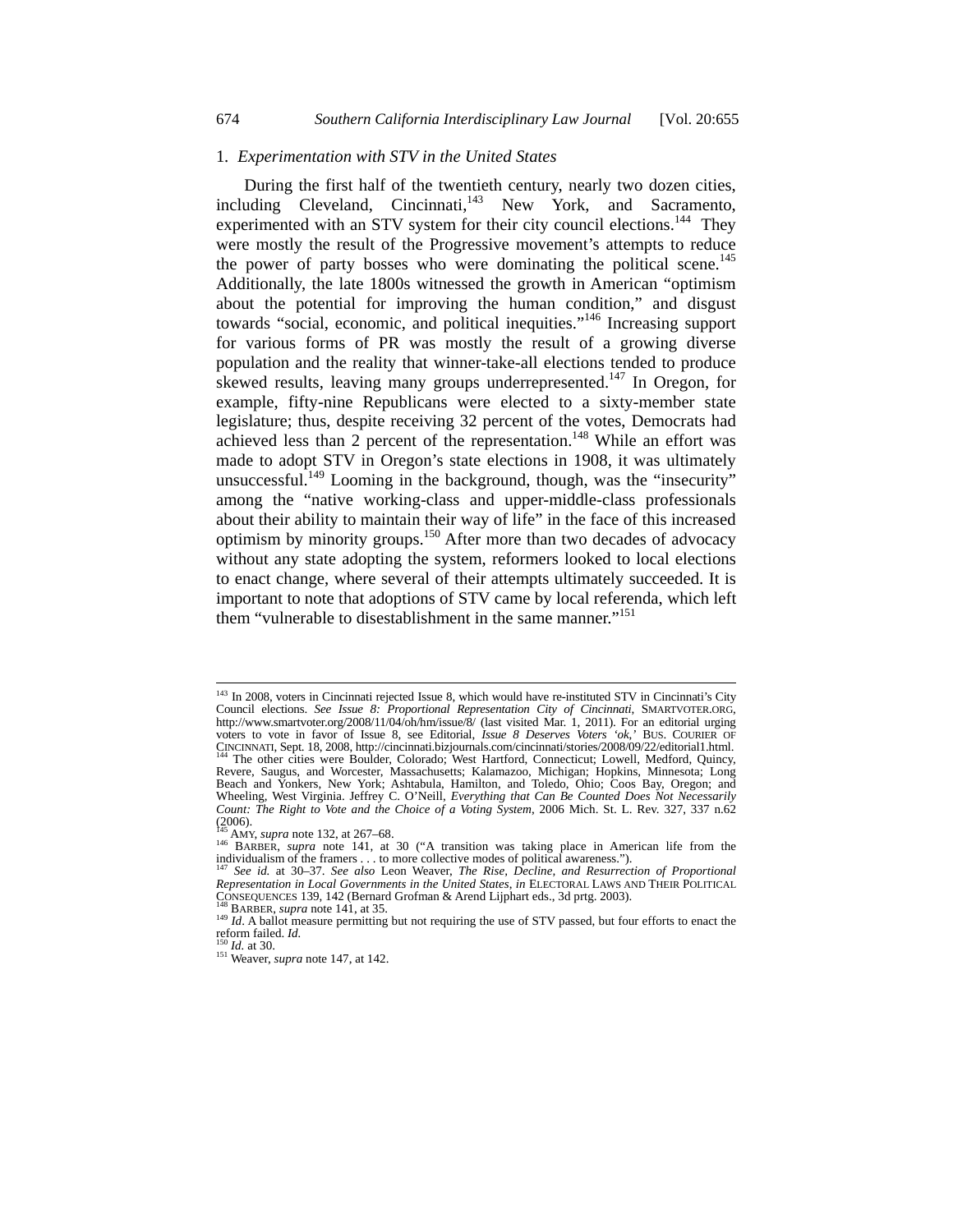#### 1*. Experimentation with STV in the United States*

During the first half of the twentieth century, nearly two dozen cities, including Cleveland, Cincinnati,<sup>143</sup> New York, and Sacramento, experimented with an STV system for their city council elections.<sup>144</sup> They were mostly the result of the Progressive movement's attempts to reduce the power of party bosses who were dominating the political scene.<sup>145</sup> Additionally, the late 1800s witnessed the growth in American "optimism about the potential for improving the human condition," and disgust towards "social, economic, and political inequities."146 Increasing support for various forms of PR was mostly the result of a growing diverse population and the reality that winner-take-all elections tended to produce skewed results, leaving many groups underrepresented.<sup>147</sup> In Oregon, for example, fifty-nine Republicans were elected to a sixty-member state legislature; thus, despite receiving 32 percent of the votes, Democrats had achieved less than 2 percent of the representation.<sup>148</sup> While an effort was made to adopt STV in Oregon's state elections in 1908, it was ultimately unsuccessful.<sup>149</sup> Looming in the background, though, was the "insecurity" among the "native working-class and upper-middle-class professionals about their ability to maintain their way of life" in the face of this increased optimism by minority groups.150 After more than two decades of advocacy without any state adopting the system, reformers looked to local elections to enact change, where several of their attempts ultimately succeeded. It is important to note that adoptions of STV came by local referenda, which left them "vulnerable to disestablishment in the same manner."<sup>151</sup>

<sup>&</sup>lt;sup>143</sup> In 2008, voters in Cincinnati rejected Issue 8, which would have re-instituted STV in Cincinnati's City Council elections. *See Issue 8: Proportional Representation City of Cincinnati*, SMARTVOTER.ORG, http://www.smartvoter.org/2008/11/04/oh/hm/issue/8/ (last visited Mar. 1, 2011). For an editorial urging voters to vote in favor of Issue 8, see Editorial, *Issue 8 Deserves Voters 'ok*,*'* BUS. COURIER OF CINCINNATI, Sept. 18, 2008, http://cincinnati.bizjournals.com/cincinnati/stories/2008/09/22/editorial1.html. 144 The other cities were Boulder, Colorado; West Hartford, Connecticut; Lowell, Medford, Quincy, Revere, Saugus, and Worcester, Massachusetts; Kalamazoo, Michigan; Hopkins, Minnesota; Long Beach and Yonkers, New York; Ashtabula, Hamilton, and Toledo, Ohio; Coos Bay, Oregon; and Wheeling, West Virginia. Jeffrey C. O'Neill, *Everything that Can Be Counted Does Not Necessarily Count: The Right to Vote and the Choice of a Voting System*, 2006 Mich. St. L. Rev. 327, 337 n.62

<sup>(2006).&</sup>lt;br><sup>145</sup> AMY, *supra* note 132, at 267–68.<br><sup>146</sup> BARBER, *supra* note 141, at 30 ("A transition was taking place in American life from the individualism of the framers . . . to more collective modes of political awareness."). 147 *See id.* at 30–37. *See also* Leon Weaver, *The Rise, Decline, and Resurrection of Proportional* 

*Representation in Local Governments in the United States, in ELECTORAL LAWS AND THEIR POLITICAL*<br>CONSEQUENCES 139, 142 (Bernard Grofman & Arend Lijphart eds., 3d prtg. 2003).

As BARBER, supra note 141, at 35.<br>
<sup>149</sup> *Id.* A ballot measure permitting but not requiring the use of STV passed, but four efforts to enact the reform failed. *Id.* 

<sup>&</sup>lt;sup>150</sup> *Id.* at 30. *Id.* at 30. *Id.* at 30. *If* 142.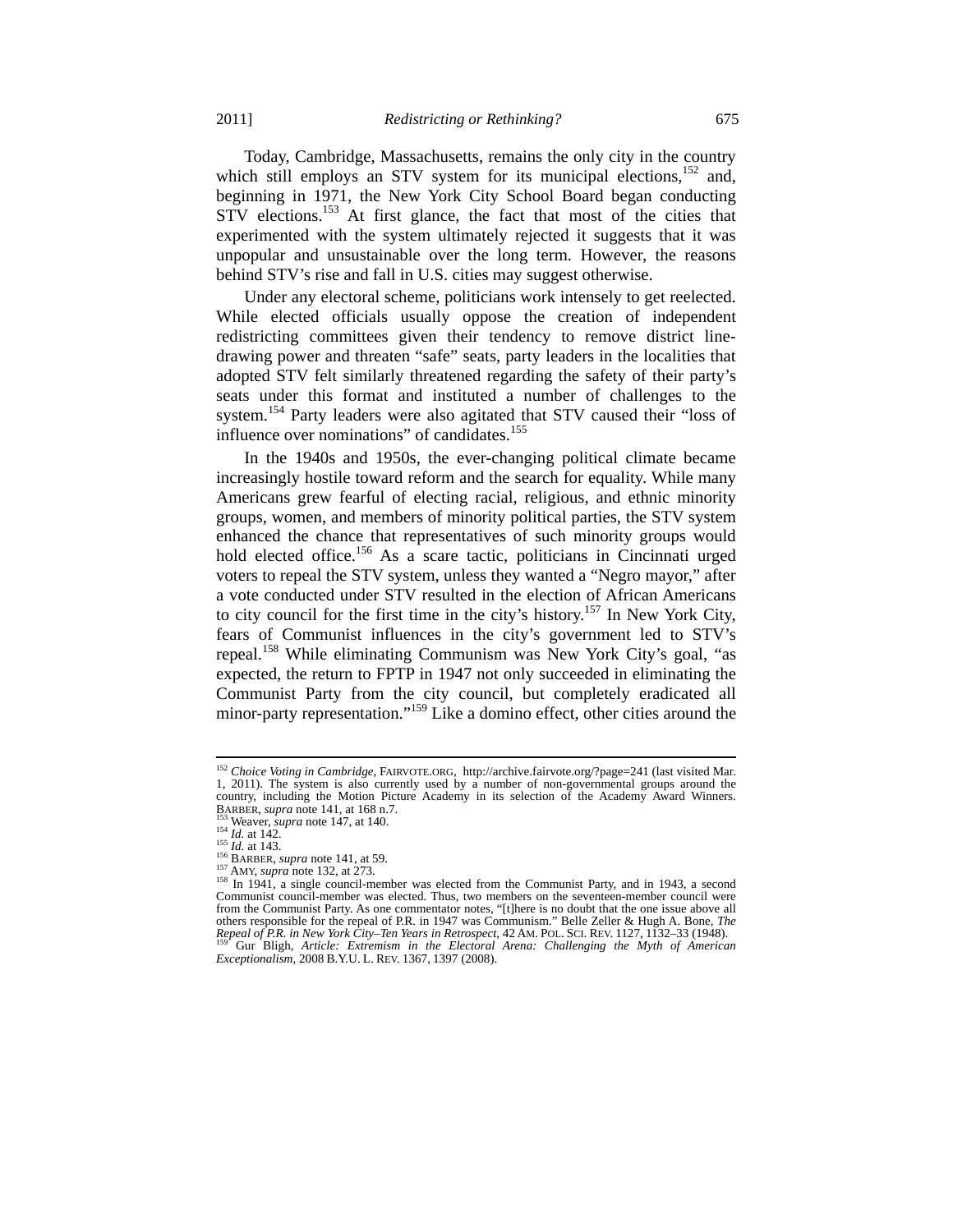Today, Cambridge, Massachusetts, remains the only city in the country which still employs an STV system for its municipal elections, $152$  and, beginning in 1971, the New York City School Board began conducting STV elections.<sup>153</sup> At first glance, the fact that most of the cities that experimented with the system ultimately rejected it suggests that it was unpopular and unsustainable over the long term. However, the reasons behind STV's rise and fall in U.S. cities may suggest otherwise.

Under any electoral scheme, politicians work intensely to get reelected. While elected officials usually oppose the creation of independent redistricting committees given their tendency to remove district linedrawing power and threaten "safe" seats, party leaders in the localities that adopted STV felt similarly threatened regarding the safety of their party's seats under this format and instituted a number of challenges to the system.<sup>154</sup> Party leaders were also agitated that STV caused their "loss of influence over nominations" of candidates.<sup>155</sup>

In the 1940s and 1950s, the ever-changing political climate became increasingly hostile toward reform and the search for equality. While many Americans grew fearful of electing racial, religious, and ethnic minority groups, women, and members of minority political parties, the STV system enhanced the chance that representatives of such minority groups would hold elected office.<sup>156</sup> As a scare tactic, politicians in Cincinnati urged voters to repeal the STV system, unless they wanted a "Negro mayor," after a vote conducted under STV resulted in the election of African Americans to city council for the first time in the city's history.157 In New York City, fears of Communist influences in the city's government led to STV's repeal.<sup>158</sup> While eliminating Communism was New York City's goal, "as expected, the return to FPTP in 1947 not only succeeded in eliminating the Communist Party from the city council, but completely eradicated all minor-party representation."159 Like a domino effect, other cities around the

<sup>152</sup> *Choice Voting in Cambridge*, FAIRVOTE.ORG, http://archive.fairvote.org/?page=241 (last visited Mar. 1, 2011). The system is also currently used by a number of non-governmental groups around the country, including the Motion Picture Academy in its selection of the Academy Award Winners.<br>BARBER, *supra* note 141, at 168 n.7.

<sup>&</sup>lt;sup>153</sup> Weaver, *supra* note 147, at 140.<br>
<sup>154</sup> *Id.* at 142.<br>
<sup>155</sup> *Id.* at 143.<br>
<sup>156</sup> BARBER, *supra* note 141, at 59.<br>
<sup>157</sup> AMY, *supra* note 132, at 273.<br>
<sup>158</sup> In 1941, a single council-member was elected from the Communist council-member was elected. Thus, two members on the seventeen-member council were from the Communist Party. As one commentator notes, "[t]here is no doubt that the one issue above all others responsible for the repeal of P.R. in 1947 was Communism." Belle Zeller & Hugh A. Bone, *The Repeal of P.R. in New York City–Ten Years in Retrospect*, 42 AM. POL. SCI. REV. 1127, 1132–33 (1948). 159 Gur Bligh, *Article: Extremism in the Electoral Arena: Challenging the Myth of American Exceptionalism*, 2008 B.Y.U. L. REV. 1367, 1397 (2008).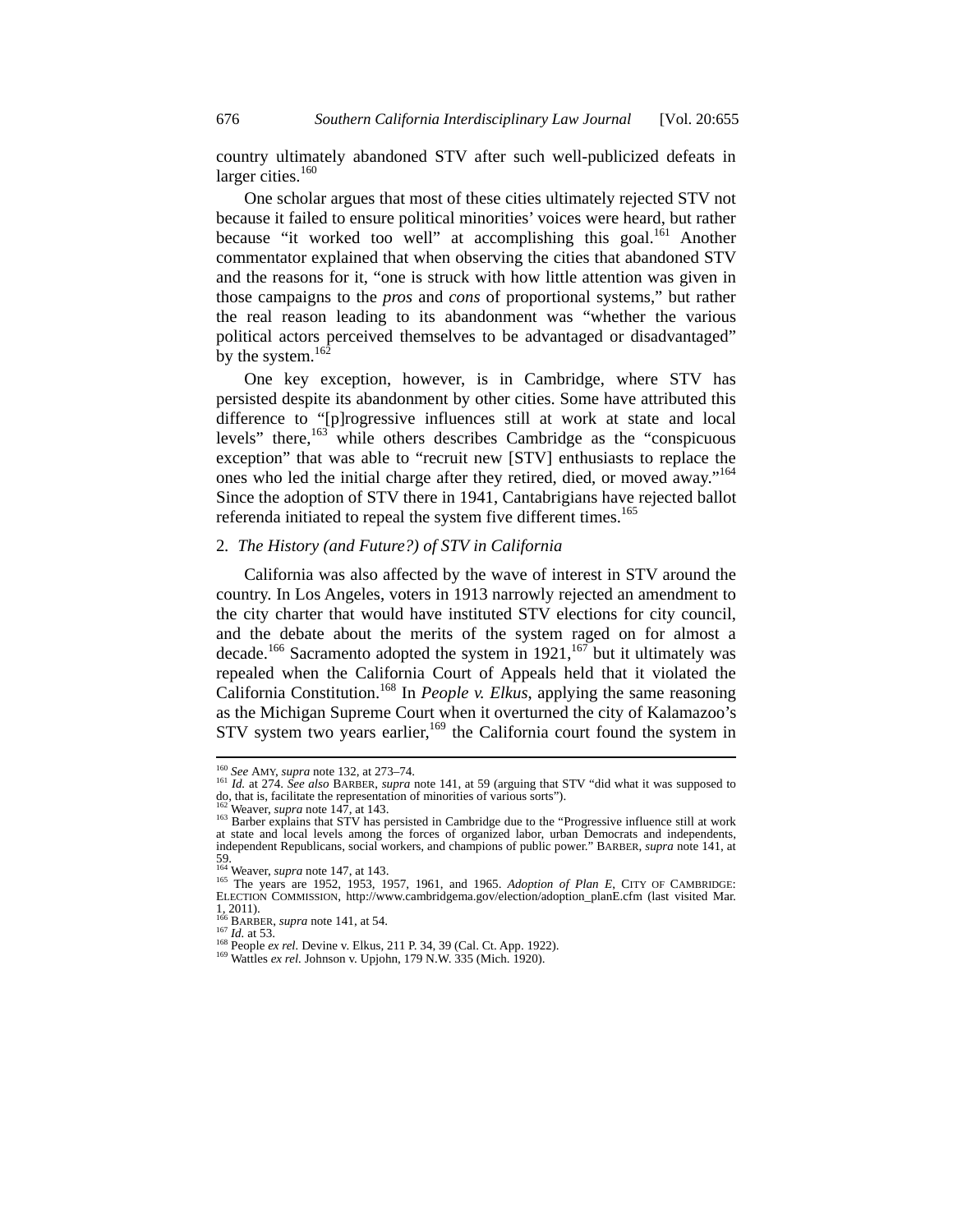country ultimately abandoned STV after such well-publicized defeats in larger cities. $160$ 

One scholar argues that most of these cities ultimately rejected STV not because it failed to ensure political minorities' voices were heard, but rather because "it worked too well" at accomplishing this goal.<sup>161</sup> Another commentator explained that when observing the cities that abandoned STV and the reasons for it, "one is struck with how little attention was given in those campaigns to the *pros* and *cons* of proportional systems," but rather the real reason leading to its abandonment was "whether the various political actors perceived themselves to be advantaged or disadvantaged" by the system. $16\overline{2}$ 

One key exception, however, is in Cambridge, where STV has persisted despite its abandonment by other cities. Some have attributed this difference to "[p]rogressive influences still at work at state and local levels" there,<sup>163</sup> while others describes Cambridge as the "conspicuous exception" that was able to "recruit new [STV] enthusiasts to replace the ones who led the initial charge after they retired, died, or moved away."164 Since the adoption of STV there in 1941, Cantabrigians have rejected ballot referenda initiated to repeal the system five different times.<sup>165</sup>

#### 2*. The History (and Future?) of STV in California*

California was also affected by the wave of interest in STV around the country. In Los Angeles, voters in 1913 narrowly rejected an amendment to the city charter that would have instituted STV elections for city council, and the debate about the merits of the system raged on for almost a decade.<sup>166</sup> Sacramento adopted the system in 1921,<sup>167</sup> but it ultimately was repealed when the California Court of Appeals held that it violated the California Constitution.168 In *People v. Elkus*, applying the same reasoning as the Michigan Supreme Court when it overturned the city of Kalamazoo's STV system two years earlier,<sup>169</sup> the California court found the system in

<sup>&</sup>lt;sup>160</sup> See AMY, supra note 132, at 273-74.

<sup>161</sup> *Id.* at 274. *See also* BARBER, *supra* note 141, at 59 (arguing that STV "did what it was supposed to do, that is, facilitate the representation of minorities of various sorts").

<sup>&</sup>lt;sup>162</sup> Weaver, *supra* note 147, at 143.<br><sup>163</sup> Barber explains that STV has persisted in Cambridge due to the "Progressive influence still at work at state and local levels among the forces of organized labor, urban Democrats and independents, independent Republicans, social workers, and champions of public power." BARBER, *supra* note 141, at 59. Weaver, *supra* note 147, at 143.

<sup>&</sup>lt;sup>165</sup> The years, *sayu* use 1952, 1953, 1957, 1961, and 1965. *Adoption of Plan E*, CITY OF CAMBRIDGE:<br>ELECTION COMMISSION, http://www.cambridgema.gov/election/adoption\_planE.cfm (last visited Mar. 1, 2011).<br> $^{166}$  BARBER, *supra* note 141, at 54.

<sup>167</sup> *Id.* at 53. 168 People *ex rel.* Devine v. Elkus, 211 P. 34, 39 (Cal. Ct. App. 1922). <sup>169</sup> Wattles *ex rel.* Johnson v. Upjohn, 179 N.W. 335 (Mich. 1920).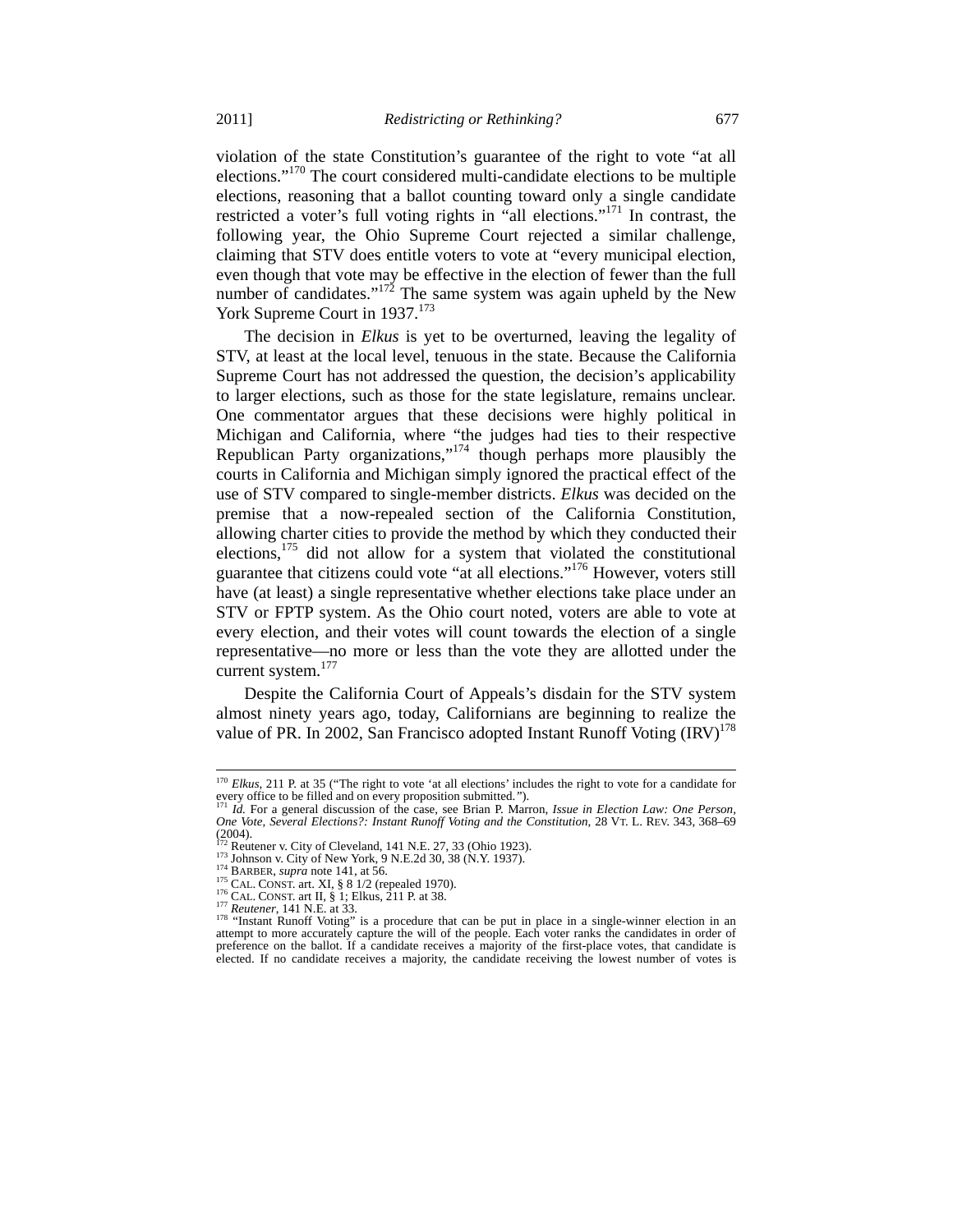violation of the state Constitution's guarantee of the right to vote "at all elections."170 The court considered multi-candidate elections to be multiple elections, reasoning that a ballot counting toward only a single candidate restricted a voter's full voting rights in "all elections."171 In contrast, the following year, the Ohio Supreme Court rejected a similar challenge, claiming that STV does entitle voters to vote at "every municipal election, even though that vote may be effective in the election of fewer than the full number of candidates."<sup>172</sup> The same system was again upheld by the New York Supreme Court in 1937.<sup>173</sup>

The decision in *Elkus* is yet to be overturned, leaving the legality of STV, at least at the local level, tenuous in the state. Because the California Supreme Court has not addressed the question, the decision's applicability to larger elections, such as those for the state legislature, remains unclear. One commentator argues that these decisions were highly political in Michigan and California, where "the judges had ties to their respective Republican Party organizations,"174 though perhaps more plausibly the courts in California and Michigan simply ignored the practical effect of the use of STV compared to single-member districts. *Elkus* was decided on the premise that a now-repealed section of the California Constitution, allowing charter cities to provide the method by which they conducted their elections, $175$  did not allow for a system that violated the constitutional guarantee that citizens could vote "at all elections."176 However, voters still have (at least) a single representative whether elections take place under an STV or FPTP system. As the Ohio court noted, voters are able to vote at every election, and their votes will count towards the election of a single representative—no more or less than the vote they are allotted under the current system.<sup>177</sup>

Despite the California Court of Appeals's disdain for the STV system almost ninety years ago, today, Californians are beginning to realize the value of PR. In 2002, San Francisco adopted Instant Runoff Voting  $\text{(IRV)}^{1/8}$ 

<sup>&</sup>lt;sup>170</sup> *Elkus*, 211 P. at 35 ("The right to vote 'at all elections' includes the right to vote for a candidate for every office to be filled and on every proposition submitted.*"*). 171 *Id.* For a general discussion of the case, see Brian P. Marron, *Issue in Election Law: One Person,* 

*One Vote, Several Elections?: Instant Runoff Voting and the Constitution*, 28 VT. L. REV. 343, 368–69 Chapter v. City of Cleveland, 141 N.E. 27, 33 (Ohio 1923).<br>
<sup>173</sup> Reutener v. City of Cleveland, 141 N.E. 27, 33 (Ohio 1923).<br>
<sup>173</sup> Johnson v. City of New York, 9 N.E.2d 30, 38 (N.Y. 1937).

<sup>&</sup>lt;sup>172</sup> Reutener v. City of Cleveland, 141 N.E. 27, 33 (Ohio 1923).<br><sup>173</sup> Johnson v. City of New York, 9 N.E.2d 30, 38 (N.Y. 1937).<br><sup>175</sup> BARBER, *supra* note 141, at 56.<br><sup>175</sup> CAL. CONST. art. XI, § 8 1/2 (repealed 1970).<br> attempt to more accurately capture the will of the people. Each voter ranks the candidates in order of preference on the ballot. If a candidate receives a majority of the first-place votes, that candidate is elected. If no candidate receives a majority, the candidate receiving the lowest number of votes is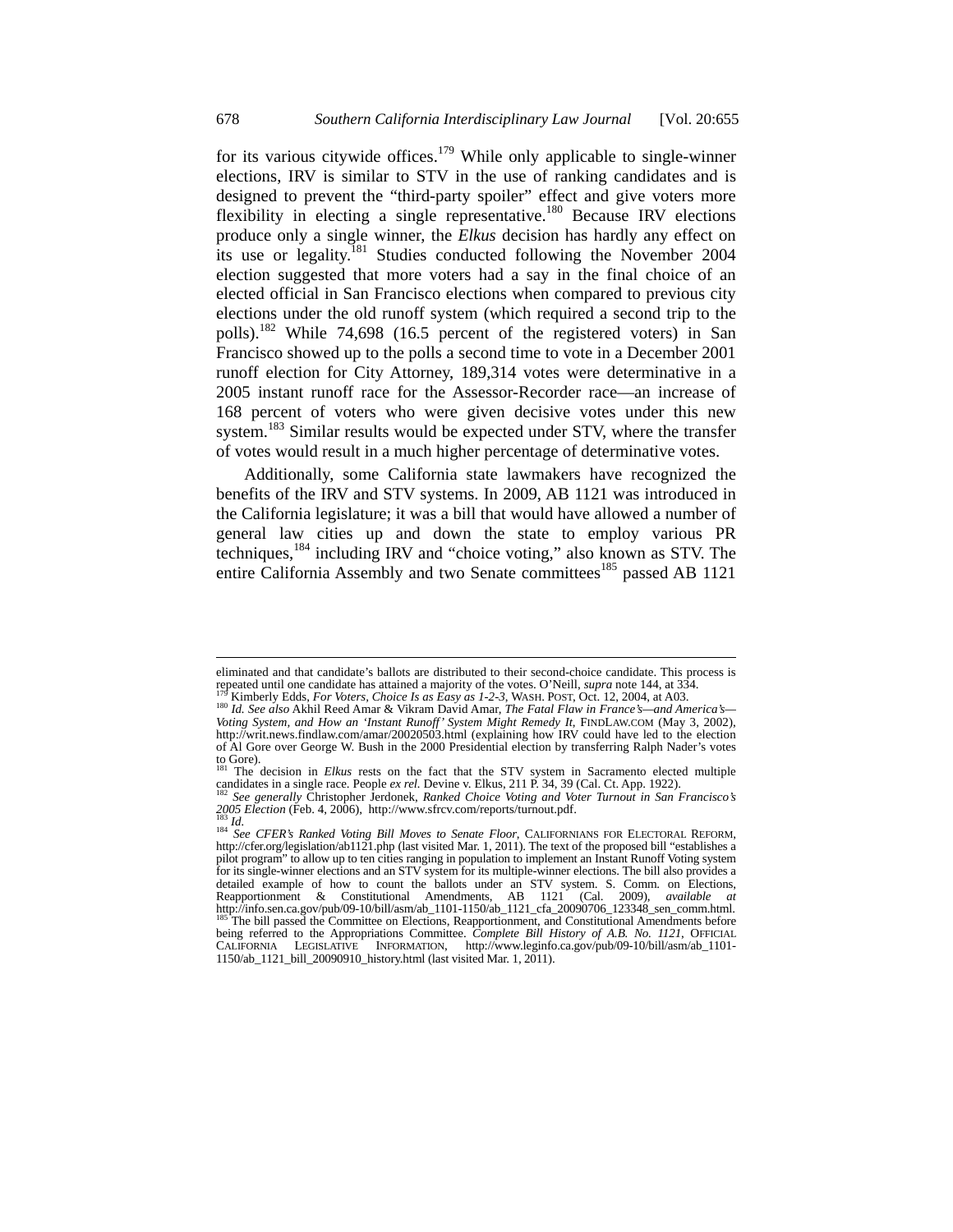for its various citywide offices.<sup>179</sup> While only applicable to single-winner elections, IRV is similar to STV in the use of ranking candidates and is designed to prevent the "third-party spoiler" effect and give voters more flexibility in electing a single representative.180 Because IRV elections produce only a single winner, the *Elkus* decision has hardly any effect on its use or legality.<sup>181</sup> Studies conducted following the November 2004 election suggested that more voters had a say in the final choice of an elected official in San Francisco elections when compared to previous city elections under the old runoff system (which required a second trip to the polls).182 While 74,698 (16.5 percent of the registered voters) in San Francisco showed up to the polls a second time to vote in a December 2001 runoff election for City Attorney, 189,314 votes were determinative in a 2005 instant runoff race for the Assessor-Recorder race—an increase of 168 percent of voters who were given decisive votes under this new system.<sup>183</sup> Similar results would be expected under STV, where the transfer of votes would result in a much higher percentage of determinative votes.

Additionally, some California state lawmakers have recognized the benefits of the IRV and STV systems. In 2009, AB 1121 was introduced in the California legislature; it was a bill that would have allowed a number of general law cities up and down the state to employ various PR techniques,184 including IRV and "choice voting," also known as STV. The entire California Assembly and two Senate committees<sup>185</sup> passed AB 1121

eliminated and that candidate's ballots are distributed to their second-choice candidate. This process is repeated until one candidate has attained a majority of the votes. O'Neill, *supra* note 144, at 334.<br><sup>179</sup> Kimberly Edds, *For Voters*, *Choice Is as Easy as 1-2-3*, WASH. POST, Oct. 12, 2004, at A03.<br><sup>180</sup> *Id. See also* 

*Voting System, and How an 'Instant Runoff' System Might Remedy It*, FINDLAW.COM (May 3, 2002), http://writ.news.findlaw.com/amar/20020503.html (explaining how IRV could have led to the election of Al Gore over George W. Bush in the 2000 Presidential election by transferring Ralph Nader's votes to Gore). 181 The decision in *Elkus* rests on the fact that the STV system in Sacramento elected multiple

candidates in a single race. People *ex rel.* Devine v. Elkus, 211 P. 34, 39 (Cal. Ct. App. 1922). <sup>182</sup> *See generally Christopher Jerdonek, Ranked Choice Voting and Voter Turnout in San Francisco's 2005 Blection* (Fe

<sup>&</sup>lt;sup>283</sup> *Id.*<br><sup>184</sup> *See CFER's Ranked Voting Bill Moves to Senate Floor*, CALIFORNIANS FOR ELECTORAL REFORM,<br>http://cfer.org/legislation/ab1121.php (last visited Mar. 1, 2011). The text of the proposed bill "establishes a http://cfer.org/legislation/ab1121.php (last visited Mar. 1, 2011). The text of the proposed bill "establishes a<br>pilot program" to allow up to ten cities ranging in population to implement an Instant Runoff Voting system<br>f detailed example of how to count the ballots under an STV system. S. Comm. on Elections,<br>Reapportionment & Constitutional Amendments, AB 1121 (Cal. 2009), *available at*<br>http://info.sen.ca.gov/pub/09-10/bill/asm/ab\_1101-11 being referred to the Appropriations Committee. *Complete Bill History of A.B. No. 1121*, OFFICIAL CALIFORNIA LEGISLATIVE INFORMATION, http://www.leginfo.ca.gov/pub/09-10/bill/asm/ab\_1101- 1150/ab\_1121\_bill\_20090910\_history.html (last visited Mar. 1, 2011).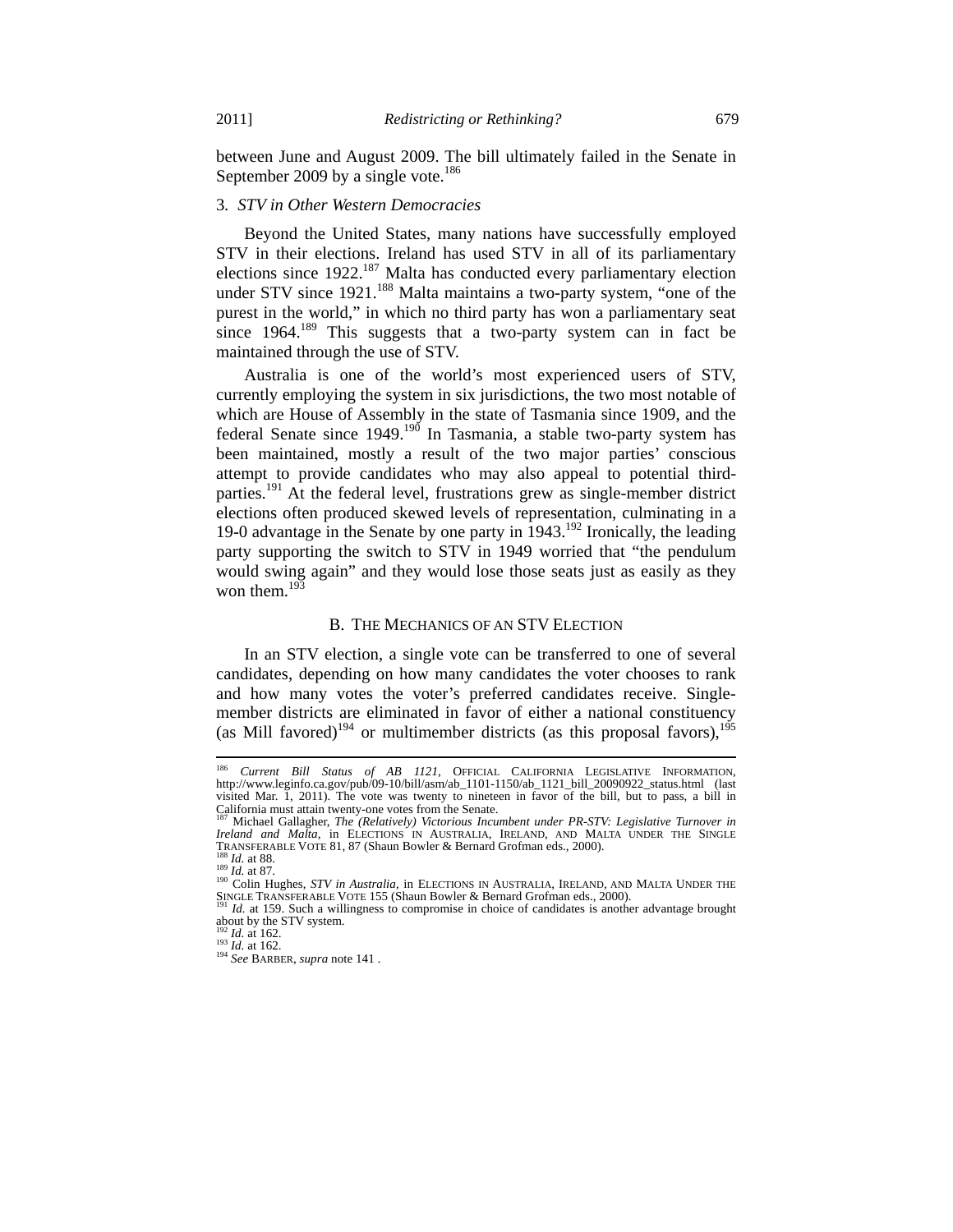between June and August 2009. The bill ultimately failed in the Senate in September 2009 by a single vote. $186$ 

#### 3*. STV in Other Western Democracies*

Beyond the United States, many nations have successfully employed STV in their elections. Ireland has used STV in all of its parliamentary elections since 1922.<sup>187</sup> Malta has conducted every parliamentary election under STV since 1921.<sup>188</sup> Malta maintains a two-party system, "one of the purest in the world," in which no third party has won a parliamentary seat since  $1964$ <sup>189</sup>. This suggests that a two-party system can in fact be maintained through the use of STV.

Australia is one of the world's most experienced users of STV, currently employing the system in six jurisdictions, the two most notable of which are House of Assembly in the state of Tasmania since 1909, and the federal Senate since  $1949$ .<sup>190</sup> In Tasmania, a stable two-party system has been maintained, mostly a result of the two major parties' conscious attempt to provide candidates who may also appeal to potential thirdparties.<sup>191</sup> At the federal level, frustrations grew as single-member district elections often produced skewed levels of representation, culminating in a 19-0 advantage in the Senate by one party in 1943.192 Ironically, the leading party supporting the switch to STV in 1949 worried that "the pendulum would swing again" and they would lose those seats just as easily as they won them. $^{193}$ 

## B. THE MECHANICS OF AN STV ELECTION

In an STV election, a single vote can be transferred to one of several candidates, depending on how many candidates the voter chooses to rank and how many votes the voter's preferred candidates receive. Singlemember districts are eliminated in favor of either a national constituency (as Mill favored)<sup>194</sup> or multimember districts (as this proposal favors),<sup>195</sup>

<sup>186</sup> <sup>186</sup> *Current Bill Status of AB 1121*, OFFICIAL CALIFORNIA LEGISLATIVE INFORMATION, http://www.leginfo.ca.gov/pub/09-10/bill/asm/ab\_1101-1150/ab\_1121\_bill\_20090922\_status.html (last visited Mar. 1, 2011). The vote was twenty to nineteen in favor of the bill, but to pass, a bill in California must attain twenty-one votes from the Senate. 187 Michael Gallagher, *The (Relatively) Victorious Incumbent under PR-STV: Legislative Turnover in* 

*Ireland and Malta*, in ELECTIONS IN AUSTRALIA, IRELAND, AND MALTA UNDER THE SINGLE TRANSFERABLE VOTE 81, 87 (Shaun Bowler & Bernard Grofman eds., 2000).<br>
<sup>188</sup> *Id.* at 88.<br>
<sup>189</sup> *Id.* at 87.<br>
<sup>190</sup> Colin Hughes, *STV in Australia*, in ELECTIONS IN AUSTRALIA, IRELAND, AND MALTA UNDER THE

SINGLE TRANSFERABLE VOTE 155 (Shaun Bowler & Bernard Grofman eds., 2000).<br><sup>191</sup> *Id.* at 159. Such a willingness to compromise in choice of candidates is another advantage brought

about by the STV system.<br> $\frac{102}{192}$  *Id.* at 162.

<sup>192</sup> *Id.* at 162. 193 *Id.* at 162. 194 *See* BARBER, *supra* note 141 .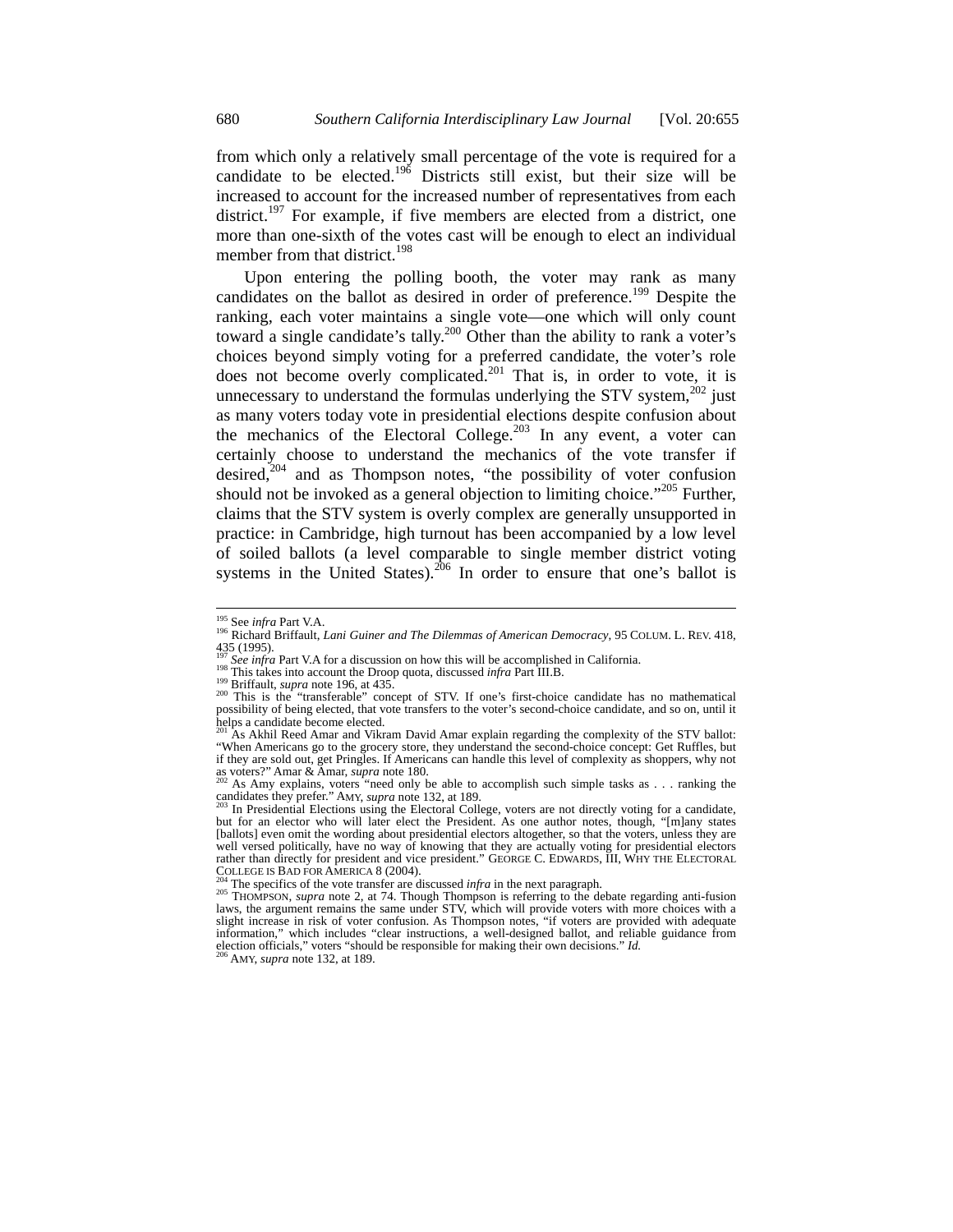from which only a relatively small percentage of the vote is required for a candidate to be elected.<sup>196</sup> Districts still exist, but their size will be increased to account for the increased number of representatives from each district.<sup>197</sup> For example, if five members are elected from a district, one more than one-sixth of the votes cast will be enough to elect an individual member from that district.<sup>198</sup>

Upon entering the polling booth, the voter may rank as many candidates on the ballot as desired in order of preference.<sup>199</sup> Despite the ranking, each voter maintains a single vote—one which will only count toward a single candidate's tally.<sup>200</sup> Other than the ability to rank a voter's choices beyond simply voting for a preferred candidate, the voter's role does not become overly complicated.<sup>201</sup> That is, in order to vote, it is unnecessary to understand the formulas underlying the STV system, $^{202}$  just as many voters today vote in presidential elections despite confusion about the mechanics of the Electoral College.<sup>203</sup> In any event, a voter can certainly choose to understand the mechanics of the vote transfer if desired, $204$  and as Thompson notes, "the possibility of voter confusion should not be invoked as a general objection to limiting choice." $^{205}$  Further, claims that the STV system is overly complex are generally unsupported in practice: in Cambridge, high turnout has been accompanied by a low level of soiled ballots (a level comparable to single member district voting systems in the United States).<sup>206</sup> In order to ensure that one's ballot is

candidates they prefer." AMY, *supra* note 132, at 189.<br><sup>203</sup> In Presidential Elections using the Electoral College, voters are not directly voting for a candidate,

<sup>&</sup>lt;sup>195</sup> See infra Part V.A.

<sup>195</sup> See *infra* Part V.A. 196 Richard Briffault, *Lani Guiner and The Dilemmas of American Democracy*, <sup>95</sup> COLUM. L. REV. 418, 435 (1995).<br><sup>197</sup> See infra Part V.A for a discussion on how this will be accomplished in California.

<sup>&</sup>lt;sup>198</sup> This takes into account the Droop quota, discussed *infra* Part III.B.<br><sup>199</sup> Briffault, *supra* note 196, at 435.<br><sup>200</sup> This is the "transferable" concept of STV. If one's first-choice candidate has no mathematical<br> possibility of being elected, that vote transfers to the voter's second-choice candidate, and so on, until it helps a candidate become elected.

As Akhil Reed Amar and Vikram David Amar explain regarding the complexity of the STV ballot: "When Americans go to the grocery store, they understand the second-choice concept: Get Ruffles, but if they are sold out, get Pringles. If Americans can handle this level of complexity as shoppers, why not as voters?" Amar & Amar, *supra* note 180. as voters?" Amar & Amar, *supra* note 180.<br><sup>202</sup> As Amy explains, voters "need only be able to accomplish such simple tasks as . . . ranking the

but for an elector who will later elect the President. As one author notes, though, "[m]any states [ballots] even omit the wording about presidential electors altogether, so that the voters, unless they are well versed politically, have no way of knowing that they are actually voting for presidential electors rather than directly for president and vice president." GEORGE C. EDWARDS, III, WHY THE ELECTORAL COLLEGE IS BAD FOR AMERICA 8 (2004).

COLLEGE IS BAD FOR AMERICA 8 (2004).<br><sup>204</sup> The specifics of the vote transfer are discussed *infra* in the next paragraph.<br><sup>205</sup> THOMPSON, *supra* note 2, at 74. Though Thompson is referring to the debate regarding anti-f slight increase in risk of voter confusion. As Thompson notes, "if voters are provided with adequate information," which includes "clear instructions, a well-designed ballot, and reliable guidance from election officials," voters "should be responsible for making their own decisions." *Id*.<br><sup>206</sup> AMY, *supra* note 132, at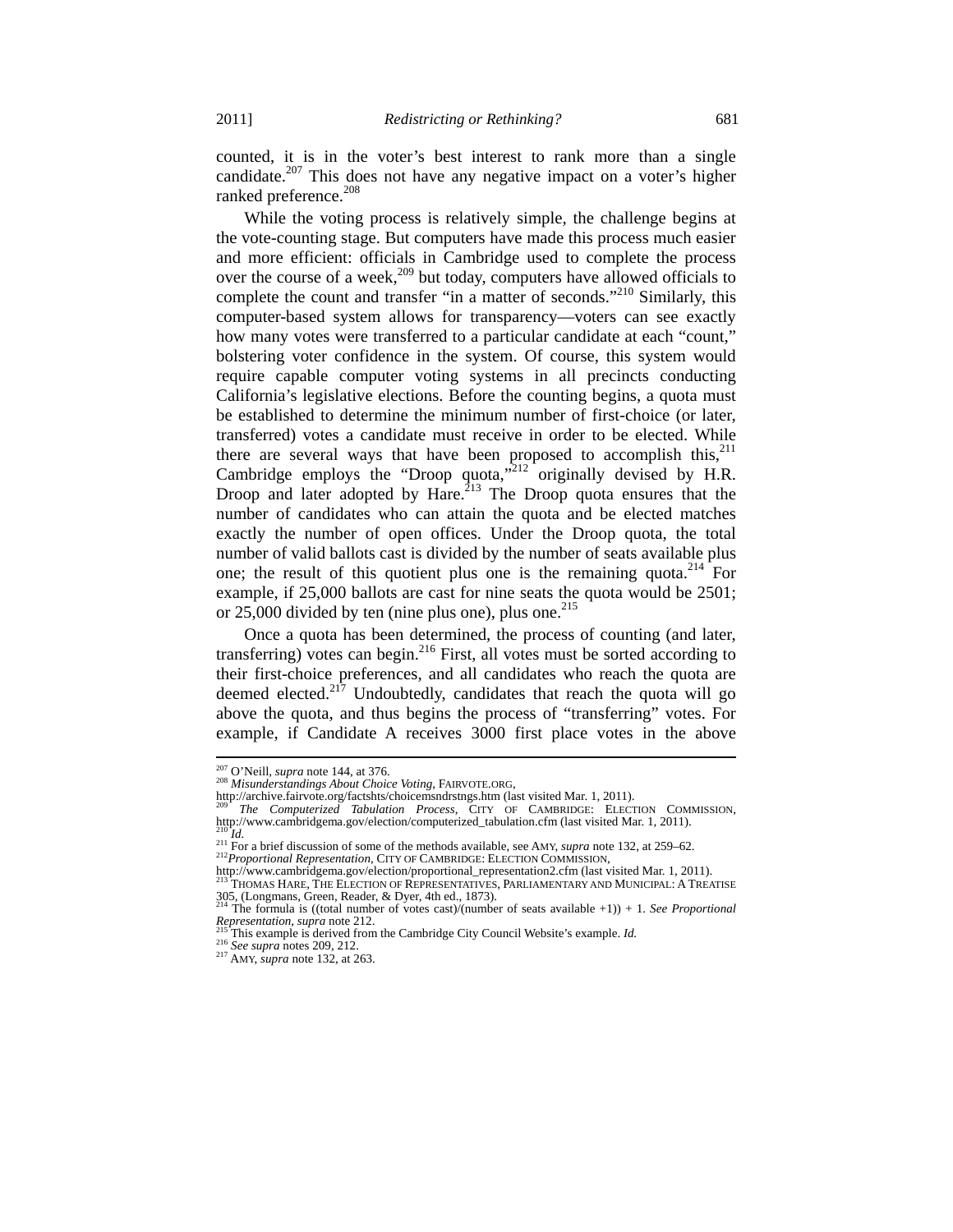counted, it is in the voter's best interest to rank more than a single candidate.<sup>207</sup> This does not have any negative impact on a voter's higher ranked preference.<sup>208</sup>

While the voting process is relatively simple, the challenge begins at the vote-counting stage. But computers have made this process much easier and more efficient: officials in Cambridge used to complete the process over the course of a week,<sup>209</sup> but today, computers have allowed officials to complete the count and transfer "in a matter of seconds."<sup>210</sup> Similarly, this computer-based system allows for transparency—voters can see exactly how many votes were transferred to a particular candidate at each "count," bolstering voter confidence in the system. Of course, this system would require capable computer voting systems in all precincts conducting California's legislative elections. Before the counting begins, a quota must be established to determine the minimum number of first-choice (or later, transferred) votes a candidate must receive in order to be elected. While there are several ways that have been proposed to accomplish this,  $2^{11}$ Cambridge employs the "Droop quota,"<sup>212</sup> originally devised by H.R. Droop and later adopted by Hare.<sup>213</sup> The Droop quota ensures that the number of candidates who can attain the quota and be elected matches exactly the number of open offices. Under the Droop quota, the total number of valid ballots cast is divided by the number of seats available plus one; the result of this quotient plus one is the remaining quota.<sup>214</sup> For example, if 25,000 ballots are cast for nine seats the quota would be 2501; or 25,000 divided by ten (nine plus one), plus one. $^{215}$ 

Once a quota has been determined, the process of counting (and later, transferring) votes can begin.<sup>216</sup> First, all votes must be sorted according to their first-choice preferences, and all candidates who reach the quota are deemed elected.<sup>217</sup> Undoubtedly, candidates that reach the quota will go above the quota, and thus begins the process of "transferring" votes. For example, if Candidate A receives 3000 first place votes in the above

<sup>&</sup>lt;sup>207</sup> O'Neill, *supra* note 144, at 376.

<sup>208</sup> *Misunderstandings About Choice Voting*, FAIRVOTE.ORG,<br>http://archive.fairvote.org/factshts/choicemsndrstngs.htm (last visited Mar. 1, 2011).

<sup>&</sup>lt;sup>209</sup> The Computerized Tabulation Process, CITY OF CAMBRIDGE: ELECTION COMMISSION, http://www.cambridgema.gov/election/computerized\_tabulation.cfm (last visited Mar. 1, 2011).

<sup>210</sup> *Id.*<br>211 For a brief discussion of some of the methods available, see AMY, *supra* note 132, at 259–62.<br><sup>212</sup> Proportional Representation, CITY OF CAMBRIDGE: ELECTION COMMISSION,<br>212 Proportional Representation, CITY

<sup>305, (</sup>Longmans, Green, Reader, & Dyer, 4th ed., 1873). 214 The formula is ((total number of votes cast)/(number of seats available +1)) + 1. *See Proportional* 

*Representation, supra* note 212. 215 This example is derived from the Cambridge City Council Website's example. *Id.* <sup>216</sup> *See supra* notes 209, 212. <sup>217</sup> AMY, *supra* note 132, at 263.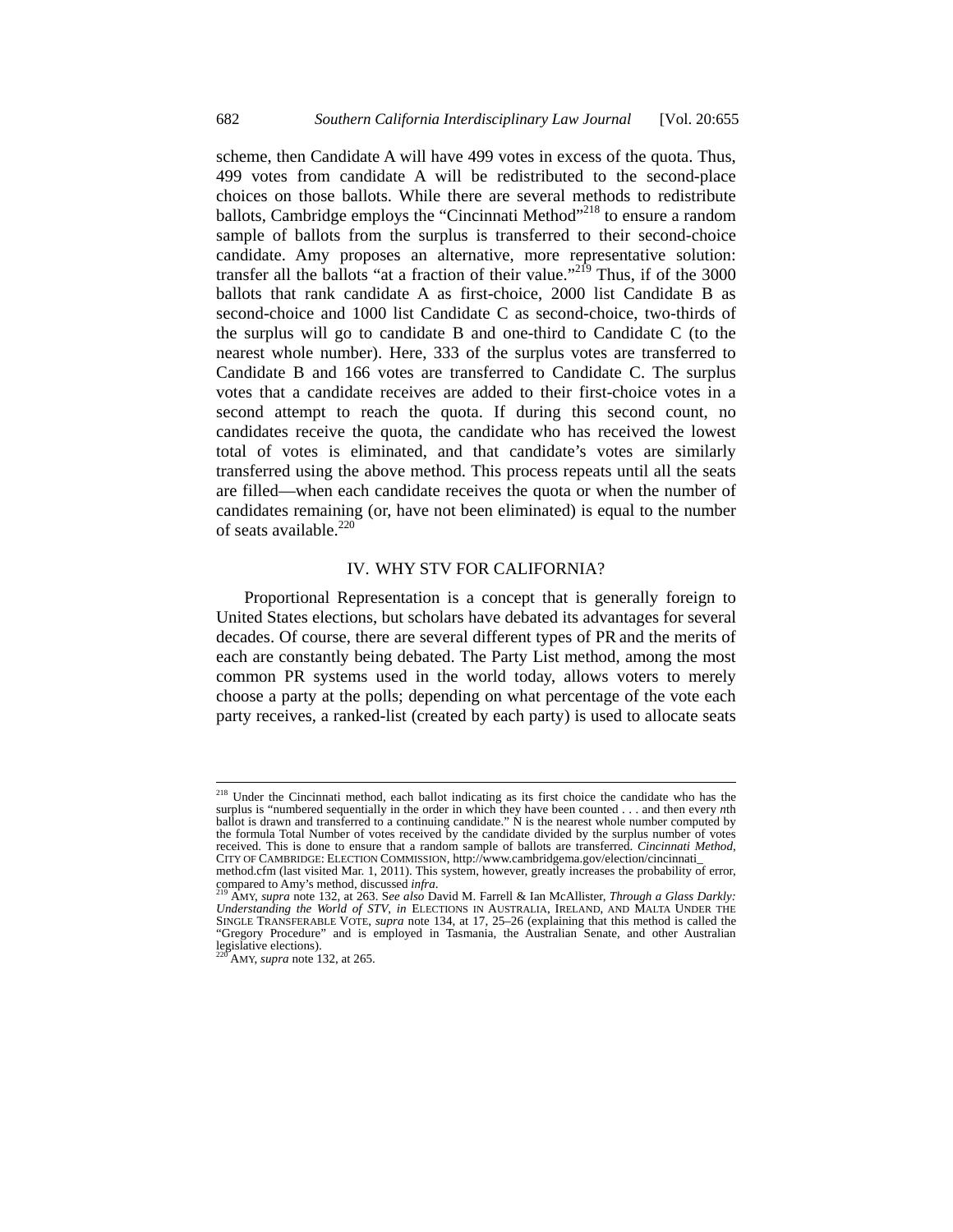scheme, then Candidate A will have 499 votes in excess of the quota. Thus, 499 votes from candidate A will be redistributed to the second-place choices on those ballots. While there are several methods to redistribute ballots, Cambridge employs the "Cincinnati Method"<sup>218</sup> to ensure a random sample of ballots from the surplus is transferred to their second-choice candidate. Amy proposes an alternative, more representative solution: transfer all the ballots "at a fraction of their value."<sup>2 $\hat{P}$ </sup> Thus, if of the 3000 ballots that rank candidate A as first-choice, 2000 list Candidate B as second-choice and 1000 list Candidate C as second-choice, two-thirds of the surplus will go to candidate B and one-third to Candidate C (to the nearest whole number). Here, 333 of the surplus votes are transferred to Candidate B and 166 votes are transferred to Candidate C. The surplus votes that a candidate receives are added to their first-choice votes in a second attempt to reach the quota. If during this second count, no candidates receive the quota, the candidate who has received the lowest total of votes is eliminated, and that candidate's votes are similarly transferred using the above method. This process repeats until all the seats are filled—when each candidate receives the quota or when the number of candidates remaining (or, have not been eliminated) is equal to the number of seats available. $^{220}$ 

#### IV. WHY STV FOR CALIFORNIA?

Proportional Representation is a concept that is generally foreign to United States elections, but scholars have debated its advantages for several decades. Of course, there are several different types of PR and the merits of each are constantly being debated. The Party List method, among the most common PR systems used in the world today, allows voters to merely choose a party at the polls; depending on what percentage of the vote each party receives, a ranked-list (created by each party) is used to allocate seats

<sup>&</sup>lt;sup>218</sup> Under the Cincinnati method, each ballot indicating as its first choice the candidate who has the surplus is "numbered sequentially in the order in which they have been counted . . . and then every *n*th ballot is drawn and transferred to a continuing candidate." N is the nearest whole number computed by the formula Total Number of votes received by the candidate divided by the surplus number of votes received. This is done to ensure that a random sample of ballots are transferred. *Cincinnati Method*, CITY OF CAMBRIDGE: ELECTION COMMISSION, http://www.cambridgema.gov/election/cincinnati\_

method.cfm (last visited Mar. 1, 2011). This system, however, greatly increases the probability of error,  $\frac{\text{compared}}{210}$  to Amy's method, discussed *infra*.

compared to Amy's method, discussed infra.<br><sup>219</sup> AMY, supra note 132, at 263. See also David M. Farrell & Ian McAllister, *Through a Glass Darkly:*<br>Understanding the World of STV, in ELECTIONS IN AUSTRALIA, IRELAND, AND MA SINGLE TRANSFERABLE VOTE, *supra* note 134, at 17, 25–26 (explaining that this method is called the "Gregory Procedure" and is employed in Tasmania, the Australian Senate, and other Australian legislative elections).

AMY, *supra* note 132, at 265.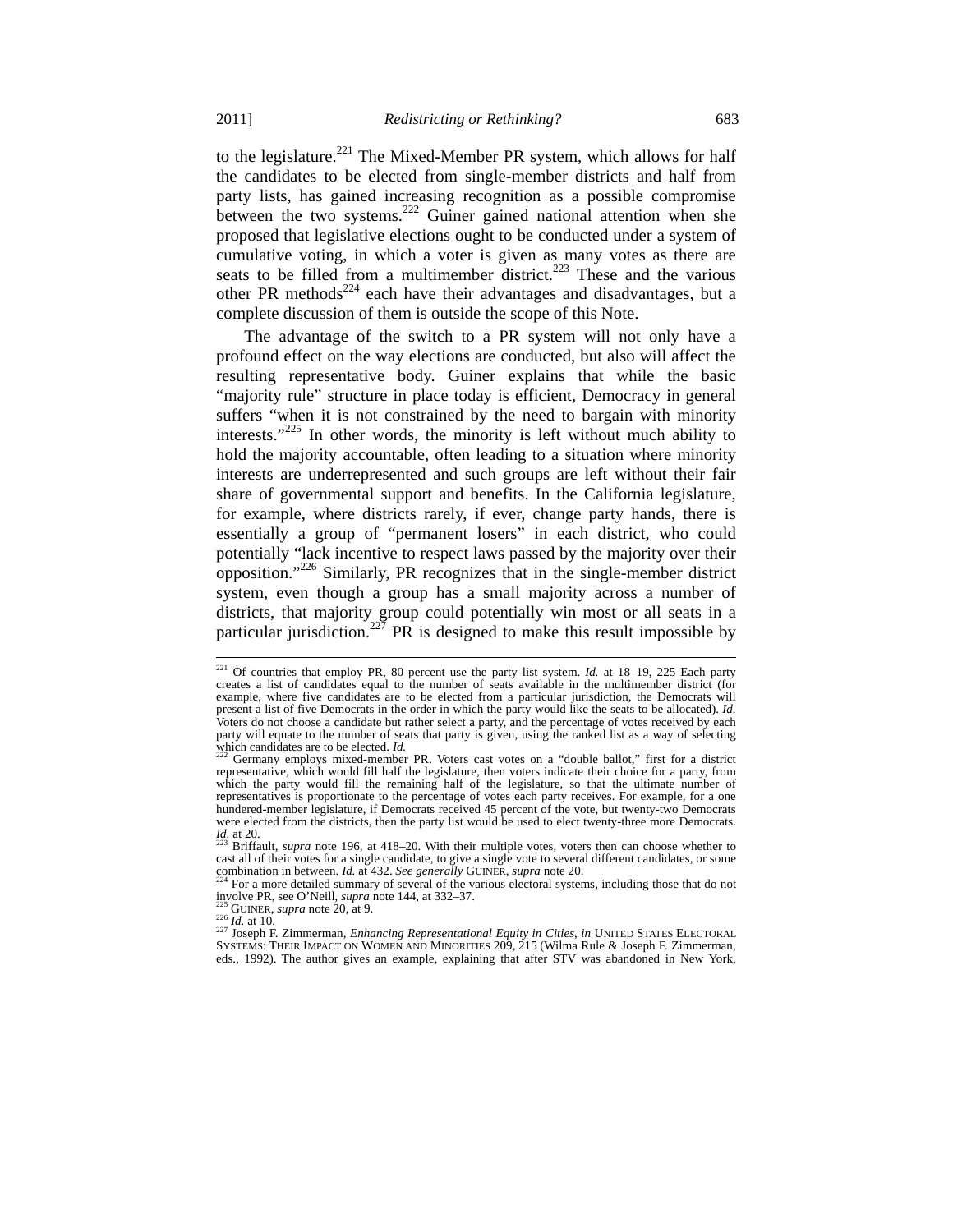to the legislature.<sup>221</sup> The Mixed-Member PR system, which allows for half the candidates to be elected from single-member districts and half from party lists, has gained increasing recognition as a possible compromise between the two systems.<sup>222</sup> Guiner gained national attention when she proposed that legislative elections ought to be conducted under a system of cumulative voting, in which a voter is given as many votes as there are seats to be filled from a multimember district.<sup>223</sup> These and the various other PR methods<sup>224</sup> each have their advantages and disadvantages, but a complete discussion of them is outside the scope of this Note.

The advantage of the switch to a PR system will not only have a profound effect on the way elections are conducted, but also will affect the resulting representative body. Guiner explains that while the basic "majority rule" structure in place today is efficient, Democracy in general suffers "when it is not constrained by the need to bargain with minority interests."<sup>225</sup> In other words, the minority is left without much ability to hold the majority accountable, often leading to a situation where minority interests are underrepresented and such groups are left without their fair share of governmental support and benefits. In the California legislature, for example, where districts rarely, if ever, change party hands, there is essentially a group of "permanent losers" in each district, who could potentially "lack incentive to respect laws passed by the majority over their opposition."226 Similarly, PR recognizes that in the single-member district system, even though a group has a small majority across a number of districts, that majority group could potentially win most or all seats in a particular jurisdiction.<sup>227</sup> PR is designed to make this result impossible by

<sup>&</sup>lt;sup>221</sup> Of countries that employ PR, 80 percent use the party list system. *Id.* at 18–19, 225 Each party creates a list of candidates equal to the number of seats available in the multimember district (for example, where five candidates are to be elected from a particular jurisdiction, the Democrats will present a list of five Democrats in the order in which the party would like the seats to be allocated). *Id.*  Voters do not choose a candidate but rather select a party, and the percentage of votes received by each party will equate to the number of seats that party is given, using the ranked list as a way of selecting which candidates are to be elected.  $Id$ 

<sup>&</sup>lt;sup>2</sup> Germany employs mixed-member PR. Voters cast votes on a "double ballot," first for a district representative, which would fill half the legislature, then voters indicate their choice for a party, from which the party would fill the remaining half of the legislature, so that the ultimate number of representatives is proportionate to the percentage of votes each party receives. For example, for a one hundered-member legislature, if Democrats received 45 percent of the vote, but twenty-two Democrats were elected from the districts, then the party list would be used to elect twenty-three more Democrats.<br> $I_d^2$  at 22. Defective summa pata 106 at 418, 20. With their multiple yetes, ustain then can choose whether to

*Briffault, <i>supra* note 196, at 418–20. With their multiple votes, voters then can choose whether to cast all of their votes for a single candidate, to give a single vote to several different candidates, or some<br>combination in between. *Id.* at  $432$ , *See generally* GUINER, *supra* note 20.

<sup>&</sup>lt;sup>224</sup> For a more detailed summary of several of the various electoral systems, including those that do not  $\frac{204}{225}$  over PR, see O'Neill, *supra* note 144, at 332–37.

involve PR, see O'Neill, *supra* note 144, at 332–37.<br><sup>225</sup> GUINER, *supra* note 20, at 9.<br><sup>226</sup> Id. at 10.<br><sup>227</sup> Joseph F. Zimmerman, *Enhancing Representational Equity in Cities*, *in* UNITED STATES ELECTORAL<br><sup>227</sup> Josep eds., 1992). The author gives an example, explaining that after STV was abandoned in New York,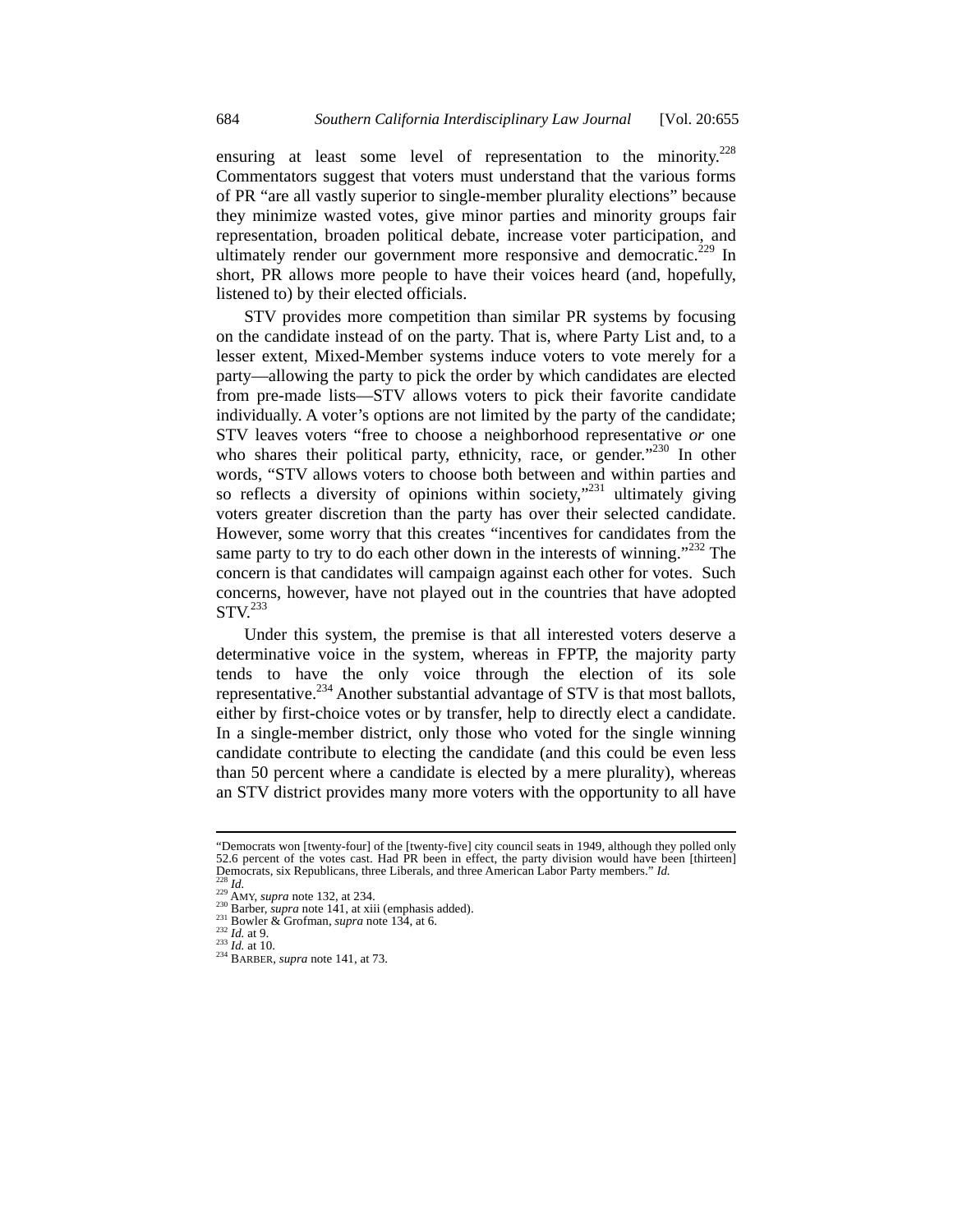ensuring at least some level of representation to the minority.<sup>228</sup> Commentators suggest that voters must understand that the various forms of PR "are all vastly superior to single-member plurality elections" because they minimize wasted votes, give minor parties and minority groups fair representation, broaden political debate, increase voter participation, and ultimately render our government more responsive and democratic.<sup>229</sup> In short, PR allows more people to have their voices heard (and, hopefully, listened to) by their elected officials.

STV provides more competition than similar PR systems by focusing on the candidate instead of on the party. That is, where Party List and, to a lesser extent, Mixed-Member systems induce voters to vote merely for a party—allowing the party to pick the order by which candidates are elected from pre-made lists—STV allows voters to pick their favorite candidate individually. A voter's options are not limited by the party of the candidate; STV leaves voters "free to choose a neighborhood representative *or* one who shares their political party, ethnicity, race, or gender."<sup>230</sup> In other words, "STV allows voters to choose both between and within parties and so reflects a diversity of opinions within society,"<sup>231</sup> ultimately giving voters greater discretion than the party has over their selected candidate. However, some worry that this creates "incentives for candidates from the same party to try to do each other down in the interests of winning."<sup>232</sup> The concern is that candidates will campaign against each other for votes. Such concerns, however, have not played out in the countries that have adopted  $STV<sup>233</sup>$ 

Under this system, the premise is that all interested voters deserve a determinative voice in the system, whereas in FPTP, the majority party tends to have the only voice through the election of its sole representative.<sup>234</sup> Another substantial advantage of STV is that most ballots, either by first-choice votes or by transfer, help to directly elect a candidate. In a single-member district, only those who voted for the single winning candidate contribute to electing the candidate (and this could be even less than 50 percent where a candidate is elected by a mere plurality), whereas an STV district provides many more voters with the opportunity to all have

<sup>&</sup>quot;Democrats won [twenty-four] of the [twenty-five] city council seats in 1949, although they polled only 52.6 percent of the votes cast. Had PR been in effect, the party division would have been [thirteen] Democrats, six Republicans, three Liberals, and three American Labor Party members." Id.<br>
<sup>229</sup> Id.<br>
<sup>229</sup> AMY, *supra* note 132, at 234.<br>
<sup>229</sup> AMY, *supra* note 141, at xiii (emphasis added).<br>
<sup>231</sup> Barber, *supra* note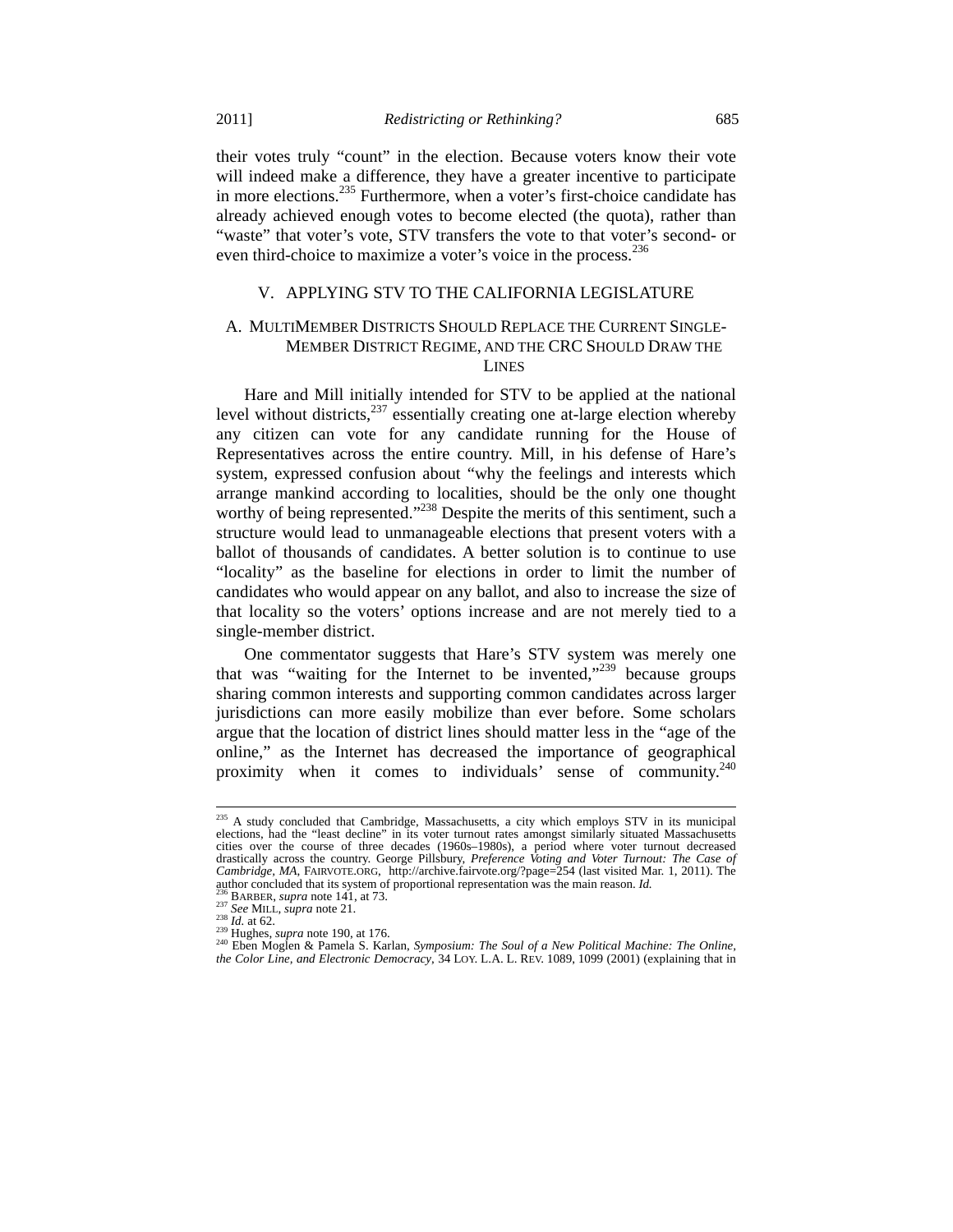their votes truly "count" in the election. Because voters know their vote will indeed make a difference, they have a greater incentive to participate in more elections.<sup>235</sup> Furthermore, when a voter's first-choice candidate has already achieved enough votes to become elected (the quota), rather than "waste" that voter's vote, STV transfers the vote to that voter's second- or even third-choice to maximize a voter's voice in the process.<sup>236</sup>

# V. APPLYING STV TO THE CALIFORNIA LEGISLATURE

# A. MULTIMEMBER DISTRICTS SHOULD REPLACE THE CURRENT SINGLE-MEMBER DISTRICT REGIME, AND THE CRC SHOULD DRAW THE LINES

Hare and Mill initially intended for STV to be applied at the national level without districts,  $237$  essentially creating one at-large election whereby any citizen can vote for any candidate running for the House of Representatives across the entire country. Mill, in his defense of Hare's system, expressed confusion about "why the feelings and interests which arrange mankind according to localities, should be the only one thought worthy of being represented."<sup>238</sup> Despite the merits of this sentiment, such a structure would lead to unmanageable elections that present voters with a ballot of thousands of candidates. A better solution is to continue to use "locality" as the baseline for elections in order to limit the number of candidates who would appear on any ballot, and also to increase the size of that locality so the voters' options increase and are not merely tied to a single-member district.

One commentator suggests that Hare's STV system was merely one that was "waiting for the Internet to be invented," because groups sharing common interests and supporting common candidates across larger jurisdictions can more easily mobilize than ever before. Some scholars argue that the location of district lines should matter less in the "age of the online," as the Internet has decreased the importance of geographical proximity when it comes to individuals' sense of community.<sup>240</sup>

 $^{235}$  A study concluded that Cambridge, Massachusetts, a city which employs STV in its municipal elections, had the "least decline" in its voter turnout rates amongst similarly situated Massachusetts cities over the course of three decades (1960s–1980s), a period where voter turnout decreased drastically across the country. George Pillsbury, *Preference Voting and Voter Turnout: The Case of Cambridge, MA*, FAIRVOTE.ORG, http://archive.fairvote.org/?page=254 (last visited Mar. 1, 2011). The author concluded that its system of proportional representation was the main reason. *Id.*<br>
<sup>235</sup> BARBER, *supra* note 141, at 73.<br>
<sup>237</sup> See MILL, *supra* note 21.<br>
<sup>238</sup> Id. at 62.<br>
<sup>238</sup> Hughes, *supra* note 190, at 17

*the Color Line, and Electronic Democracy*, 34 LOY. L.A. L. REV. 1089, 1099 (2001) (explaining that in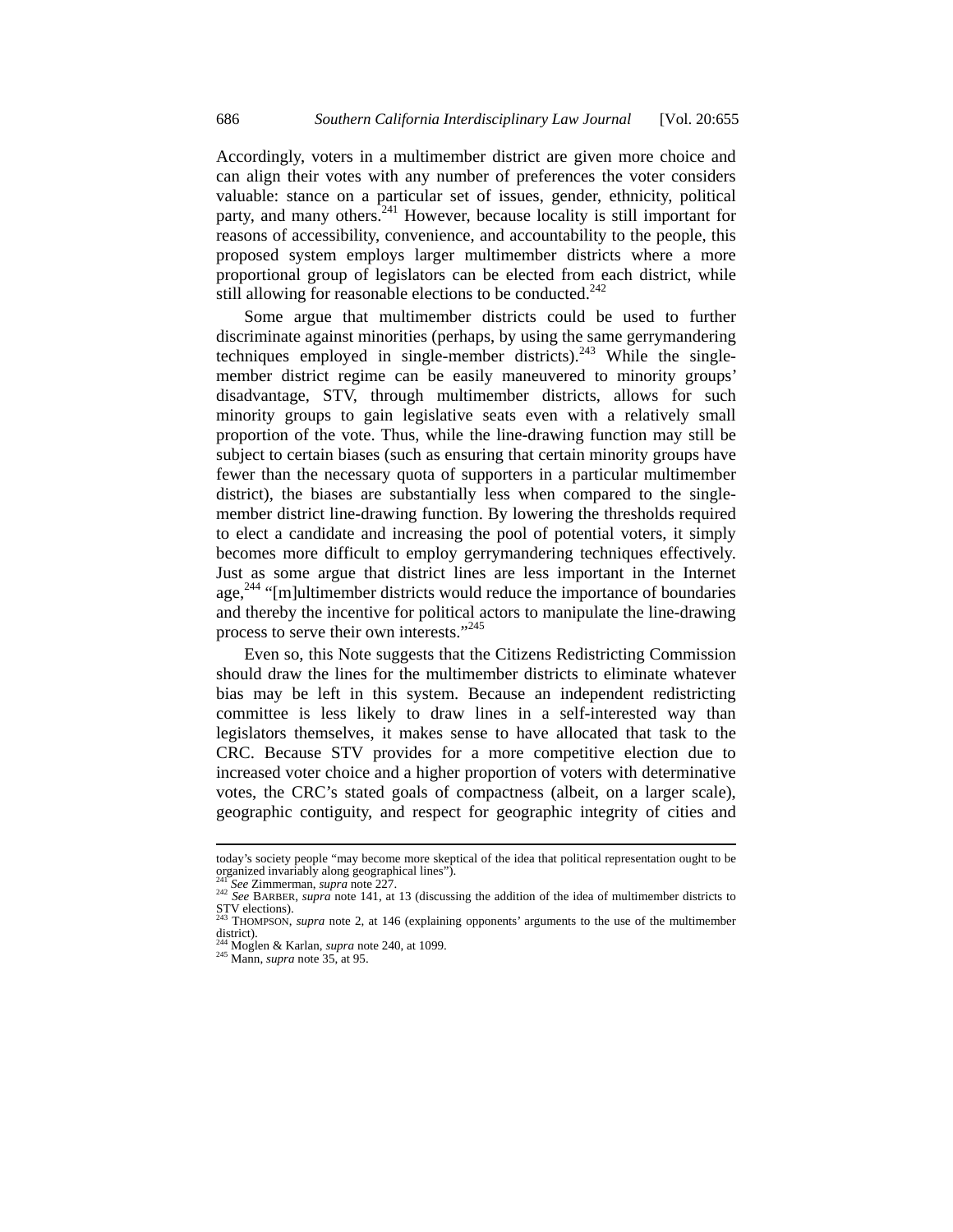Accordingly, voters in a multimember district are given more choice and can align their votes with any number of preferences the voter considers valuable: stance on a particular set of issues, gender, ethnicity, political party, and many others.<sup>241</sup> However, because locality is still important for reasons of accessibility, convenience, and accountability to the people, this proposed system employs larger multimember districts where a more proportional group of legislators can be elected from each district, while still allowing for reasonable elections to be conducted.<sup>242</sup>

Some argue that multimember districts could be used to further discriminate against minorities (perhaps, by using the same gerrymandering techniques employed in single-member districts). $^{243}$  While the singlemember district regime can be easily maneuvered to minority groups' disadvantage, STV, through multimember districts, allows for such minority groups to gain legislative seats even with a relatively small proportion of the vote. Thus, while the line-drawing function may still be subject to certain biases (such as ensuring that certain minority groups have fewer than the necessary quota of supporters in a particular multimember district), the biases are substantially less when compared to the singlemember district line-drawing function. By lowering the thresholds required to elect a candidate and increasing the pool of potential voters, it simply becomes more difficult to employ gerrymandering techniques effectively. Just as some argue that district lines are less important in the Internet age, $244$  "[m]ultimember districts would reduce the importance of boundaries and thereby the incentive for political actors to manipulate the line-drawing process to serve their own interests."245

Even so, this Note suggests that the Citizens Redistricting Commission should draw the lines for the multimember districts to eliminate whatever bias may be left in this system. Because an independent redistricting committee is less likely to draw lines in a self-interested way than legislators themselves, it makes sense to have allocated that task to the CRC. Because STV provides for a more competitive election due to increased voter choice and a higher proportion of voters with determinative votes, the CRC's stated goals of compactness (albeit, on a larger scale), geographic contiguity, and respect for geographic integrity of cities and

today's society people "may become more skeptical of the idea that political representation ought to be organized invariably along geographical lines").<br><sup>241</sup> See Zimmerman, *supra* note 227.

<sup>&</sup>lt;sup>242</sup> See BARBER, *supra* note 141, at 13 (discussing the addition of the idea of multimember districts to STV elections). 243 THOMPSON, *supra* note 2, at 146 (explaining opponents' arguments to the use of the multimember

 $district)$ .

<sup>244</sup> Moglen & Karlan, *supra* note 240, at 1099. 245 Mann, *supra* note 35, at 95.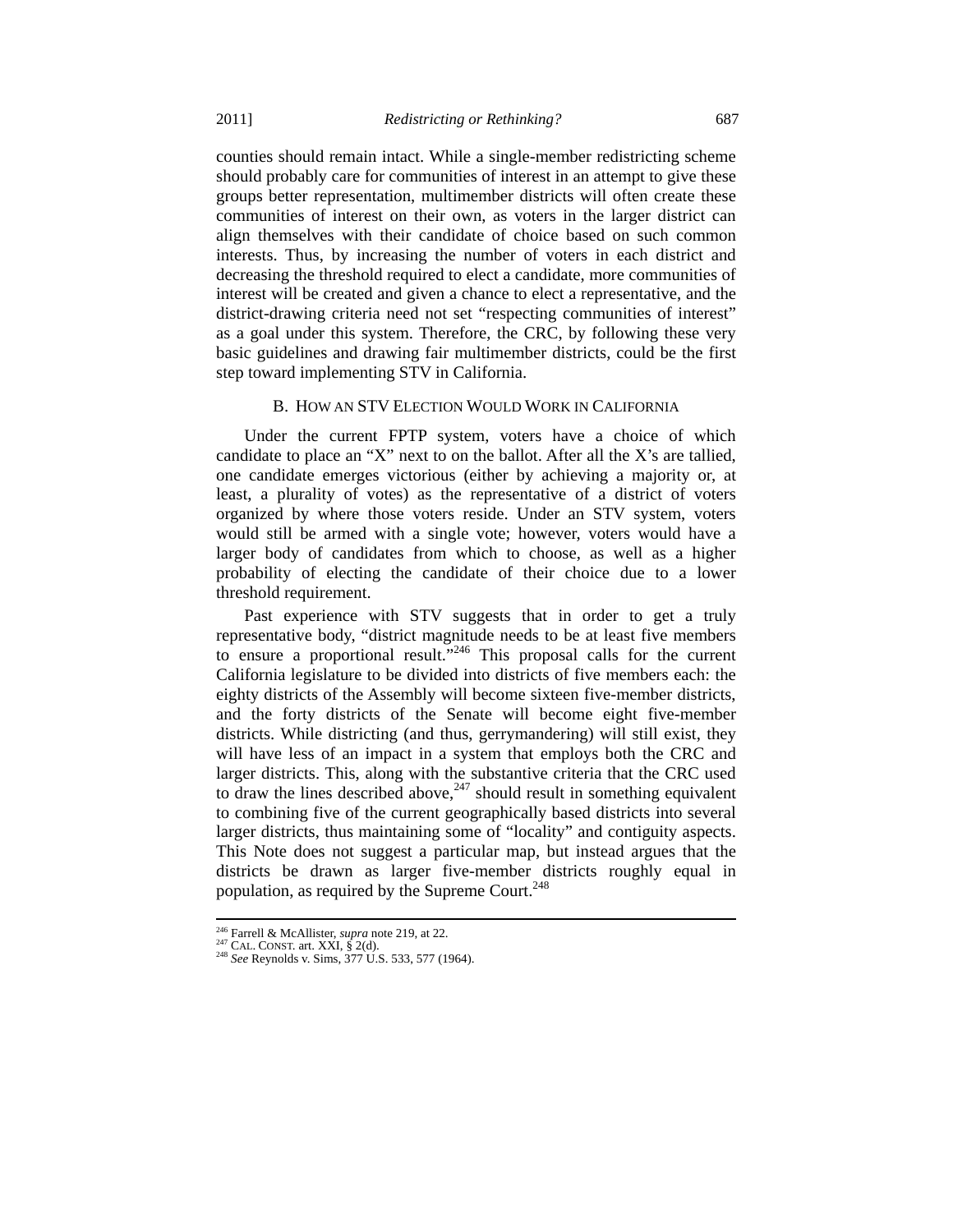counties should remain intact. While a single-member redistricting scheme should probably care for communities of interest in an attempt to give these groups better representation, multimember districts will often create these communities of interest on their own, as voters in the larger district can align themselves with their candidate of choice based on such common interests. Thus, by increasing the number of voters in each district and decreasing the threshold required to elect a candidate, more communities of interest will be created and given a chance to elect a representative, and the district-drawing criteria need not set "respecting communities of interest" as a goal under this system. Therefore, the CRC, by following these very basic guidelines and drawing fair multimember districts, could be the first step toward implementing STV in California.

#### B. HOW AN STV ELECTION WOULD WORK IN CALIFORNIA

Under the current FPTP system, voters have a choice of which candidate to place an "X" next to on the ballot. After all the X's are tallied, one candidate emerges victorious (either by achieving a majority or, at least, a plurality of votes) as the representative of a district of voters organized by where those voters reside. Under an STV system, voters would still be armed with a single vote; however, voters would have a larger body of candidates from which to choose, as well as a higher probability of electing the candidate of their choice due to a lower threshold requirement.

Past experience with STV suggests that in order to get a truly representative body, "district magnitude needs to be at least five members to ensure a proportional result."246 This proposal calls for the current California legislature to be divided into districts of five members each: the eighty districts of the Assembly will become sixteen five-member districts, and the forty districts of the Senate will become eight five-member districts. While districting (and thus, gerrymandering) will still exist, they will have less of an impact in a system that employs both the CRC and larger districts. This, along with the substantive criteria that the CRC used to draw the lines described above,  $247$  should result in something equivalent to combining five of the current geographically based districts into several larger districts, thus maintaining some of "locality" and contiguity aspects. This Note does not suggest a particular map, but instead argues that the districts be drawn as larger five-member districts roughly equal in population, as required by the Supreme Court. $248$ 

<sup>&</sup>lt;sup>246</sup> Farrell & McAllister, *supra* note 219, at 22.<br><sup>247</sup> CAL. CONST. art. XXI, § 2(d).<br><sup>248</sup> *See* Reynolds v. Sims, 377 U.S. 533, 577 (1964).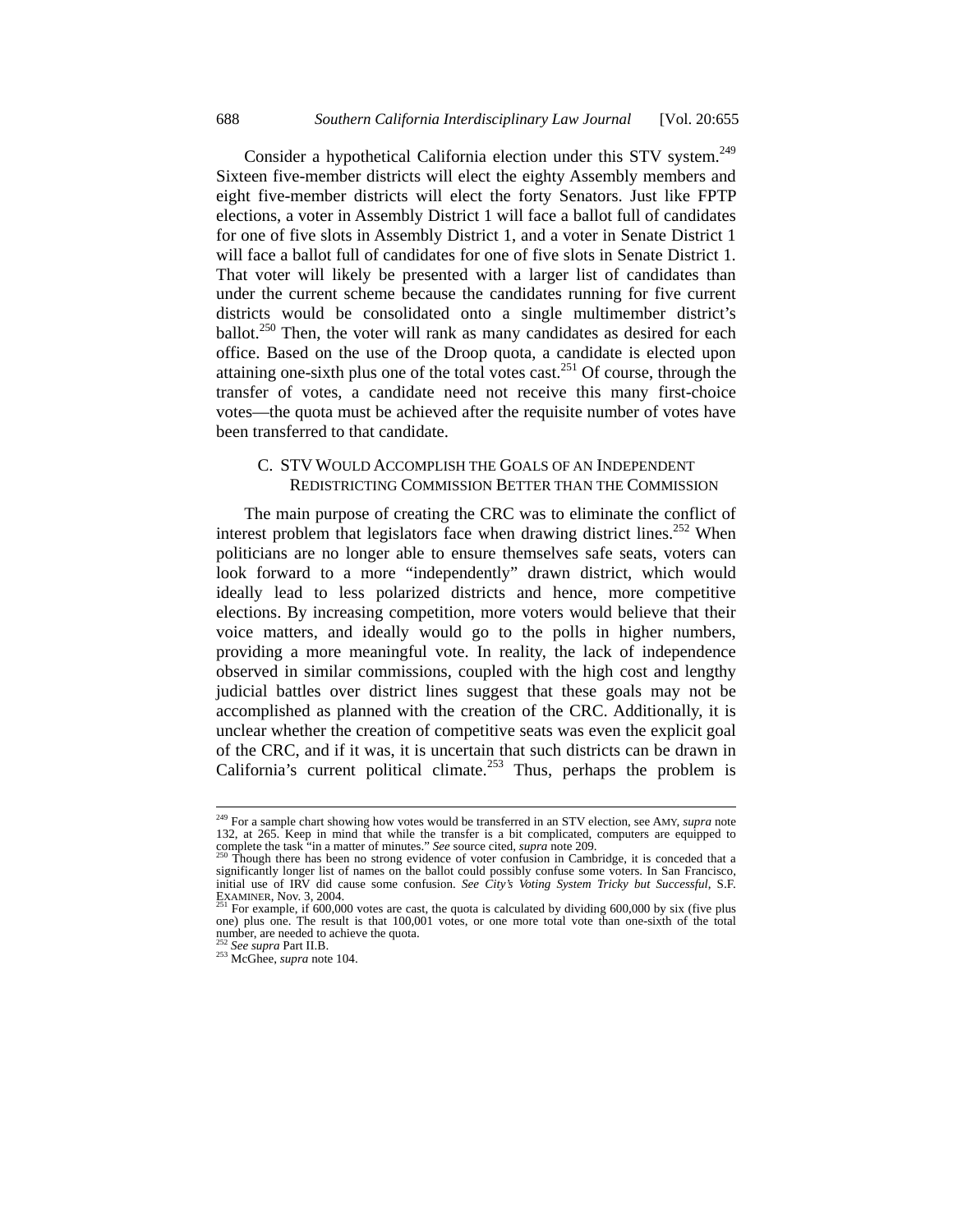Consider a hypothetical California election under this STV system.<sup>249</sup> Sixteen five-member districts will elect the eighty Assembly members and eight five-member districts will elect the forty Senators. Just like FPTP elections, a voter in Assembly District 1 will face a ballot full of candidates for one of five slots in Assembly District 1, and a voter in Senate District 1 will face a ballot full of candidates for one of five slots in Senate District 1. That voter will likely be presented with a larger list of candidates than under the current scheme because the candidates running for five current districts would be consolidated onto a single multimember district's ballot.<sup>250</sup> Then, the voter will rank as many candidates as desired for each office. Based on the use of the Droop quota, a candidate is elected upon attaining one-sixth plus one of the total votes cast.<sup>251</sup> Of course, through the transfer of votes, a candidate need not receive this many first-choice votes—the quota must be achieved after the requisite number of votes have been transferred to that candidate.

# C. STV WOULD ACCOMPLISH THE GOALS OF AN INDEPENDENT REDISTRICTING COMMISSION BETTER THAN THE COMMISSION

The main purpose of creating the CRC was to eliminate the conflict of interest problem that legislators face when drawing district lines.<sup>252</sup> When politicians are no longer able to ensure themselves safe seats, voters can look forward to a more "independently" drawn district, which would ideally lead to less polarized districts and hence, more competitive elections. By increasing competition, more voters would believe that their voice matters, and ideally would go to the polls in higher numbers, providing a more meaningful vote. In reality, the lack of independence observed in similar commissions, coupled with the high cost and lengthy judicial battles over district lines suggest that these goals may not be accomplished as planned with the creation of the CRC. Additionally, it is unclear whether the creation of competitive seats was even the explicit goal of the CRC, and if it was, it is uncertain that such districts can be drawn in California's current political climate.<sup>253</sup> Thus, perhaps the problem is

<sup>249</sup> For a sample chart showing how votes would be transferred in an STV election, see AMY, *supra* note 132, at 265. Keep in mind that while the transfer is a bit complicated, computers are equipped to complete the task "in a matter of minutes." See source cited, *supra* note 209.

Though there has been no strong evidence of voter confusion in Cambridge, it is conceded that a significantly longer list of names on the ballot could possibly confuse some voters. In San Francisco, initial use of IRV did cause some confusion. *See City's Voting System Tricky but Successful*, S.F. EXAMINER, Nov. 3, 2004. 251 For example, if 600,000 votes are cast, the quota is calculated by dividing 600,000 by six (five plus  $^{251}$  For example, if 600,000 votes are cast, the quota is calculated by dividing 600,000

one) plus one. The result is that 100,001 votes, or one more total vote than one-sixth of the total number, are needed to achieve the quota.

<sup>252</sup> *See supra* Part II.B. 253 McGhee, *supra* note 104.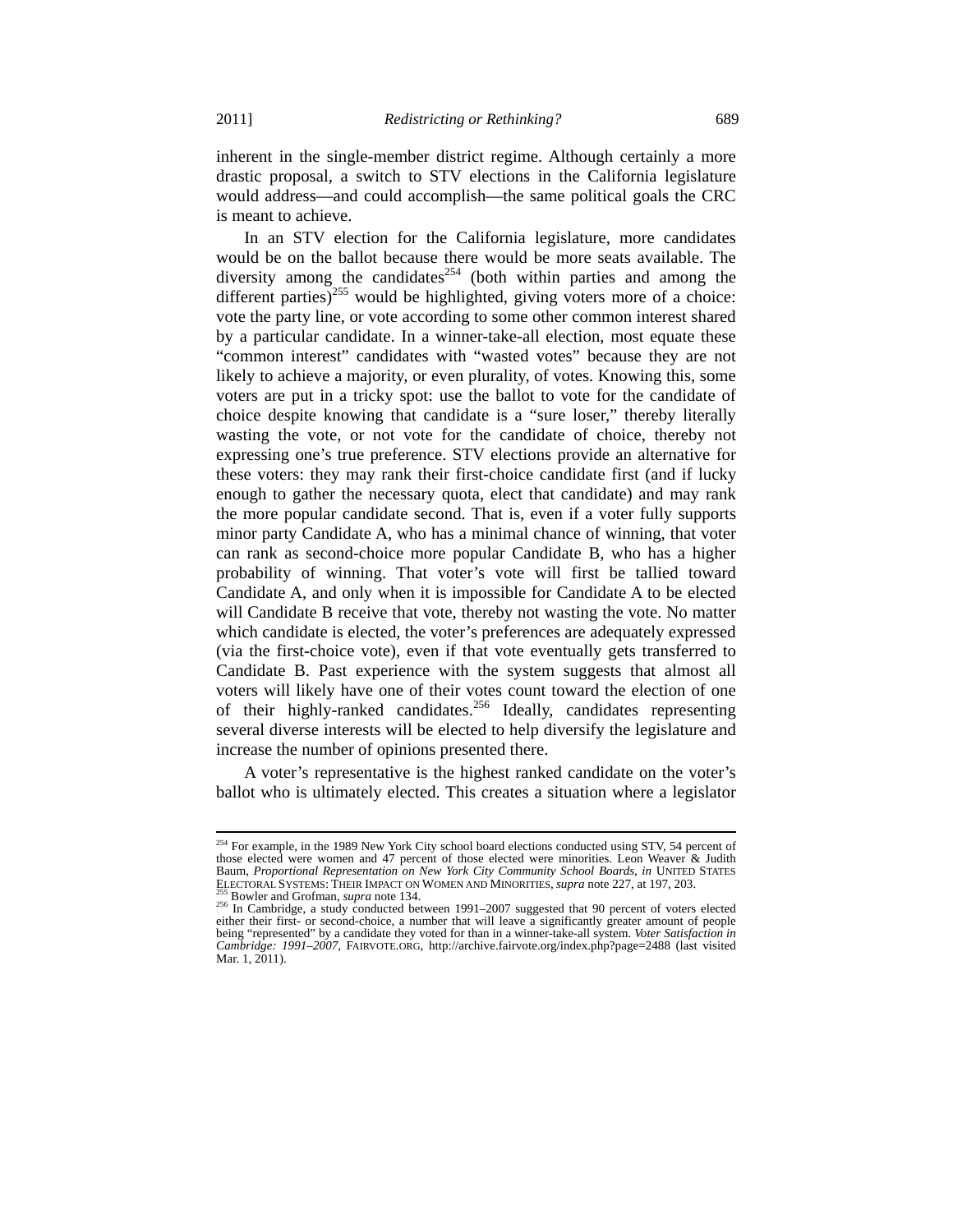inherent in the single-member district regime. Although certainly a more drastic proposal, a switch to STV elections in the California legislature would address—and could accomplish—the same political goals the CRC is meant to achieve.

In an STV election for the California legislature, more candidates would be on the ballot because there would be more seats available. The diversity among the candidates<sup>254</sup> (both within parties and among the different parties)<sup>255</sup> would be highlighted, giving voters more of a choice: vote the party line, or vote according to some other common interest shared by a particular candidate. In a winner-take-all election, most equate these "common interest" candidates with "wasted votes" because they are not likely to achieve a majority, or even plurality, of votes. Knowing this, some voters are put in a tricky spot: use the ballot to vote for the candidate of choice despite knowing that candidate is a "sure loser," thereby literally wasting the vote, or not vote for the candidate of choice, thereby not expressing one's true preference. STV elections provide an alternative for these voters: they may rank their first-choice candidate first (and if lucky enough to gather the necessary quota, elect that candidate) and may rank the more popular candidate second. That is, even if a voter fully supports minor party Candidate A, who has a minimal chance of winning, that voter can rank as second-choice more popular Candidate B, who has a higher probability of winning. That voter's vote will first be tallied toward Candidate A, and only when it is impossible for Candidate A to be elected will Candidate B receive that vote, thereby not wasting the vote. No matter which candidate is elected, the voter's preferences are adequately expressed (via the first-choice vote), even if that vote eventually gets transferred to Candidate B. Past experience with the system suggests that almost all voters will likely have one of their votes count toward the election of one of their highly-ranked candidates.<sup>256</sup> Ideally, candidates representing several diverse interests will be elected to help diversify the legislature and increase the number of opinions presented there.

A voter's representative is the highest ranked candidate on the voter's ballot who is ultimately elected. This creates a situation where a legislator

 $\overline{a}$ <sup>254</sup> For example, in the 1989 New York City school board elections conducted using STV, 54 percent of those elected were women and 47 percent of those elected were minorities. Leon Weaver & Judith Baum, *Proportional Representation on New York City Community School Boards, in UNITED STATES*<br>ELECTORAL SYSTEMS: THEIR IMPACT ON WOMEN AND MINORITIES, *supra* note 227, at 197, 203.

<sup>&</sup>lt;sup>255</sup> Bowler and Grofman, *supra* note 134.<br><sup>256</sup> In Cambridge, a study conducted between 1991–2007 suggested that 90 percent of voters elected either their first- or second-choice, a number that will leave a significantly greater amount of people being "represented" by a candidate they voted for than in a winner-take-all system. *Voter Satisfaction in Cambridge: 1991*–*2007*, FAIRVOTE.ORG, http://archive.fairvote.org/index.php?page=2488 (last visited Mar. 1, 2011).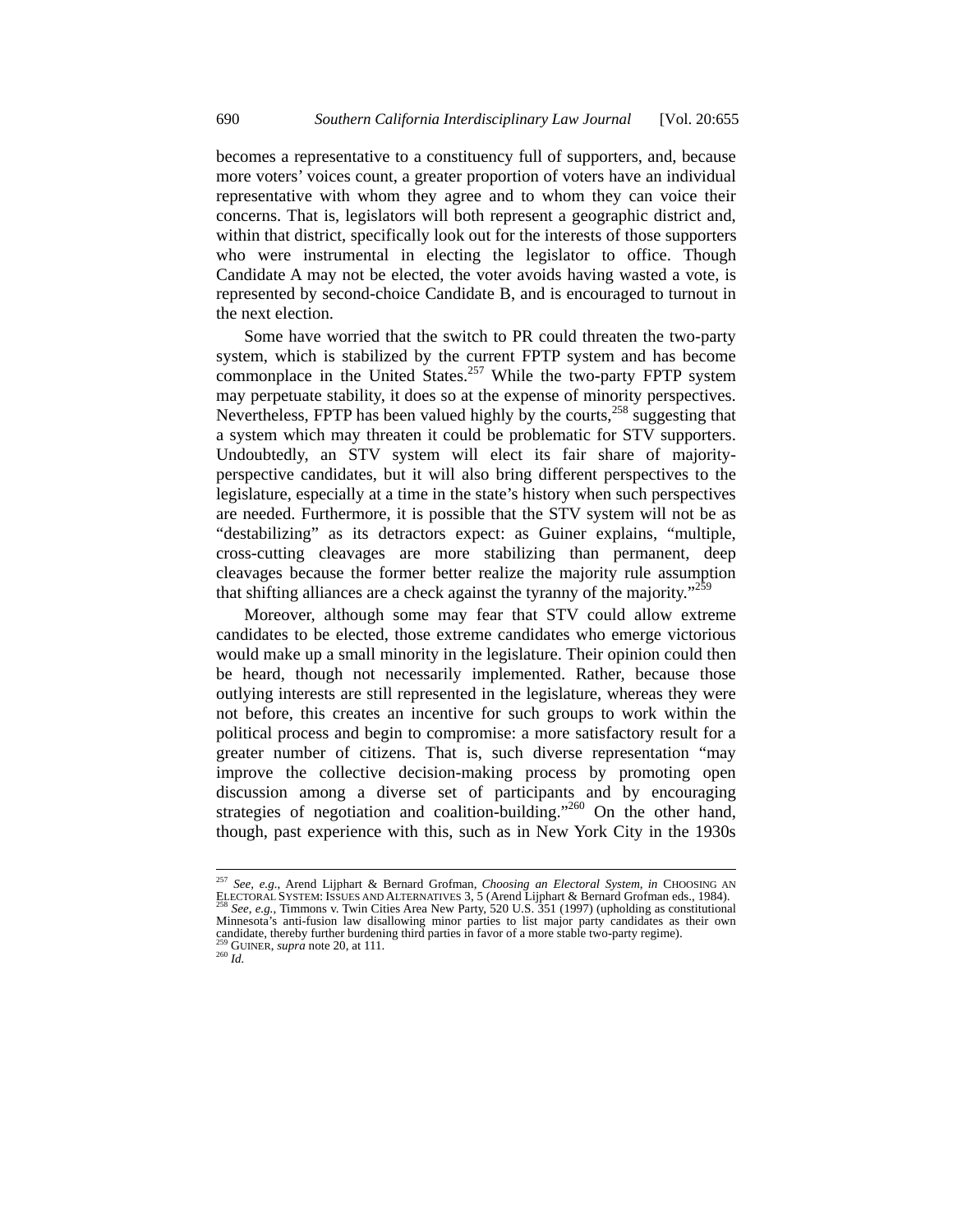becomes a representative to a constituency full of supporters, and, because more voters' voices count, a greater proportion of voters have an individual representative with whom they agree and to whom they can voice their concerns. That is, legislators will both represent a geographic district and, within that district, specifically look out for the interests of those supporters who were instrumental in electing the legislator to office. Though Candidate A may not be elected, the voter avoids having wasted a vote, is represented by second-choice Candidate B, and is encouraged to turnout in the next election.

Some have worried that the switch to PR could threaten the two-party system, which is stabilized by the current FPTP system and has become commonplace in the United States.<sup>257</sup> While the two-party FPTP system may perpetuate stability, it does so at the expense of minority perspectives. Nevertheless, FPTP has been valued highly by the courts,<sup>258</sup> suggesting that a system which may threaten it could be problematic for STV supporters. Undoubtedly, an STV system will elect its fair share of majorityperspective candidates, but it will also bring different perspectives to the legislature, especially at a time in the state's history when such perspectives are needed. Furthermore, it is possible that the STV system will not be as "destabilizing" as its detractors expect: as Guiner explains, "multiple, cross-cutting cleavages are more stabilizing than permanent, deep cleavages because the former better realize the majority rule assumption that shifting alliances are a check against the tyranny of the majority."<sup>259</sup>

Moreover, although some may fear that STV could allow extreme candidates to be elected, those extreme candidates who emerge victorious would make up a small minority in the legislature. Their opinion could then be heard, though not necessarily implemented. Rather, because those outlying interests are still represented in the legislature, whereas they were not before, this creates an incentive for such groups to work within the political process and begin to compromise: a more satisfactory result for a greater number of citizens. That is, such diverse representation "may improve the collective decision-making process by promoting open discussion among a diverse set of participants and by encouraging strategies of negotiation and coalition-building."<sup>260</sup> On the other hand, though, past experience with this, such as in New York City in the 1930s

<sup>257</sup> *See, e.g.*, Arend Lijphart & Bernard Grofman, *Choosing an Electoral System*, *in* CHOOSING AN ELECTORAL SYSTEM: ISSUES AND ALTERNATIVES 3, 5 (Arend Lijphart & Bernard Grofman eds., 1984). 258 *See, e.g.*, Timmons v. Twin Cities Area New Party, 520 U.S. 351 (1997) (upholding as constitutional Minnesota's anti-fusion law disallowing minor parties to list major party candidates as their own candidate, thereby further burdening third parties in favor of a more stable two-party regime).<br><sup>259</sup> GUINER, *supra* note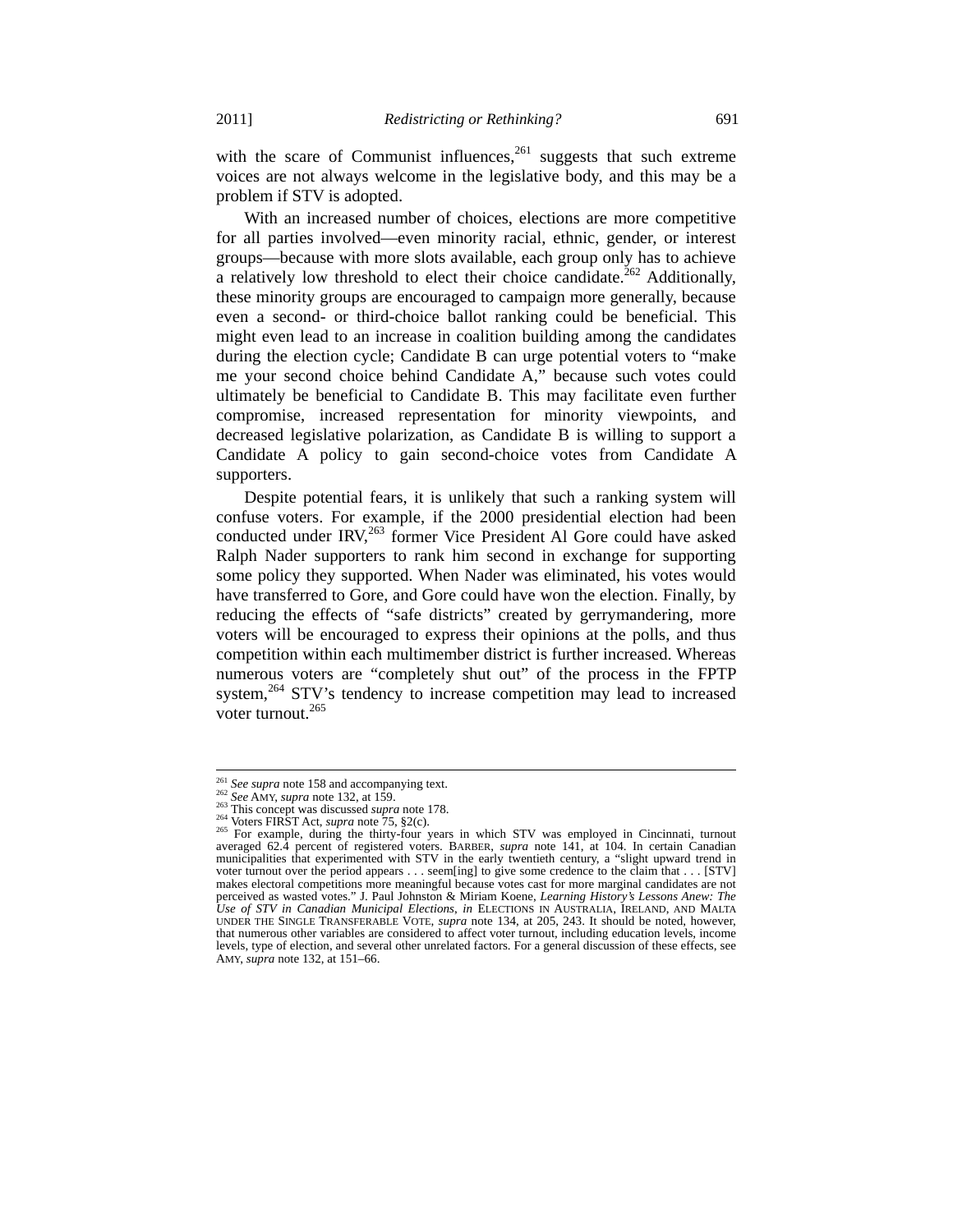with the scare of Communist influences,  $^{261}$  suggests that such extreme voices are not always welcome in the legislative body, and this may be a problem if STV is adopted.

With an increased number of choices, elections are more competitive for all parties involved—even minority racial, ethnic, gender, or interest groups—because with more slots available, each group only has to achieve a relatively low threshold to elect their choice candidate.<sup>262</sup> Additionally, these minority groups are encouraged to campaign more generally, because even a second- or third-choice ballot ranking could be beneficial. This might even lead to an increase in coalition building among the candidates during the election cycle; Candidate B can urge potential voters to "make me your second choice behind Candidate A," because such votes could ultimately be beneficial to Candidate B. This may facilitate even further compromise, increased representation for minority viewpoints, and decreased legislative polarization, as Candidate B is willing to support a Candidate A policy to gain second-choice votes from Candidate A supporters.

Despite potential fears, it is unlikely that such a ranking system will confuse voters. For example, if the 2000 presidential election had been conducted under IRV,<sup>263</sup> former Vice President Al Gore could have asked Ralph Nader supporters to rank him second in exchange for supporting some policy they supported. When Nader was eliminated, his votes would have transferred to Gore, and Gore could have won the election. Finally, by reducing the effects of "safe districts" created by gerrymandering, more voters will be encouraged to express their opinions at the polls, and thus competition within each multimember district is further increased. Whereas numerous voters are "completely shut out" of the process in the FPTP system,<sup>264</sup> STV's tendency to increase competition may lead to increased voter turnout.265

<sup>&</sup>lt;sup>261</sup> See supra note 158 and accompanying text.

<sup>&</sup>lt;sup>262</sup> See AMY, supra note 132, at 159.<br>
<sup>263</sup> This concept was discussed *supra* note 178.<br>
<sup>264</sup> Voters FIRST Act, *supra* note 75, §2(c).<br>
<sup>264</sup> Voters FIRST Act, *supra* note 75, §2(c).<br>
<sup>265</sup> For example, during the th averaged 62.4 percent of registered voters. BARBER, *supra* note 141, at 104. In certain Canadian municipalities that experimented with STV in the early twentieth century, a "slight upward trend in voter turnout over the period appears . . . seem[ing] to give some credence to the claim that . . . [STV] makes electoral competitions more meaningful because votes cast for more marginal candidates are not perceived as wasted votes." J. Paul Johnston & Miriam Koene, *Learning History's Lessons Anew: The Use of STV in Canadian Municipal Elections*, *in* ELECTIONS IN AUSTRALIA, IRELAND, AND MALTA UNDER THE SINGLE TRANSFERABLE VOTE, *supra* note 134, at 205, 243. It should be noted, however, that numerous other variables are considered to affect voter turnout, including education levels, income levels, type of election, and several other unrelated factors. For a general discussion of these effects, see AMY, *supra* note 132, at 151–66.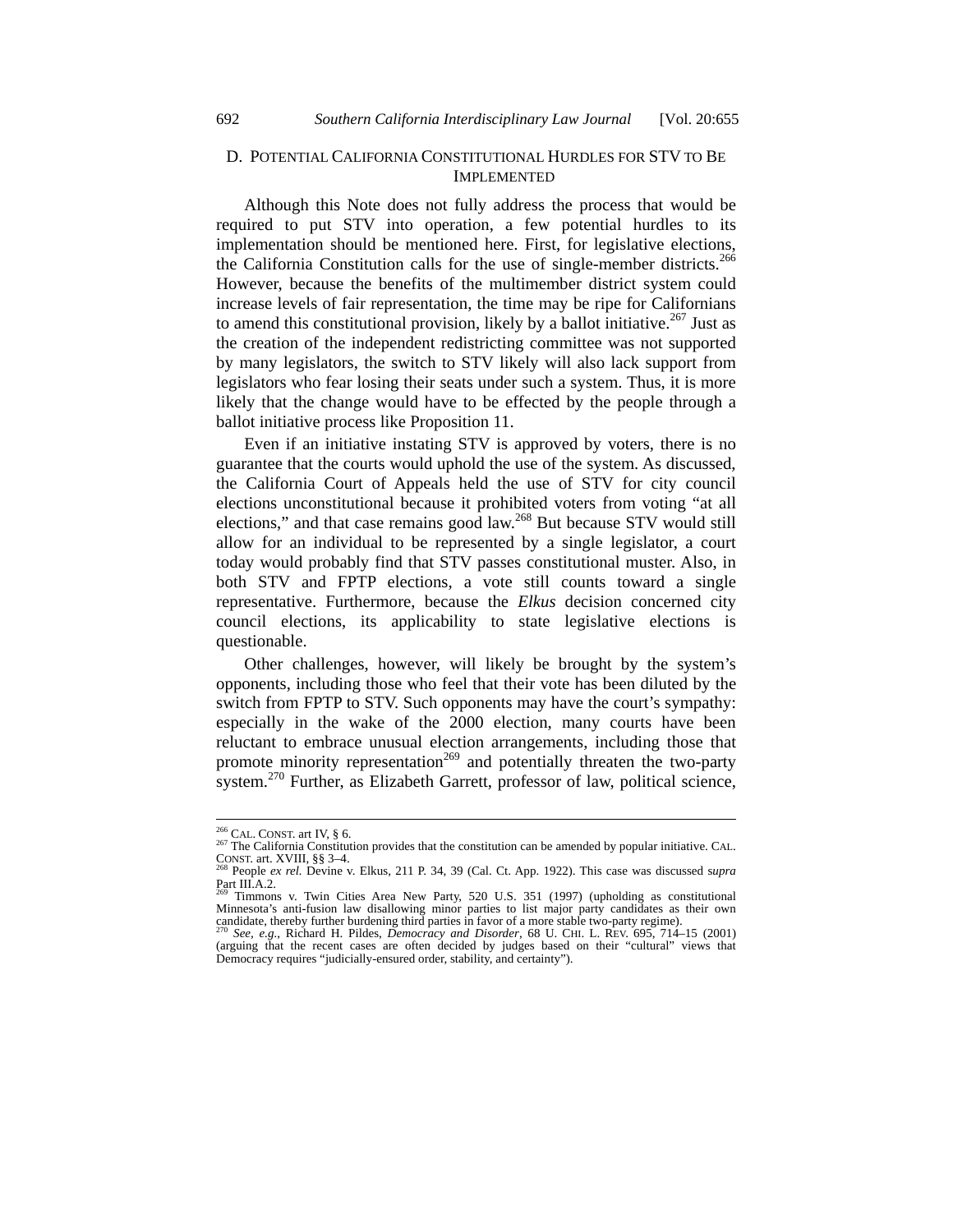# D. POTENTIAL CALIFORNIA CONSTITUTIONAL HURDLES FOR STV TO BE **IMPLEMENTED**

Although this Note does not fully address the process that would be required to put STV into operation, a few potential hurdles to its implementation should be mentioned here. First, for legislative elections, the California Constitution calls for the use of single-member districts.<sup>266</sup> However, because the benefits of the multimember district system could increase levels of fair representation, the time may be ripe for Californians to amend this constitutional provision, likely by a ballot initiative.<sup>267</sup> Just as the creation of the independent redistricting committee was not supported by many legislators, the switch to STV likely will also lack support from legislators who fear losing their seats under such a system. Thus, it is more likely that the change would have to be effected by the people through a ballot initiative process like Proposition 11.

Even if an initiative instating STV is approved by voters, there is no guarantee that the courts would uphold the use of the system. As discussed, the California Court of Appeals held the use of STV for city council elections unconstitutional because it prohibited voters from voting "at all elections," and that case remains good law.<sup>268</sup> But because STV would still allow for an individual to be represented by a single legislator, a court today would probably find that STV passes constitutional muster. Also, in both STV and FPTP elections, a vote still counts toward a single representative. Furthermore, because the *Elkus* decision concerned city council elections, its applicability to state legislative elections is questionable.

Other challenges, however, will likely be brought by the system's opponents, including those who feel that their vote has been diluted by the switch from FPTP to STV. Such opponents may have the court's sympathy: especially in the wake of the 2000 election, many courts have been reluctant to embrace unusual election arrangements, including those that promote minority representation<sup>269</sup> and potentially threaten the two-party system.<sup>270</sup> Further, as Elizabeth Garrett, professor of law, political science,

 $266$  CAL. CONST. art IV, § 6.

<sup>267</sup> The California Constitution provides that the constitution can be amended by popular initiative. CAL.<br>CONST. art. XVIII, §§ 3–4.<br><sup>268</sup> People *ex rel.* Devine v. Elkus, 211 P. 34, 39 (Cal. Ct. App. 1922). This case wa

Part III.A.2.

<sup>&</sup>lt;sup>269</sup> Timmons v. Twin Cities Area New Party, 520 U.S. 351 (1997) (upholding as constitutional Minnesota's anti-fusion law disallowing minor parties to list major party candidates as their own

candidate, thereby further burdening third parties in favor of a more stable two-party regime).<br><sup>270</sup> See, e.g., Richard H. Pildes, *Democracy and Disorder*, 68 U. CHI. L. REV. 695, 714–15 (2001)<br>(arguing that the recent c Democracy requires "judicially-ensured order, stability, and certainty").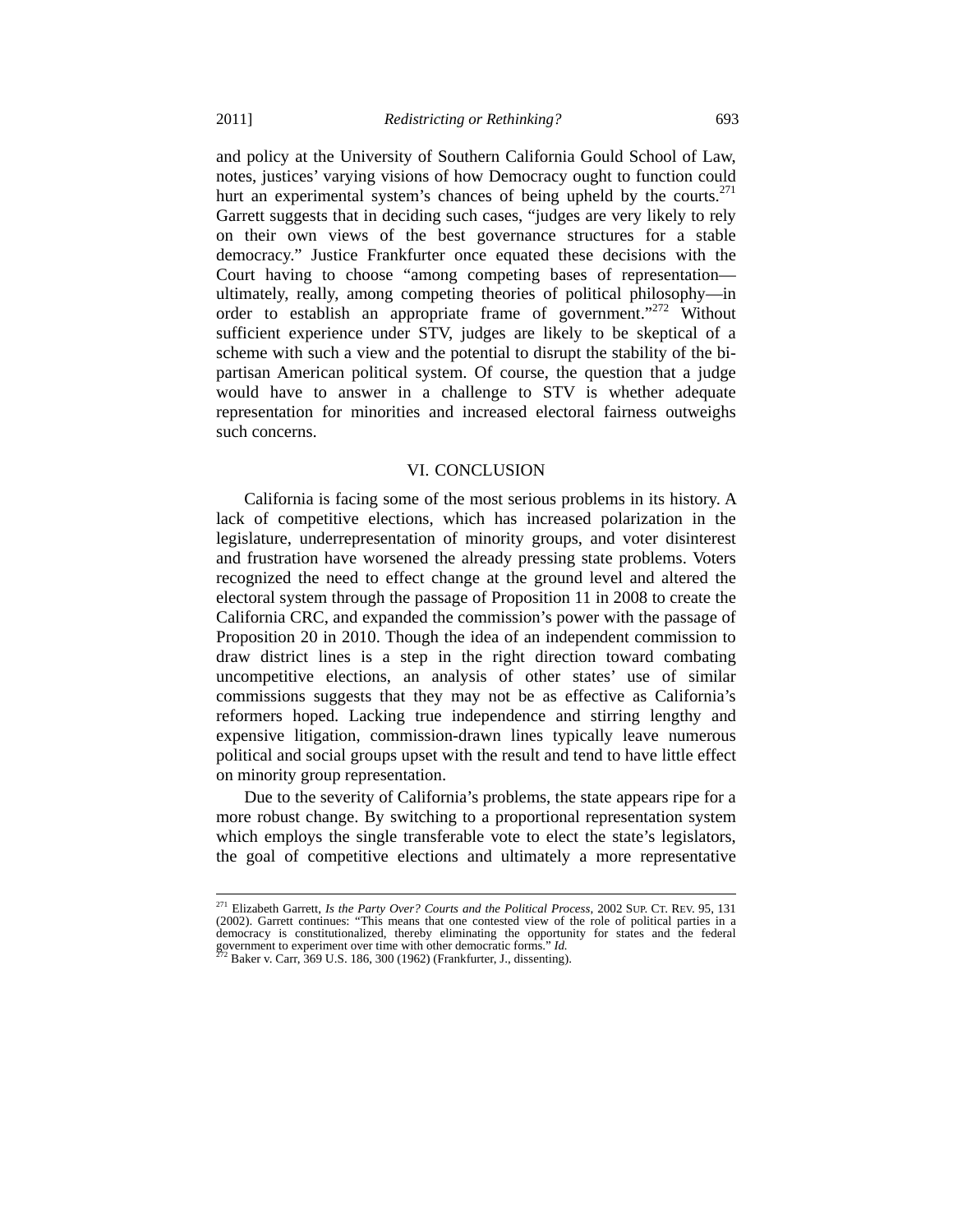and policy at the University of Southern California Gould School of Law, notes, justices' varying visions of how Democracy ought to function could hurt an experimental system's chances of being upheld by the courts. $271$ Garrett suggests that in deciding such cases, "judges are very likely to rely on their own views of the best governance structures for a stable democracy." Justice Frankfurter once equated these decisions with the Court having to choose "among competing bases of representation ultimately, really, among competing theories of political philosophy—in order to establish an appropriate frame of government."<sup>272</sup> Without sufficient experience under STV, judges are likely to be skeptical of a scheme with such a view and the potential to disrupt the stability of the bipartisan American political system. Of course, the question that a judge would have to answer in a challenge to STV is whether adequate representation for minorities and increased electoral fairness outweighs such concerns.

## VI. CONCLUSION

California is facing some of the most serious problems in its history. A lack of competitive elections, which has increased polarization in the legislature, underrepresentation of minority groups, and voter disinterest and frustration have worsened the already pressing state problems. Voters recognized the need to effect change at the ground level and altered the electoral system through the passage of Proposition 11 in 2008 to create the California CRC, and expanded the commission's power with the passage of Proposition 20 in 2010. Though the idea of an independent commission to draw district lines is a step in the right direction toward combating uncompetitive elections, an analysis of other states' use of similar commissions suggests that they may not be as effective as California's reformers hoped. Lacking true independence and stirring lengthy and expensive litigation, commission-drawn lines typically leave numerous political and social groups upset with the result and tend to have little effect on minority group representation.

Due to the severity of California's problems, the state appears ripe for a more robust change. By switching to a proportional representation system which employs the single transferable vote to elect the state's legislators, the goal of competitive elections and ultimately a more representative

<sup>271</sup> Elizabeth Garrett, *Is the Party Over? Courts and the Political Process*, 2002 SUP. CT. REV. 95, 131 (2002). Garrett continues: "This means that one contested view of the role of political parties in a democracy is constitutionalized, thereby eliminating the opportunity for states and the federal government to experiment over time with other democratic forms." *Id.*<br><sup>272</sup> Baker v. Carr, 369 U.S. 186, 300 (1962) (Frankfur